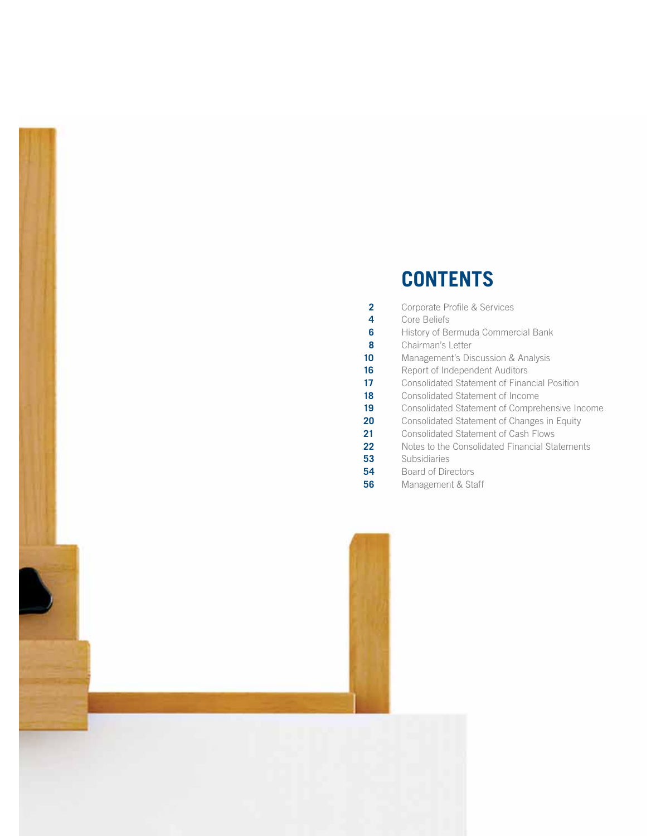# **CONTENTS**

| Consolidated Statement of Comprehensive Income |
|------------------------------------------------|
|                                                |
|                                                |
|                                                |
|                                                |
|                                                |
|                                                |
|                                                |

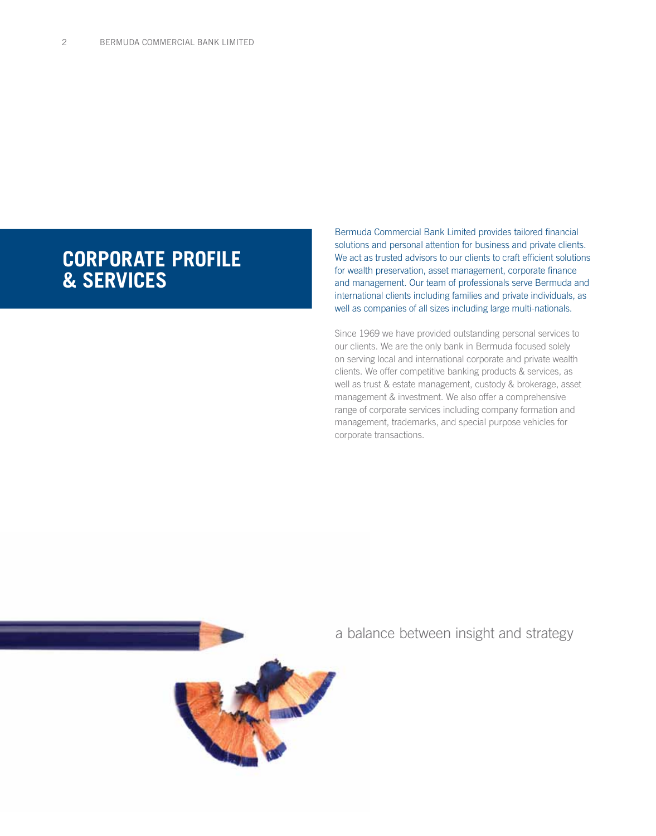# **CORPORATE PROFILE & SERVICES**

Bermuda Commercial Bank Limited provides tailored financial solutions and personal attention for business and private clients. We act as trusted advisors to our clients to craft efficient solutions for wealth preservation, asset management, corporate finance and management. Our team of professionals serve Bermuda and international clients including families and private individuals, as well as companies of all sizes including large multi-nationals.

Since 1969 we have provided outstanding personal services to our clients. We are the only bank in Bermuda focused solely on serving local and international corporate and private wealth clients. We offer competitive banking products & services, as well as trust & estate management, custody & brokerage, asset management & investment. We also offer a comprehensive range of corporate services including company formation and management, trademarks, and special purpose vehicles for corporate transactions.



a balance between insight and strategy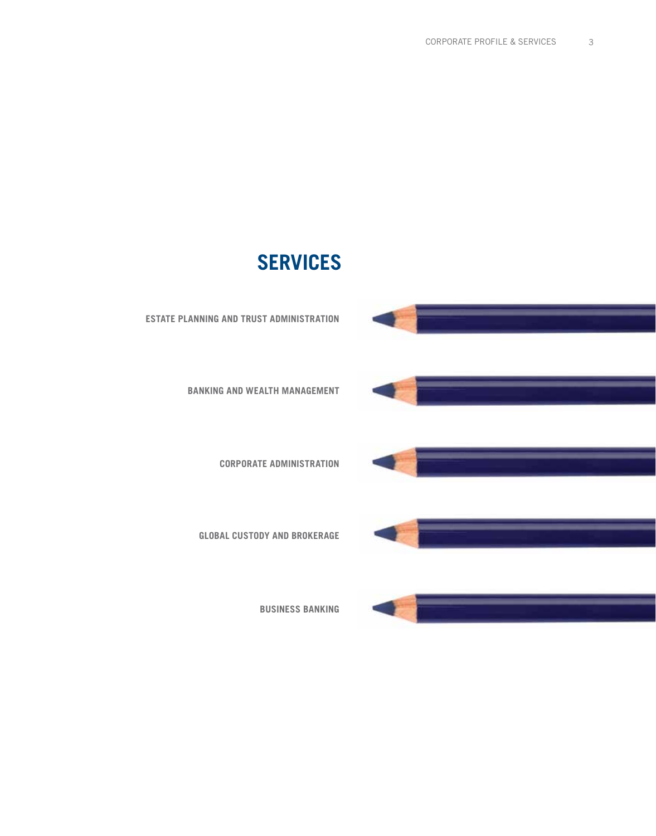# **SERVICES**



**BANKING AND WEALTH MANAGEMENT**

**CORPORATE ADMINISTRATION**

**GLOBAL CUSTODY AND BROKERAGE**

**BUSINESS BANKING**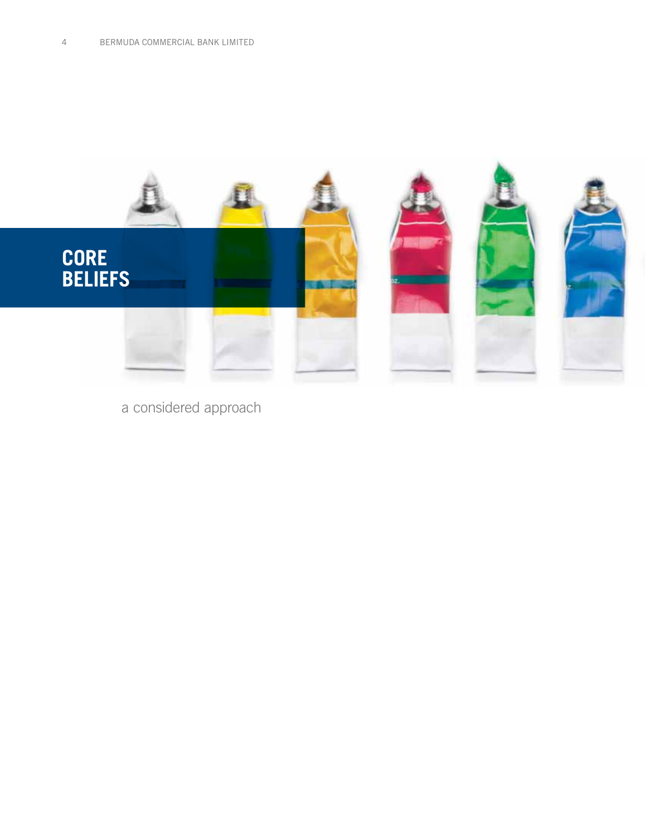

a considered approach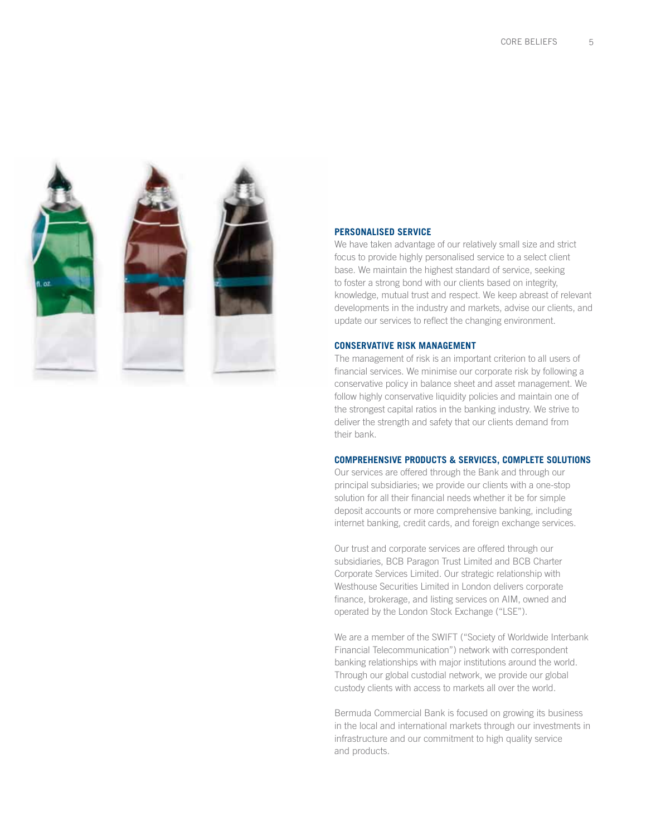

#### **PERSONALISED SERVICE**

We have taken advantage of our relatively small size and strict focus to provide highly personalised service to a select client base. We maintain the highest standard of service, seeking to foster a strong bond with our clients based on integrity, knowledge, mutual trust and respect. We keep abreast of relevant developments in the industry and markets, advise our clients, and update our services to reflect the changing environment.

#### **CONSERVATIVE RISK MANAGEMENT**

The management of risk is an important criterion to all users of financial services. We minimise our corporate risk by following a conservative policy in balance sheet and asset management. We follow highly conservative liquidity policies and maintain one of the strongest capital ratios in the banking industry. We strive to deliver the strength and safety that our clients demand from their bank.

#### **Comprehensive Products & Services, Complete Solutions**

Our services are offered through the Bank and through our principal subsidiaries; we provide our clients with a one-stop solution for all their financial needs whether it be for simple deposit accounts or more comprehensive banking, including internet banking, credit cards, and foreign exchange services.

Our trust and corporate services are offered through our subsidiaries, BCB Paragon Trust Limited and BCB Charter Corporate Services Limited. Our strategic relationship with Westhouse Securities Limited in London delivers corporate finance, brokerage, and listing services on AIM, owned and operated by the London Stock Exchange ("LSE").

We are a member of the SWIFT ("Society of Worldwide Interbank Financial Telecommunication") network with correspondent banking relationships with major institutions around the world. Through our global custodial network, we provide our global custody clients with access to markets all over the world.

Bermuda Commercial Bank is focused on growing its business in the local and international markets through our investments in infrastructure and our commitment to high quality service and products.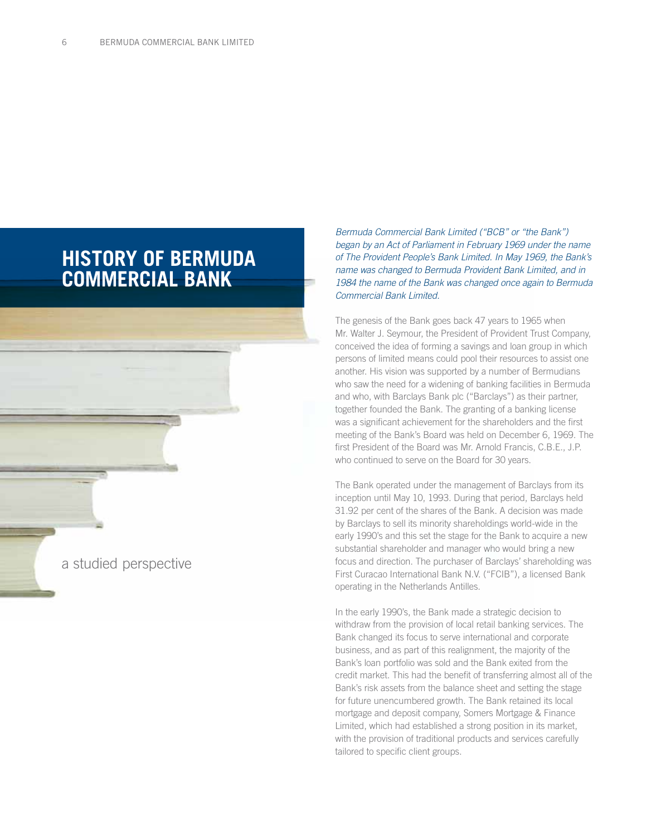# **HISTORY OF BERMUDA COMMERCIAL BANK**

a studied perspective

*Bermuda Commercial Bank Limited ("BCB" or "the Bank") began by an Act of Parliament in February 1969 under the name of The Provident People's Bank Limited. In May 1969, the Bank's name was changed to Bermuda Provident Bank Limited, and in 1984 the name of the Bank was changed once again to Bermuda Commercial Bank Limited.*

The genesis of the Bank goes back 47 years to 1965 when Mr. Walter J. Seymour, the President of Provident Trust Company, conceived the idea of forming a savings and loan group in which persons of limited means could pool their resources to assist one another. His vision was supported by a number of Bermudians who saw the need for a widening of banking facilities in Bermuda and who, with Barclays Bank plc ("Barclays") as their partner, together founded the Bank. The granting of a banking license was a significant achievement for the shareholders and the first meeting of the Bank's Board was held on December 6, 1969. The first President of the Board was Mr. Arnold Francis, C.B.E., J.P. who continued to serve on the Board for 30 years.

The Bank operated under the management of Barclays from its inception until May 10, 1993. During that period, Barclays held 31.92 per cent of the shares of the Bank. A decision was made by Barclays to sell its minority shareholdings world-wide in the early 1990's and this set the stage for the Bank to acquire a new substantial shareholder and manager who would bring a new focus and direction. The purchaser of Barclays' shareholding was First Curacao International Bank N.V. ("FCIB"), a licensed Bank operating in the Netherlands Antilles.

In the early 1990's, the Bank made a strategic decision to withdraw from the provision of local retail banking services. The Bank changed its focus to serve international and corporate business, and as part of this realignment, the majority of the Bank's loan portfolio was sold and the Bank exited from the credit market. This had the benefit of transferring almost all of the Bank's risk assets from the balance sheet and setting the stage for future unencumbered growth. The Bank retained its local mortgage and deposit company, Somers Mortgage & Finance Limited, which had established a strong position in its market, with the provision of traditional products and services carefully tailored to specific client groups.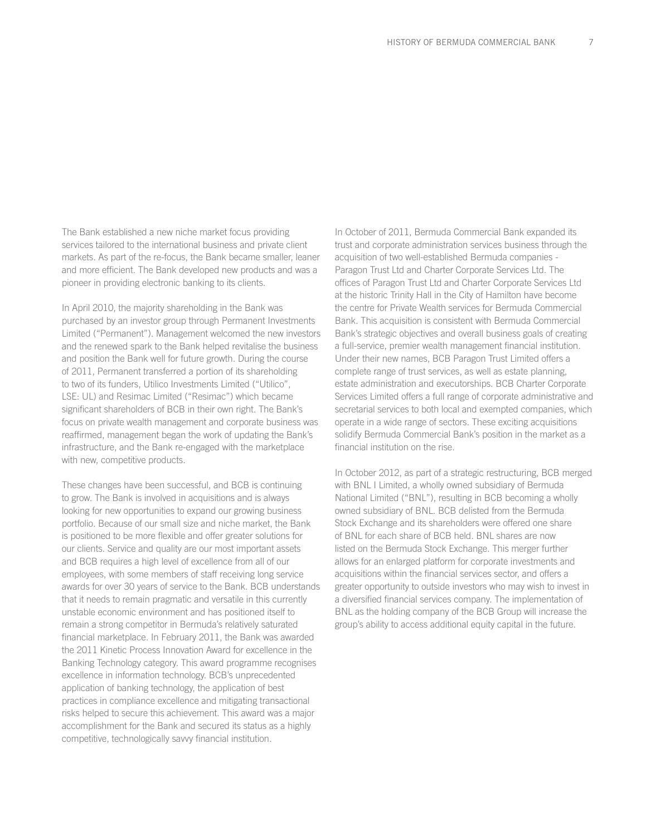The Bank established a new niche market focus providing services tailored to the international business and private client markets. As part of the re-focus, the Bank became smaller, leaner and more efficient. The Bank developed new products and was a pioneer in providing electronic banking to its clients.

In April 2010, the majority shareholding in the Bank was purchased by an investor group through Permanent Investments Limited ("Permanent"). Management welcomed the new investors and the renewed spark to the Bank helped revitalise the business and position the Bank well for future growth. During the course of 2011, Permanent transferred a portion of its shareholding to two of its funders, Utilico Investments Limited ("Utilico", LSE: UL) and Resimac Limited ("Resimac") which became significant shareholders of BCB in their own right. The Bank's focus on private wealth management and corporate business was reaffirmed, management began the work of updating the Bank's infrastructure, and the Bank re-engaged with the marketplace with new, competitive products.

These changes have been successful, and BCB is continuing to grow. The Bank is involved in acquisitions and is always looking for new opportunities to expand our growing business portfolio. Because of our small size and niche market, the Bank is positioned to be more flexible and offer greater solutions for our clients. Service and quality are our most important assets and BCB requires a high level of excellence from all of our employees, with some members of staff receiving long service awards for over 30 years of service to the Bank. BCB understands that it needs to remain pragmatic and versatile in this currently unstable economic environment and has positioned itself to remain a strong competitor in Bermuda's relatively saturated financial marketplace. In February 2011, the Bank was awarded the 2011 Kinetic Process Innovation Award for excellence in the Banking Technology category. This award programme recognises excellence in information technology. BCB's unprecedented application of banking technology, the application of best practices in compliance excellence and mitigating transactional risks helped to secure this achievement. This award was a major accomplishment for the Bank and secured its status as a highly competitive, technologically savvy financial institution.

In October of 2011, Bermuda Commercial Bank expanded its trust and corporate administration services business through the acquisition of two well-established Bermuda companies - Paragon Trust Ltd and Charter Corporate Services Ltd. The offices of Paragon Trust Ltd and Charter Corporate Services Ltd at the historic Trinity Hall in the City of Hamilton have become the centre for Private Wealth services for Bermuda Commercial Bank. This acquisition is consistent with Bermuda Commercial Bank's strategic objectives and overall business goals of creating a full-service, premier wealth management financial institution. Under their new names, BCB Paragon Trust Limited offers a complete range of trust services, as well as estate planning, estate administration and executorships. BCB Charter Corporate Services Limited offers a full range of corporate administrative and secretarial services to both local and exempted companies, which operate in a wide range of sectors. These exciting acquisitions solidify Bermuda Commercial Bank's position in the market as a financial institution on the rise.

In October 2012, as part of a strategic restructuring, BCB merged with BNL I Limited, a wholly owned subsidiary of Bermuda National Limited ("BNL"), resulting in BCB becoming a wholly owned subsidiary of BNL. BCB delisted from the Bermuda Stock Exchange and its shareholders were offered one share of BNL for each share of BCB held. BNL shares are now listed on the Bermuda Stock Exchange. This merger further allows for an enlarged platform for corporate investments and acquisitions within the financial services sector, and offers a greater opportunity to outside investors who may wish to invest in a diversified financial services company. The implementation of BNL as the holding company of the BCB Group will increase the group's ability to access additional equity capital in the future.

7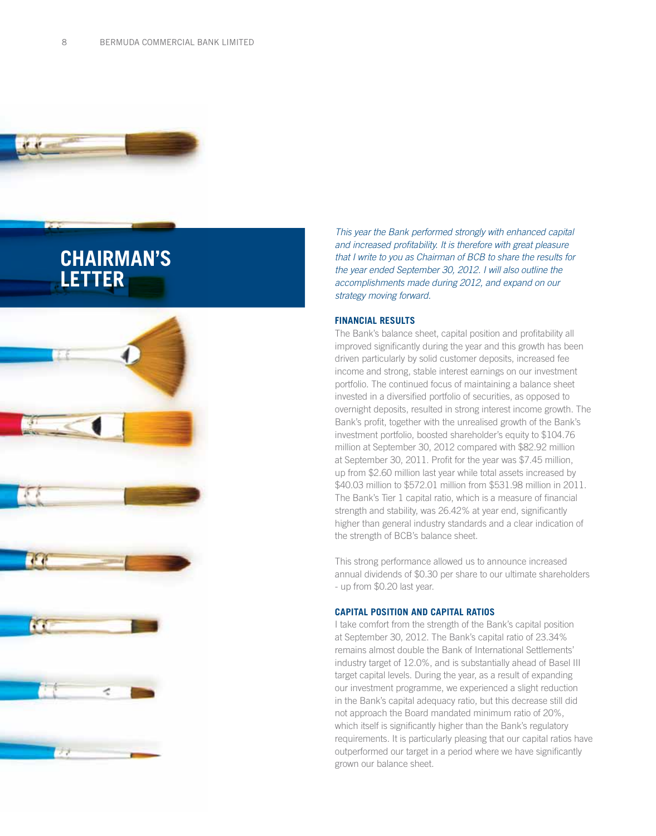

# **CHAIRMAN'S LETTER**



*This year the Bank performed strongly with enhanced capital and increased profitability. It is therefore with great pleasure that I write to you as Chairman of BCB to share the results for the year ended September 30, 2012. I will also outline the accomplishments made during 2012, and expand on our strategy moving forward.*

#### **Financial Results**

The Bank's balance sheet, capital position and profitability all improved significantly during the year and this growth has been driven particularly by solid customer deposits, increased fee income and strong, stable interest earnings on our investment portfolio. The continued focus of maintaining a balance sheet invested in a diversified portfolio of securities, as opposed to overnight deposits, resulted in strong interest income growth. The Bank's profit, together with the unrealised growth of the Bank's investment portfolio, boosted shareholder's equity to \$104.76 million at September 30, 2012 compared with \$82.92 million at September 30, 2011. Profit for the year was \$7.45 million, up from \$2.60 million last year while total assets increased by \$40.03 million to \$572.01 million from \$531.98 million in 2011. The Bank's Tier 1 capital ratio, which is a measure of financial strength and stability, was 26.42% at year end, significantly higher than general industry standards and a clear indication of the strength of BCB's balance sheet.

This strong performance allowed us to announce increased annual dividends of \$0.30 per share to our ultimate shareholders - up from \$0.20 last year.

#### **Capital Position and Capital Ratios**

I take comfort from the strength of the Bank's capital position at September 30, 2012. The Bank's capital ratio of 23.34% remains almost double the Bank of International Settlements' industry target of 12.0%, and is substantially ahead of Basel III target capital levels. During the year, as a result of expanding our investment programme, we experienced a slight reduction in the Bank's capital adequacy ratio, but this decrease still did not approach the Board mandated minimum ratio of 20%, which itself is significantly higher than the Bank's regulatory requirements. It is particularly pleasing that our capital ratios have outperformed our target in a period where we have significantly grown our balance sheet.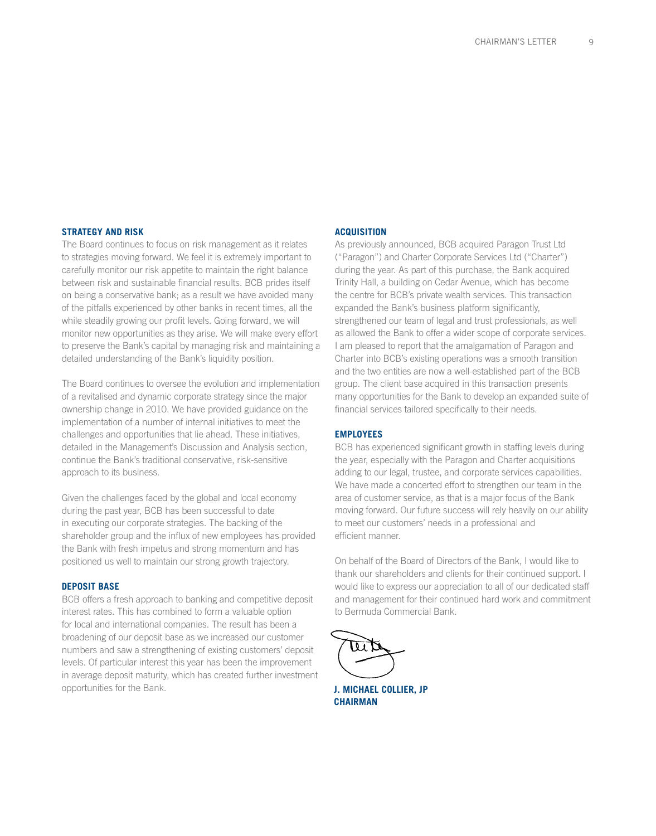#### **Strategy and Risk**

The Board continues to focus on risk management as it relates to strategies moving forward. We feel it is extremely important to carefully monitor our risk appetite to maintain the right balance between risk and sustainable financial results. BCB prides itself on being a conservative bank; as a result we have avoided many of the pitfalls experienced by other banks in recent times, all the while steadily growing our profit levels. Going forward, we will monitor new opportunities as they arise. We will make every effort to preserve the Bank's capital by managing risk and maintaining a detailed understanding of the Bank's liquidity position.

The Board continues to oversee the evolution and implementation of a revitalised and dynamic corporate strategy since the major ownership change in 2010. We have provided guidance on the implementation of a number of internal initiatives to meet the challenges and opportunities that lie ahead. These initiatives, detailed in the Management's Discussion and Analysis section, continue the Bank's traditional conservative, risk-sensitive approach to its business.

Given the challenges faced by the global and local economy during the past year, BCB has been successful to date in executing our corporate strategies. The backing of the shareholder group and the influx of new employees has provided the Bank with fresh impetus and strong momentum and has positioned us well to maintain our strong growth trajectory.

#### **Deposit Base**

BCB offers a fresh approach to banking and competitive deposit interest rates. This has combined to form a valuable option for local and international companies. The result has been a broadening of our deposit base as we increased our customer numbers and saw a strengthening of existing customers' deposit levels. Of particular interest this year has been the improvement in average deposit maturity, which has created further investment opportunities for the Bank.

#### **Acquisition**

As previously announced, BCB acquired Paragon Trust Ltd ("Paragon") and Charter Corporate Services Ltd ("Charter") during the year. As part of this purchase, the Bank acquired Trinity Hall, a building on Cedar Avenue, which has become the centre for BCB's private wealth services. This transaction expanded the Bank's business platform significantly, strengthened our team of legal and trust professionals, as well as allowed the Bank to offer a wider scope of corporate services. I am pleased to report that the amalgamation of Paragon and Charter into BCB's existing operations was a smooth transition and the two entities are now a well-established part of the BCB group. The client base acquired in this transaction presents many opportunities for the Bank to develop an expanded suite of financial services tailored specifically to their needs.

#### **Employees**

BCB has experienced significant growth in staffing levels during the year, especially with the Paragon and Charter acquisitions adding to our legal, trustee, and corporate services capabilities. We have made a concerted effort to strengthen our team in the area of customer service, as that is a major focus of the Bank moving forward. Our future success will rely heavily on our ability to meet our customers' needs in a professional and efficient manner.

On behalf of the Board of Directors of the Bank, I would like to thank our shareholders and clients for their continued support. I would like to express our appreciation to all of our dedicated staff and management for their continued hard work and commitment to Bermuda Commercial Bank.



**J. MICHAEL COLLIER, JP CHAIRMAN**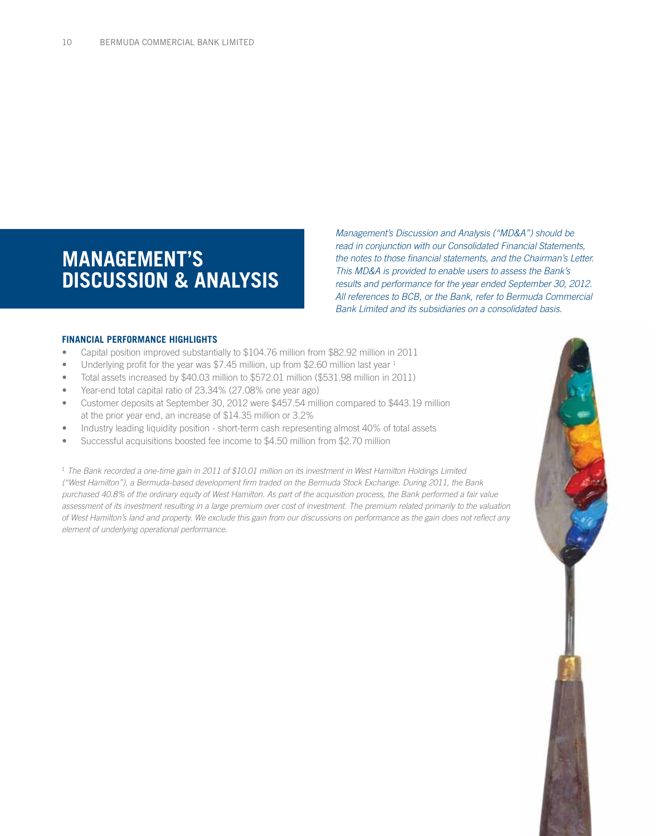# **MANAGEMENT'S DISCUSSION & ANALYSIS**

*Management's Discussion and Analysis ("MD&A") should be read in conjunction with our Consolidated Financial Statements, the notes to those financial statements, and the Chairman's Letter. This MD&A is provided to enable users to assess the Bank's results and performance for the year ended September 30, 2012. All references to BCB, or the Bank, refer to Bermuda Commercial Bank Limited and its subsidiaries on a consolidated basis.*

#### **FINANCIAL PERFORMANCE HIGHLIGHTS**

- Capital position improved substantially to \$104.76 million from \$82.92 million in 2011
- Underlying profit for the year was \$7.45 million, up from \$2.60 million last year  $1$
- Total assets increased by \$40.03 million to \$572.01 million (\$531.98 million in 2011)
- Year-end total capital ratio of 23.34% (27.08% one year ago)
- • Customer deposits at September 30, 2012 were \$457.54 million compared to \$443.19 million at the prior year end, an increase of \$14.35 million or 3.2%
- Industry leading liquidity position short-term cash representing almost 40% of total assets
- Successful acquisitions boosted fee income to \$4.50 million from \$2.70 million

<sup>1</sup> *The Bank recorded a one-time gain in 2011 of \$10.01 million on its investment in West Hamilton Holdings Limited ("West Hamilton"), a Bermuda-based development firm traded on the Bermuda Stock Exchange. During 2011, the Bank purchased 40.8% of the ordinary equity of West Hamilton. As part of the acquisition process, the Bank performed a fair value assessment of its investment resulting in a large premium over cost of investment. The premium related primarily to the valuation of West Hamilton's land and property. We exclude this gain from our discussions on performance as the gain does not reflect any element of underlying operational performance.*

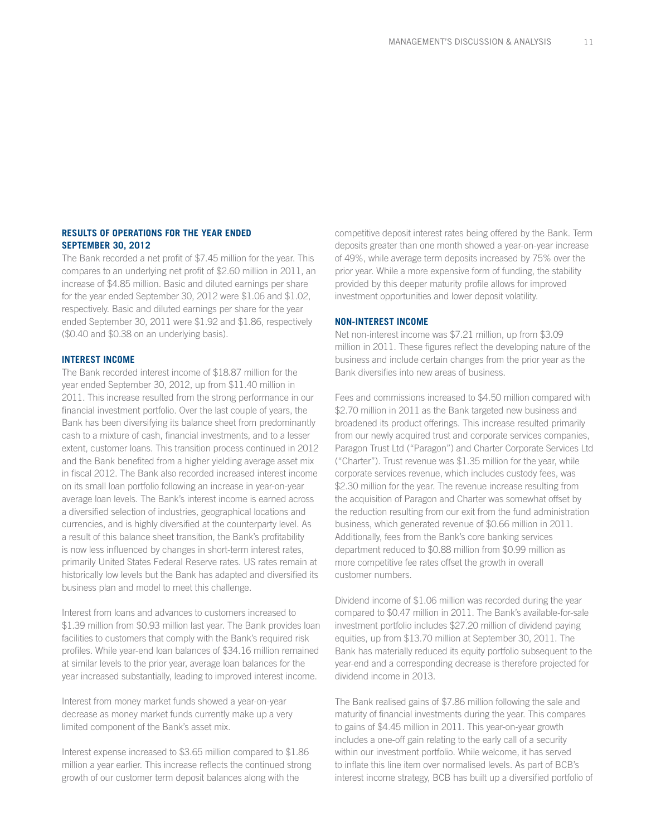### **RESULTS OF OPERATIONS FOR THE YEAR ENDED SEPTEMBER 30, 2012**

The Bank recorded a net profit of \$7.45 million for the year. This compares to an underlying net profit of \$2.60 million in 2011, an increase of \$4.85 million. Basic and diluted earnings per share for the year ended September 30, 2012 were \$1.06 and \$1.02, respectively. Basic and diluted earnings per share for the year ended September 30, 2011 were \$1.92 and \$1.86, respectively (\$0.40 and \$0.38 on an underlying basis).

#### **INTEREST INCOME**

The Bank recorded interest income of \$18.87 million for the year ended September 30, 2012, up from \$11.40 million in 2011. This increase resulted from the strong performance in our financial investment portfolio. Over the last couple of years, the Bank has been diversifying its balance sheet from predominantly cash to a mixture of cash, financial investments, and to a lesser extent, customer loans. This transition process continued in 2012 and the Bank benefited from a higher yielding average asset mix in fiscal 2012. The Bank also recorded increased interest income on its small loan portfolio following an increase in year-on-year average loan levels. The Bank's interest income is earned across a diversified selection of industries, geographical locations and currencies, and is highly diversified at the counterparty level. As a result of this balance sheet transition, the Bank's profitability is now less influenced by changes in short-term interest rates, primarily United States Federal Reserve rates. US rates remain at historically low levels but the Bank has adapted and diversified its business plan and model to meet this challenge.

Interest from loans and advances to customers increased to \$1.39 million from \$0.93 million last year. The Bank provides loan facilities to customers that comply with the Bank's required risk profiles. While year-end loan balances of \$34.16 million remained at similar levels to the prior year, average loan balances for the year increased substantially, leading to improved interest income.

Interest from money market funds showed a year-on-year decrease as money market funds currently make up a very limited component of the Bank's asset mix.

Interest expense increased to \$3.65 million compared to \$1.86 million a year earlier. This increase reflects the continued strong growth of our customer term deposit balances along with the

competitive deposit interest rates being offered by the Bank. Term deposits greater than one month showed a year-on-year increase of 49%, while average term deposits increased by 75% over the prior year. While a more expensive form of funding, the stability provided by this deeper maturity profile allows for improved investment opportunities and lower deposit volatility.

#### **NON-INTEREST INCOME**

Net non-interest income was \$7.21 million, up from \$3.09 million in 2011. These figures reflect the developing nature of the business and include certain changes from the prior year as the Bank diversifies into new areas of business.

Fees and commissions increased to \$4.50 million compared with \$2.70 million in 2011 as the Bank targeted new business and broadened its product offerings. This increase resulted primarily from our newly acquired trust and corporate services companies, Paragon Trust Ltd ("Paragon") and Charter Corporate Services Ltd ("Charter"). Trust revenue was \$1.35 million for the year, while corporate services revenue, which includes custody fees, was \$2.30 million for the year. The revenue increase resulting from the acquisition of Paragon and Charter was somewhat offset by the reduction resulting from our exit from the fund administration business, which generated revenue of \$0.66 million in 2011. Additionally, fees from the Bank's core banking services department reduced to \$0.88 million from \$0.99 million as more competitive fee rates offset the growth in overall customer numbers.

Dividend income of \$1.06 million was recorded during the year compared to \$0.47 million in 2011. The Bank's available-for-sale investment portfolio includes \$27.20 million of dividend paying equities, up from \$13.70 million at September 30, 2011. The Bank has materially reduced its equity portfolio subsequent to the year-end and a corresponding decrease is therefore projected for dividend income in 2013.

The Bank realised gains of \$7.86 million following the sale and maturity of financial investments during the year. This compares to gains of \$4.45 million in 2011. This year-on-year growth includes a one-off gain relating to the early call of a security within our investment portfolio. While welcome, it has served to inflate this line item over normalised levels. As part of BCB's interest income strategy, BCB has built up a diversified portfolio of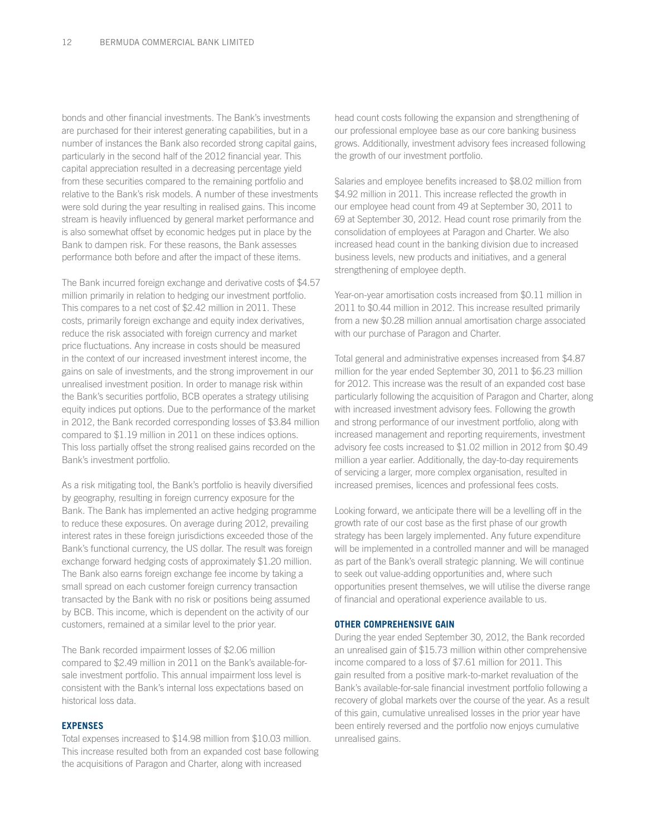bonds and other financial investments. The Bank's investments are purchased for their interest generating capabilities, but in a number of instances the Bank also recorded strong capital gains, particularly in the second half of the 2012 financial year. This capital appreciation resulted in a decreasing percentage yield from these securities compared to the remaining portfolio and relative to the Bank's risk models. A number of these investments were sold during the year resulting in realised gains. This income stream is heavily influenced by general market performance and is also somewhat offset by economic hedges put in place by the Bank to dampen risk. For these reasons, the Bank assesses performance both before and after the impact of these items.

The Bank incurred foreign exchange and derivative costs of \$4.57 million primarily in relation to hedging our investment portfolio. This compares to a net cost of \$2.42 million in 2011. These costs, primarily foreign exchange and equity index derivatives, reduce the risk associated with foreign currency and market price fluctuations. Any increase in costs should be measured in the context of our increased investment interest income, the gains on sale of investments, and the strong improvement in our unrealised investment position. In order to manage risk within the Bank's securities portfolio, BCB operates a strategy utilising equity indices put options. Due to the performance of the market in 2012, the Bank recorded corresponding losses of \$3.84 million compared to \$1.19 million in 2011 on these indices options. This loss partially offset the strong realised gains recorded on the Bank's investment portfolio.

As a risk mitigating tool, the Bank's portfolio is heavily diversified by geography, resulting in foreign currency exposure for the Bank. The Bank has implemented an active hedging programme to reduce these exposures. On average during 2012, prevailing interest rates in these foreign jurisdictions exceeded those of the Bank's functional currency, the US dollar. The result was foreign exchange forward hedging costs of approximately \$1.20 million. The Bank also earns foreign exchange fee income by taking a small spread on each customer foreign currency transaction transacted by the Bank with no risk or positions being assumed by BCB. This income, which is dependent on the activity of our customers, remained at a similar level to the prior year.

The Bank recorded impairment losses of \$2.06 million compared to \$2.49 million in 2011 on the Bank's available-forsale investment portfolio. This annual impairment loss level is consistent with the Bank's internal loss expectations based on historical loss data.

### **EXPENSES**

Total expenses increased to \$14.98 million from \$10.03 million. This increase resulted both from an expanded cost base following the acquisitions of Paragon and Charter, along with increased

head count costs following the expansion and strengthening of our professional employee base as our core banking business grows. Additionally, investment advisory fees increased following the growth of our investment portfolio.

Salaries and employee benefits increased to \$8.02 million from \$4.92 million in 2011. This increase reflected the growth in our employee head count from 49 at September 30, 2011 to 69 at September 30, 2012. Head count rose primarily from the consolidation of employees at Paragon and Charter. We also increased head count in the banking division due to increased business levels, new products and initiatives, and a general strengthening of employee depth.

Year-on-year amortisation costs increased from \$0.11 million in 2011 to \$0.44 million in 2012. This increase resulted primarily from a new \$0.28 million annual amortisation charge associated with our purchase of Paragon and Charter.

Total general and administrative expenses increased from \$4.87 million for the year ended September 30, 2011 to \$6.23 million for 2012. This increase was the result of an expanded cost base particularly following the acquisition of Paragon and Charter, along with increased investment advisory fees. Following the growth and strong performance of our investment portfolio, along with increased management and reporting requirements, investment advisory fee costs increased to \$1.02 million in 2012 from \$0.49 million a year earlier. Additionally, the day-to-day requirements of servicing a larger, more complex organisation, resulted in increased premises, licences and professional fees costs.

Looking forward, we anticipate there will be a levelling off in the growth rate of our cost base as the first phase of our growth strategy has been largely implemented. Any future expenditure will be implemented in a controlled manner and will be managed as part of the Bank's overall strategic planning. We will continue to seek out value-adding opportunities and, where such opportunities present themselves, we will utilise the diverse range of financial and operational experience available to us.

#### **OTHER COMPREHENSIVE GAIN**

During the year ended September 30, 2012, the Bank recorded an unrealised gain of \$15.73 million within other comprehensive income compared to a loss of \$7.61 million for 2011. This gain resulted from a positive mark-to-market revaluation of the Bank's available-for-sale financial investment portfolio following a recovery of global markets over the course of the year. As a result of this gain, cumulative unrealised losses in the prior year have been entirely reversed and the portfolio now enjoys cumulative unrealised gains.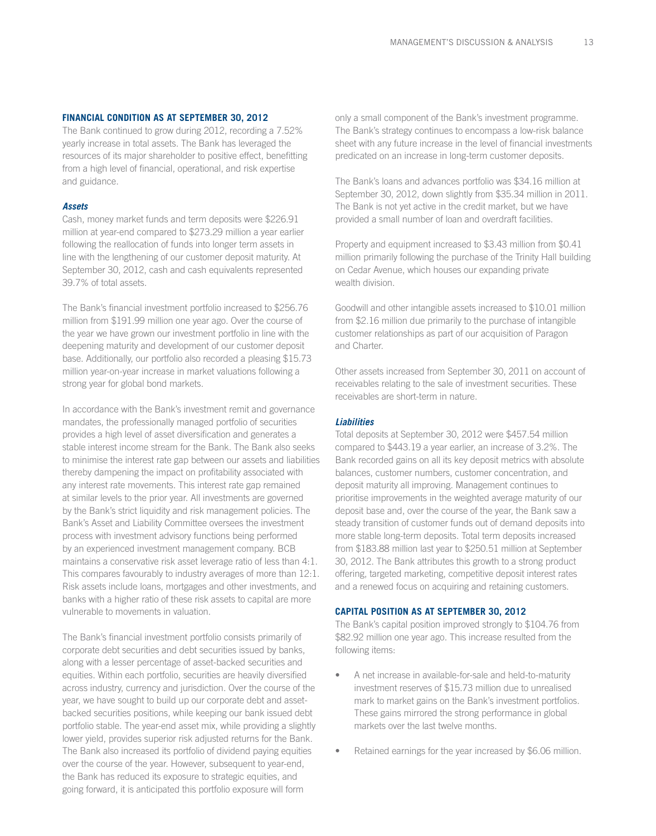#### **FINANCIAL CONDITION AS AT SEPTEMBER 30, 2012**

The Bank continued to grow during 2012, recording a 7.52% yearly increase in total assets. The Bank has leveraged the resources of its major shareholder to positive effect, benefitting from a high level of financial, operational, and risk expertise and guidance.

#### *Assets*

Cash, money market funds and term deposits were \$226.91 million at year-end compared to \$273.29 million a year earlier following the reallocation of funds into longer term assets in line with the lengthening of our customer deposit maturity. At September 30, 2012, cash and cash equivalents represented 39.7% of total assets.

The Bank's financial investment portfolio increased to \$256.76 million from \$191.99 million one year ago. Over the course of the year we have grown our investment portfolio in line with the deepening maturity and development of our customer deposit base. Additionally, our portfolio also recorded a pleasing \$15.73 million year-on-year increase in market valuations following a strong year for global bond markets.

In accordance with the Bank's investment remit and governance mandates, the professionally managed portfolio of securities provides a high level of asset diversification and generates a stable interest income stream for the Bank. The Bank also seeks to minimise the interest rate gap between our assets and liabilities thereby dampening the impact on profitability associated with any interest rate movements. This interest rate gap remained at similar levels to the prior year. All investments are governed by the Bank's strict liquidity and risk management policies. The Bank's Asset and Liability Committee oversees the investment process with investment advisory functions being performed by an experienced investment management company. BCB maintains a conservative risk asset leverage ratio of less than 4:1. This compares favourably to industry averages of more than 12:1. Risk assets include loans, mortgages and other investments, and banks with a higher ratio of these risk assets to capital are more vulnerable to movements in valuation.

The Bank's financial investment portfolio consists primarily of corporate debt securities and debt securities issued by banks, along with a lesser percentage of asset-backed securities and equities. Within each portfolio, securities are heavily diversified across industry, currency and jurisdiction. Over the course of the year, we have sought to build up our corporate debt and assetbacked securities positions, while keeping our bank issued debt portfolio stable. The year-end asset mix, while providing a slightly lower yield, provides superior risk adjusted returns for the Bank. The Bank also increased its portfolio of dividend paying equities over the course of the year. However, subsequent to year-end, the Bank has reduced its exposure to strategic equities, and going forward, it is anticipated this portfolio exposure will form

only a small component of the Bank's investment programme. The Bank's strategy continues to encompass a low-risk balance sheet with any future increase in the level of financial investments predicated on an increase in long-term customer deposits.

The Bank's loans and advances portfolio was \$34.16 million at September 30, 2012, down slightly from \$35.34 million in 2011. The Bank is not yet active in the credit market, but we have provided a small number of loan and overdraft facilities.

Property and equipment increased to \$3.43 million from \$0.41 million primarily following the purchase of the Trinity Hall building on Cedar Avenue, which houses our expanding private wealth division.

Goodwill and other intangible assets increased to \$10.01 million from \$2.16 million due primarily to the purchase of intangible customer relationships as part of our acquisition of Paragon and Charter.

Other assets increased from September 30, 2011 on account of receivables relating to the sale of investment securities. These receivables are short-term in nature.

#### *Liabilities*

Total deposits at September 30, 2012 were \$457.54 million compared to \$443.19 a year earlier, an increase of 3.2%. The Bank recorded gains on all its key deposit metrics with absolute balances, customer numbers, customer concentration, and deposit maturity all improving. Management continues to prioritise improvements in the weighted average maturity of our deposit base and, over the course of the year, the Bank saw a steady transition of customer funds out of demand deposits into more stable long-term deposits. Total term deposits increased from \$183.88 million last year to \$250.51 million at September 30, 2012. The Bank attributes this growth to a strong product offering, targeted marketing, competitive deposit interest rates and a renewed focus on acquiring and retaining customers.

#### **CAPITAL POSITION AS AT SEPTEMBER 30, 2012**

The Bank's capital position improved strongly to \$104.76 from \$82.92 million one year ago. This increase resulted from the following items:

- A net increase in available-for-sale and held-to-maturity investment reserves of \$15.73 million due to unrealised mark to market gains on the Bank's investment portfolios. These gains mirrored the strong performance in global markets over the last twelve months.
- Retained earnings for the year increased by \$6.06 million.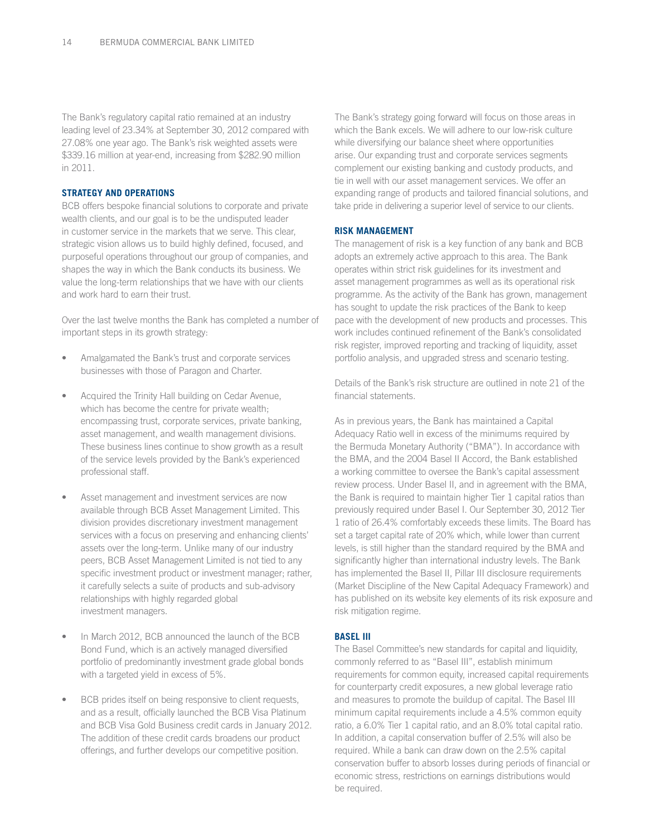The Bank's regulatory capital ratio remained at an industry leading level of 23.34% at September 30, 2012 compared with 27.08% one year ago. The Bank's risk weighted assets were \$339.16 million at year-end, increasing from \$282.90 million in 2011.

### **STRATEGY AND OPERATIONS**

BCB offers bespoke financial solutions to corporate and private wealth clients, and our goal is to be the undisputed leader in customer service in the markets that we serve. This clear, strategic vision allows us to build highly defined, focused, and purposeful operations throughout our group of companies, and shapes the way in which the Bank conducts its business. We value the long-term relationships that we have with our clients and work hard to earn their trust.

Over the last twelve months the Bank has completed a number of important steps in its growth strategy:

- Amalgamated the Bank's trust and corporate services businesses with those of Paragon and Charter.
- Acquired the Trinity Hall building on Cedar Avenue, which has become the centre for private wealth; encompassing trust, corporate services, private banking, asset management, and wealth management divisions. These business lines continue to show growth as a result of the service levels provided by the Bank's experienced professional staff.
- Asset management and investment services are now available through BCB Asset Management Limited. This division provides discretionary investment management services with a focus on preserving and enhancing clients' assets over the long-term. Unlike many of our industry peers, BCB Asset Management Limited is not tied to any specific investment product or investment manager; rather, it carefully selects a suite of products and sub-advisory relationships with highly regarded global investment managers.
- In March 2012, BCB announced the launch of the BCB Bond Fund, which is an actively managed diversified portfolio of predominantly investment grade global bonds with a targeted yield in excess of 5%.
- BCB prides itself on being responsive to client requests, and as a result, officially launched the BCB Visa Platinum and BCB Visa Gold Business credit cards in January 2012. The addition of these credit cards broadens our product offerings, and further develops our competitive position.

The Bank's strategy going forward will focus on those areas in which the Bank excels. We will adhere to our low-risk culture while diversifying our balance sheet where opportunities arise. Our expanding trust and corporate services segments complement our existing banking and custody products, and tie in well with our asset management services. We offer an expanding range of products and tailored financial solutions, and take pride in delivering a superior level of service to our clients.

#### **RISK MANAGEMENT**

The management of risk is a key function of any bank and BCB adopts an extremely active approach to this area. The Bank operates within strict risk guidelines for its investment and asset management programmes as well as its operational risk programme. As the activity of the Bank has grown, management has sought to update the risk practices of the Bank to keep pace with the development of new products and processes. This work includes continued refinement of the Bank's consolidated risk register, improved reporting and tracking of liquidity, asset portfolio analysis, and upgraded stress and scenario testing.

Details of the Bank's risk structure are outlined in note 21 of the financial statements.

As in previous years, the Bank has maintained a Capital Adequacy Ratio well in excess of the minimums required by the Bermuda Monetary Authority ("BMA"). In accordance with the BMA, and the 2004 Basel II Accord, the Bank established a working committee to oversee the Bank's capital assessment review process. Under Basel II, and in agreement with the BMA, the Bank is required to maintain higher Tier 1 capital ratios than previously required under Basel I. Our September 30, 2012 Tier 1 ratio of 26.4% comfortably exceeds these limits. The Board has set a target capital rate of 20% which, while lower than current levels, is still higher than the standard required by the BMA and significantly higher than international industry levels. The Bank has implemented the Basel II, Pillar III disclosure requirements (Market Discipline of the New Capital Adequacy Framework) and has published on its website key elements of its risk exposure and risk mitigation regime.

#### **BASEL III**

The Basel Committee's new standards for capital and liquidity, commonly referred to as "Basel III", establish minimum requirements for common equity, increased capital requirements for counterparty credit exposures, a new global leverage ratio and measures to promote the buildup of capital. The Basel III minimum capital requirements include a 4.5% common equity ratio, a 6.0% Tier 1 capital ratio, and an 8.0% total capital ratio. In addition, a capital conservation buffer of 2.5% will also be required. While a bank can draw down on the 2.5% capital conservation buffer to absorb losses during periods of financial or economic stress, restrictions on earnings distributions would be required.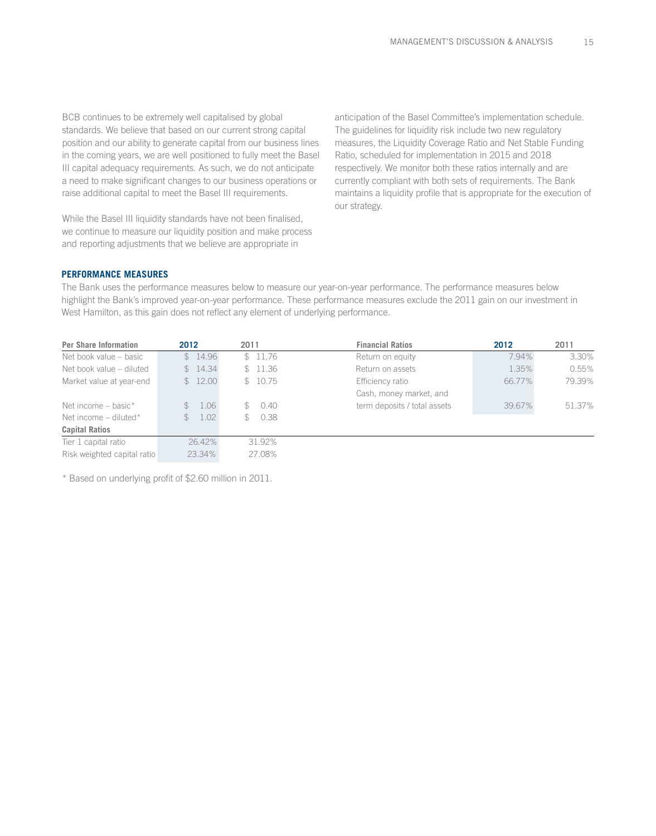BCB continues to be extremely well capitalised by global standards. We believe that based on our current strong capital position and our ability to generate capital from our business lines in the coming years, we are well positioned to fully meet the Basel III capital adequacy requirements. As such, we do not anticipate a need to make significant changes to our business operations or raise additional capital to meet the Basel III requirements.

While the Basel III liquidity standards have not been finalised, we continue to measure our liquidity position and make process and reporting adjustments that we believe are appropriate in

anticipation of the Basel Committee's implementation schedule. The guidelines for liquidity risk include two new regulatory measures, the Liquidity Coverage Ratio and Net Stable Funding Ratio, scheduled for implementation in 2015 and 2018 respectively. We monitor both these ratios internally and are currently compliant with both sets of requirements. The Bank maintains a liquidity profile that is appropriate for the execution of our strategy.

#### **PERFORMANCE MEASURES**

The Bank uses the performance measures below to measure our year-on-year performance. The performance measures below highlight the Bank's improved year-on-year performance. These performance measures exclude the 2011 gain on our investment in West Hamilton, as this gain does not reflect any element of underlying performance.

| <b>Per Share Information</b> | 2012                 | <b>Financial Ratios</b><br>2011 |                              | 2012   | 2011   |
|------------------------------|----------------------|---------------------------------|------------------------------|--------|--------|
| Net book value – basic       | \$14.96              | \$11.76                         | Return on equity             | 7.94%  | 3.30%  |
| Net book value – diluted     | \$14.34              | \$11.36                         | Return on assets             | 1.35%  | 0.55%  |
| Market value at year-end     | \$12.00              | \$10.75                         | Efficiency ratio             | 66.77% | 79.39% |
|                              |                      |                                 | Cash, money market, and      |        |        |
| Net income - basic*          | \$1.06               | 0.40<br>$\mathbb{S}$            | term deposits / total assets | 39.67% | 51.37% |
| Net income $-$ diluted*      | 1.02<br>$\mathbb{S}$ | \$0.38                          |                              |        |        |
| <b>Capital Ratios</b>        |                      |                                 |                              |        |        |
| Tier 1 capital ratio         | 26.42%               | 31.92%                          |                              |        |        |
| Risk weighted capital ratio  | 23.34%               | 27.08%                          |                              |        |        |

\* Based on underlying profit of \$2.60 million in 2011.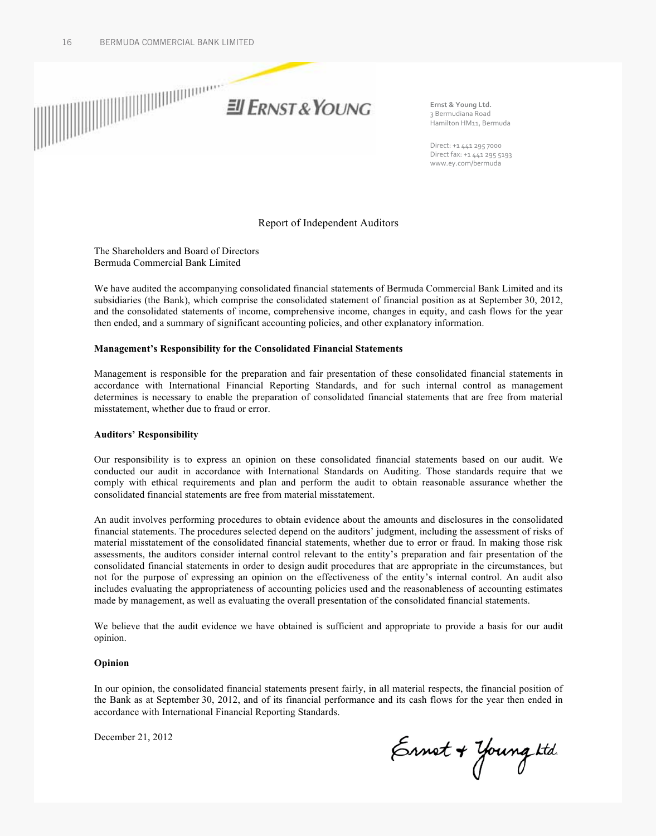

Ernst & Young Ltd. 3 Bermudiana Road Hamilton HM11, Bermuda

Direct: +1 441 295 7000 Direct fax: +1 441 295 5193 www.ey.com/bermuda

### Report of Independent Auditors

The Shareholders and Board of Directors Bermuda Commercial Bank Limited

We have audited the accompanying consolidated financial statements of Bermuda Commercial Bank Limited and its subsidiaries (the Bank), which comprise the consolidated statement of financial position as at September 30, 2012, and the consolidated statements of income, comprehensive income, changes in equity, and cash flows for the year then ended, and a summary of significant accounting policies, and other explanatory information.

#### **Management's Responsibility for the Consolidated Financial Statements**

Management is responsible for the preparation and fair presentation of these consolidated financial statements in accordance with International Financial Reporting Standards, and for such internal control as management determines is necessary to enable the preparation of consolidated financial statements that are free from material misstatement, whether due to fraud or error.

#### **Auditors' Responsibility**

Our responsibility is to express an opinion on these consolidated financial statements based on our audit. We conducted our audit in accordance with International Standards on Auditing. Those standards require that we comply with ethical requirements and plan and perform the audit to obtain reasonable assurance whether the consolidated financial statements are free from material misstatement.

An audit involves performing procedures to obtain evidence about the amounts and disclosures in the consolidated financial statements. The procedures selected depend on the auditors' judgment, including the assessment of risks of material misstatement of the consolidated financial statements, whether due to error or fraud. In making those risk assessments, the auditors consider internal control relevant to the entity's preparation and fair presentation of the consolidated financial statements in order to design audit procedures that are appropriate in the circumstances, but not for the purpose of expressing an opinion on the effectiveness of the entity's internal control. An audit also includes evaluating the appropriateness of accounting policies used and the reasonableness of accounting estimates made by management, as well as evaluating the overall presentation of the consolidated financial statements.

We believe that the audit evidence we have obtained is sufficient and appropriate to provide a basis for our audit opinion.

#### **Opinion**

In our opinion, the consolidated financial statements present fairly, in all material respects, the financial position of the Bank as at September 30, 2012, and of its financial performance and its cash flows for the year then ended in accordance with International Financial Reporting Standards.

December 21, 2012

Ernet + Young ktd.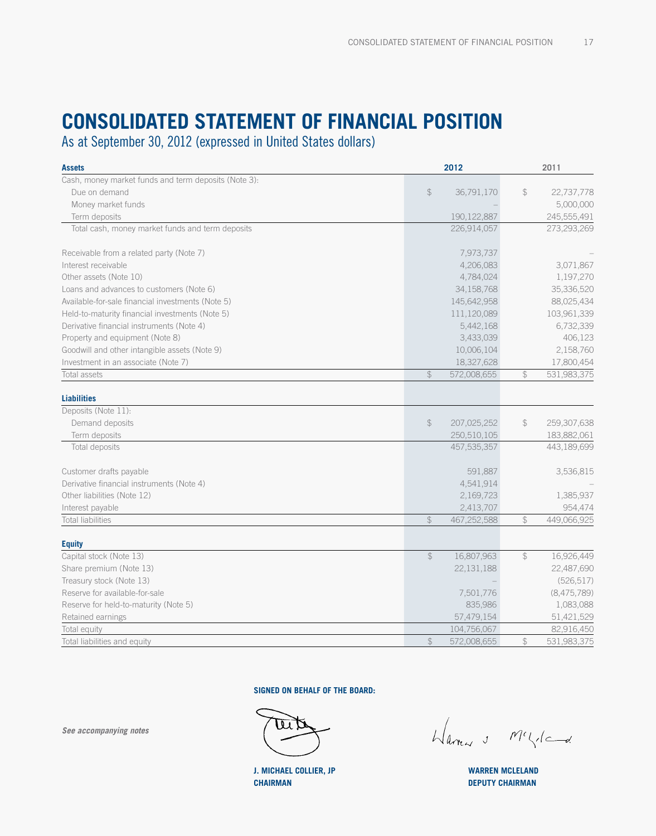# **CONSOLIDATED STATEMENT OF FINANciAL POSITION**

As at September 30, 2012 (expressed in United States dollars)

| <b>Assets</b>                                        |                | 2012          |               | 2011        |
|------------------------------------------------------|----------------|---------------|---------------|-------------|
| Cash, money market funds and term deposits (Note 3): |                |               |               |             |
| Due on demand                                        | $$\mathbb{S}$$ | 36,791,170    | \$            | 22,737,778  |
| Money market funds                                   |                |               |               | 5,000,000   |
| Term deposits                                        |                | 190, 122, 887 |               | 245,555,491 |
| Total cash, money market funds and term deposits     |                | 226,914,057   |               | 273,293,269 |
| Receivable from a related party (Note 7)             |                | 7,973,737     |               |             |
| Interest receivable                                  |                | 4,206,083     |               | 3,071,867   |
| Other assets (Note 10)                               |                | 4,784,024     |               | 1,197,270   |
| Loans and advances to customers (Note 6)             |                | 34,158,768    |               | 35,336,520  |
| Available-for-sale financial investments (Note 5)    |                | 145,642,958   |               | 88,025,434  |
| Held-to-maturity financial investments (Note 5)      |                | 111,120,089   |               | 103,961,339 |
| Derivative financial instruments (Note 4)            |                | 5,442,168     |               | 6,732,339   |
| Property and equipment (Note 8)                      |                | 3,433,039     |               | 406,123     |
| Goodwill and other intangible assets (Note 9)        |                | 10,006,104    |               | 2,158,760   |
| Investment in an associate (Note 7)                  |                | 18,327,628    |               | 17,800,454  |
| Total assets                                         | $\mathcal{P}$  | 572,008,655   | \$            | 531,983,375 |
| <b>Liabilities</b>                                   |                |               |               |             |
| Deposits (Note 11):                                  |                |               |               |             |
| Demand deposits                                      | $\updownarrow$ | 207,025,252   | $\mathcal{L}$ | 259,307,638 |
| Term deposits                                        |                | 250,510,105   |               | 183,882,061 |
| Total deposits                                       |                | 457,535,357   |               | 443,189,699 |
| Customer drafts payable                              |                | 591,887       |               | 3,536,815   |
| Derivative financial instruments (Note 4)            |                | 4,541,914     |               |             |
| Other liabilities (Note 12)                          |                | 2,169,723     |               | 1,385,937   |
| Interest payable                                     |                | 2,413,707     |               | 954,474     |
| <b>Total liabilities</b>                             | $\mathcal{L}$  | 467,252,588   | \$            | 449,066,925 |
| <b>Equity</b>                                        |                |               |               |             |
| Capital stock (Note 13)                              | $\mathcal{L}$  | 16,807,963    | \$            | 16,926,449  |
| Share premium (Note 13)                              |                | 22,131,188    |               | 22,487,690  |
| Treasury stock (Note 13)                             |                |               |               | (526, 517)  |
| Reserve for available-for-sale                       |                | 7,501,776     |               | (8,475,789) |
| Reserve for held-to-maturity (Note 5)                |                | 835.986       |               | 1,083,088   |
| Retained earnings                                    |                | 57,479,154    |               | 51,421,529  |
| Total equity                                         |                | 104,756,067   |               | 82,916,450  |
| Total liabilities and equity                         | $\mathcal{L}$  | 572,008,655   | \$            | 531,983,375 |

**SIGNED ON BEHALF OF THE BOARD:**

Harry & McLica

**WARREN MCLELAND DEPUTY CHAIRMAN**

*See accompanying notes*

**J. MICHAEL COLLIER, JP CHAIRMAN**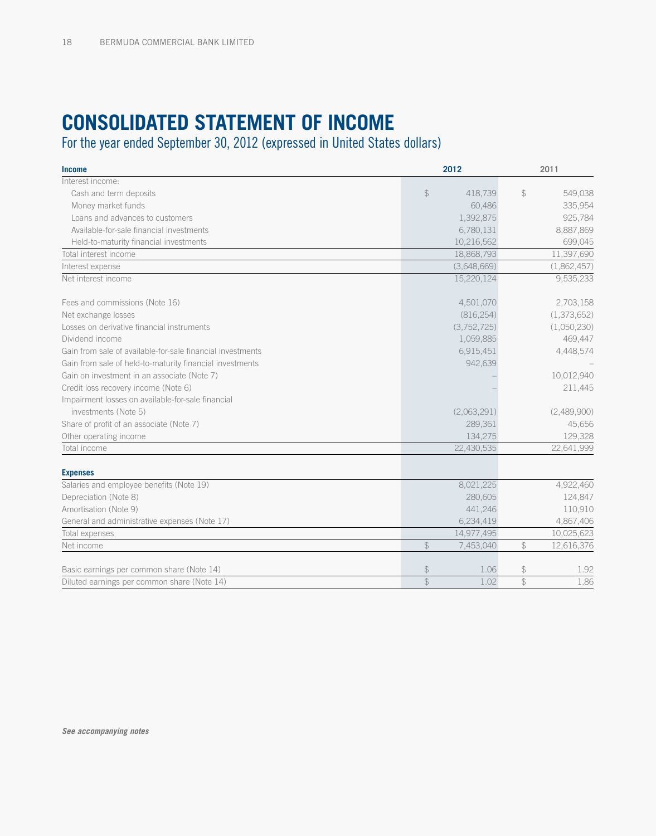# **Consolidated Statement of Income**

For the year ended September 30, 2012 (expressed in United States dollars)

| <b>Income</b>                                              |               | 2012        |               | 2011        |
|------------------------------------------------------------|---------------|-------------|---------------|-------------|
| Interest income:                                           |               |             |               |             |
| Cash and term deposits                                     | $\mathcal{L}$ | 418.739     | $\mathcal{L}$ | 549,038     |
| Money market funds                                         |               | 60,486      |               | 335,954     |
| Loans and advances to customers                            |               | 1,392,875   |               | 925,784     |
| Available-for-sale financial investments                   |               | 6,780,131   |               | 8,887,869   |
| Held-to-maturity financial investments                     |               | 10,216,562  |               | 699,045     |
| Total interest income                                      |               | 18,868,793  |               | 11,397,690  |
| Interest expense                                           |               | (3,648,669) |               | (1,862,457) |
| Net interest income                                        |               | 15,220,124  |               | 9,535,233   |
| Fees and commissions (Note 16)                             |               | 4,501,070   |               | 2,703,158   |
| Net exchange losses                                        |               | (816, 254)  |               | (1,373,652) |
| Losses on derivative financial instruments                 |               | (3,752,725) |               | (1,050,230) |
| Dividend income                                            |               | 1,059,885   |               | 469,447     |
| Gain from sale of available-for-sale financial investments |               | 6,915,451   |               | 4,448,574   |
| Gain from sale of held-to-maturity financial investments   |               | 942,639     |               |             |
| Gain on investment in an associate (Note 7)                |               |             |               | 10,012,940  |
| Credit loss recovery income (Note 6)                       |               |             |               | 211,445     |
| Impairment losses on available-for-sale financial          |               |             |               |             |
| investments (Note 5)                                       |               | (2,063,291) |               | (2,489,900) |
| Share of profit of an associate (Note 7)                   |               | 289,361     |               | 45,656      |
| Other operating income                                     |               | 134,275     |               | 129,328     |
| Total income                                               |               | 22,430,535  |               | 22,641,999  |
| <b>Expenses</b>                                            |               |             |               |             |
| Salaries and employee benefits (Note 19)                   |               | 8,021,225   |               | 4,922,460   |
| Depreciation (Note 8)                                      |               | 280,605     |               | 124,847     |
| Amortisation (Note 9)                                      |               | 441,246     |               | 110,910     |
| General and administrative expenses (Note 17)              |               | 6,234,419   |               | 4,867,406   |
| Total expenses                                             |               | 14,977,495  |               | 10,025,623  |
| Net income                                                 | $\mathcal{L}$ | 7,453,040   | $\mathcal{L}$ | 12,616,376  |
| Basic earnings per common share (Note 14)                  | $\frac{1}{2}$ | 1.06        | $\mathcal{L}$ | 1.92        |
| Diluted earnings per common share (Note 14)                | $\mathcal{L}$ | 1.02        | $\mathcal{L}$ | 1.86        |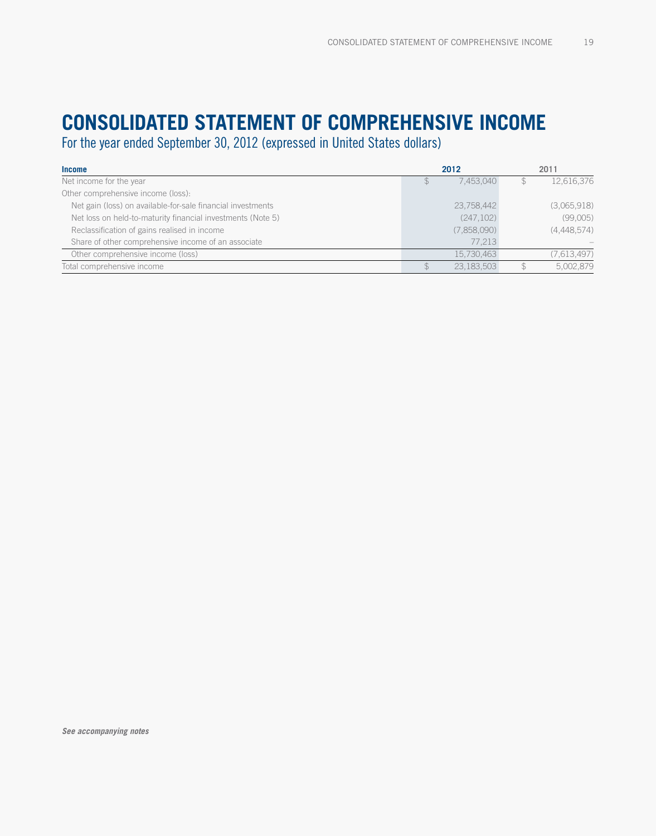# **Consolidated Statement of comprehensive Income**

For the year ended September 30, 2012 (expressed in United States dollars)

| <b>Income</b>                                               | 2012        | 2011 |             |  |
|-------------------------------------------------------------|-------------|------|-------------|--|
| Net income for the year                                     | 7.453.040   |      | 12,616,376  |  |
| Other comprehensive income (loss):                          |             |      |             |  |
| Net gain (loss) on available-for-sale financial investments | 23,758,442  |      | (3,065,918) |  |
| Net loss on held-to-maturity financial investments (Note 5) | (247, 102)  |      | (99,005)    |  |
| Reclassification of gains realised in income                | (7,858,090) |      | (4,448,574) |  |
| Share of other comprehensive income of an associate         | 77.213      |      |             |  |
| Other comprehensive income (loss)                           | 15,730,463  |      | (7,613,497) |  |
| Total comprehensive income                                  | 23.183.503  |      | 5,002,879   |  |

*See accompanying notes*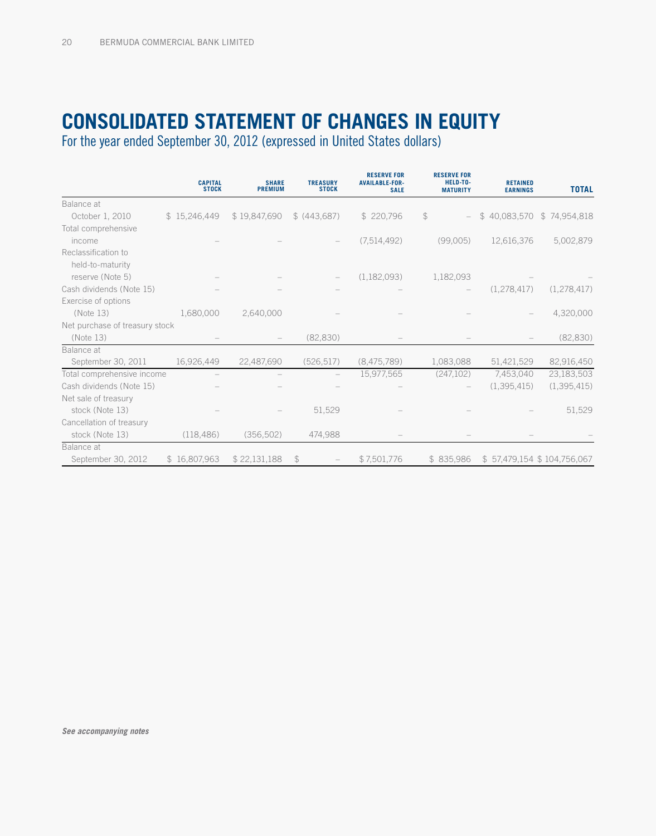# **Consolidated Statement of changes in equity**

For the year ended September 30, 2012 (expressed in United States dollars)

|                                | <b>CAPITAL</b><br><b>STOCK</b> | <b>SHARE</b><br><b>PREMIUM</b> | <b>TREASURY</b><br><b>STOCK</b> | <b>RESERVE FOR</b><br><b>AVAILABLE-FOR-</b><br><b>SALE</b> | <b>RESERVE FOR</b><br>HELD-TO-<br><b>MATURITY</b> | <b>RETAINED</b><br><b>EARNINGS</b> | <b>TOTAL</b>               |
|--------------------------------|--------------------------------|--------------------------------|---------------------------------|------------------------------------------------------------|---------------------------------------------------|------------------------------------|----------------------------|
| Balance at                     |                                |                                |                                 |                                                            |                                                   |                                    |                            |
| October 1, 2010                | \$15,246,449                   | \$19,847,690                   | \$ (443,687)                    | \$220,796                                                  | \$                                                | \$40,083,570                       | \$74,954,818               |
| Total comprehensive            |                                |                                |                                 |                                                            |                                                   |                                    |                            |
| income                         |                                |                                |                                 | (7,514,492)                                                | (99,005)                                          | 12,616,376                         | 5,002,879                  |
| Reclassification to            |                                |                                |                                 |                                                            |                                                   |                                    |                            |
| held-to-maturity               |                                |                                |                                 |                                                            |                                                   |                                    |                            |
| reserve (Note 5)               |                                |                                |                                 | (1,182,093)                                                | 1,182,093                                         |                                    |                            |
| Cash dividends (Note 15)       |                                |                                |                                 |                                                            |                                                   | (1,278,417)                        | (1, 278, 417)              |
| Exercise of options            |                                |                                |                                 |                                                            |                                                   |                                    |                            |
| (Note 13)                      | 1,680,000                      | 2,640,000                      |                                 |                                                            |                                                   |                                    | 4,320,000                  |
| Net purchase of treasury stock |                                |                                |                                 |                                                            |                                                   |                                    |                            |
| (Note 13)                      |                                |                                | (82, 830)                       |                                                            |                                                   |                                    | (82, 830)                  |
| Balance at                     |                                |                                |                                 |                                                            |                                                   |                                    |                            |
| September 30, 2011             | 16,926,449                     | 22,487,690                     | (526, 517)                      | (8,475,789)                                                | 1,083,088                                         | 51,421,529                         | 82,916,450                 |
| Total comprehensive income     |                                |                                |                                 | 15,977,565                                                 | (247, 102)                                        | 7,453,040                          | 23,183,503                 |
| Cash dividends (Note 15)       |                                |                                |                                 |                                                            |                                                   | (1,395,415)                        | (1,395,415)                |
| Net sale of treasury           |                                |                                |                                 |                                                            |                                                   |                                    |                            |
| stock (Note 13)                |                                |                                | 51,529                          |                                                            |                                                   |                                    | 51,529                     |
| Cancellation of treasury       |                                |                                |                                 |                                                            |                                                   |                                    |                            |
| stock (Note 13)                | (118, 486)                     | (356, 502)                     | 474,988                         |                                                            |                                                   |                                    |                            |
| Balance at                     |                                |                                |                                 |                                                            |                                                   |                                    |                            |
| September 30, 2012             | \$16,807,963                   | \$22,131,188                   | \$                              | \$7,501,776                                                | \$835,986                                         |                                    | \$57,479,154 \$104,756,067 |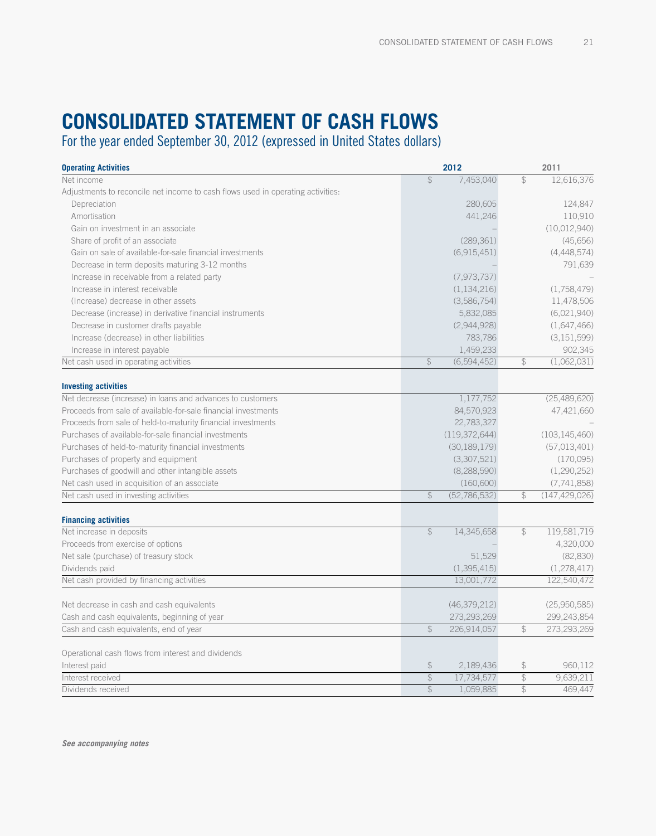# **CONSOLIDATED STATEMENT OF cash flows**

For the year ended September 30, 2012 (expressed in United States dollars)

| <b>Operating Activities</b>                                                     |                          | 2012            |               | 2011            |
|---------------------------------------------------------------------------------|--------------------------|-----------------|---------------|-----------------|
| Net income                                                                      | $\frac{1}{2}$            | 7,453,040       | $\mathcal{L}$ | 12,616,376      |
| Adjustments to reconcile net income to cash flows used in operating activities. |                          |                 |               |                 |
| Depreciation                                                                    |                          | 280,605         |               | 124,847         |
| Amortisation                                                                    |                          | 441,246         |               | 110,910         |
| Gain on investment in an associate                                              |                          |                 |               | (10,012,940)    |
| Share of profit of an associate                                                 |                          | (289, 361)      |               | (45,656)        |
| Gain on sale of available-for-sale financial investments                        |                          | (6.915.451)     |               | (4, 448, 574)   |
| Decrease in term deposits maturing 3-12 months                                  |                          |                 |               | 791,639         |
| Increase in receivable from a related party                                     |                          | (7, 973, 737)   |               |                 |
| Increase in interest receivable                                                 |                          | (1, 134, 216)   |               | (1,758,479)     |
| (Increase) decrease in other assets                                             |                          | (3,586,754)     |               | 11,478,506      |
| Decrease (increase) in derivative financial instruments                         |                          | 5,832,085       |               | (6,021,940)     |
| Decrease in customer drafts payable                                             |                          | (2,944,928)     |               | (1,647,466)     |
| Increase (decrease) in other liabilities                                        |                          | 783,786         |               | (3, 151, 599)   |
| Increase in interest payable                                                    |                          | 1,459,233       |               | 902,345         |
| Net cash used in operating activities                                           | $\mathcal{L}$            | (6,594,452)     | $\mathcal{L}$ | (1,062,031)     |
| <b>Investing activities</b>                                                     |                          |                 |               |                 |
| Net decrease (increase) in loans and advances to customers                      |                          | 1,177,752       |               | (25,489,620)    |
| Proceeds from sale of available-for-sale financial investments                  |                          | 84,570,923      |               | 47,421,660      |
| Proceeds from sale of held-to-maturity financial investments                    |                          | 22,783,327      |               |                 |
| Purchases of available-for-sale financial investments                           |                          | (119, 372, 644) |               | (103, 145, 460) |
| Purchases of held-to-maturity financial investments                             |                          | (30, 189, 179)  |               | (57,013,401)    |
| Purchases of property and equipment                                             |                          | (3,307,521)     |               | (170,095)       |
| Purchases of goodwill and other intangible assets                               |                          | (8, 288, 590)   |               | (1,290,252)     |
| Net cash used in acquisition of an associate                                    |                          | (160, 600)      |               | (7, 741, 858)   |
| Net cash used in investing activities                                           | $\mathcal{F}$            | (52, 786, 532)  | $\mathcal{L}$ | (147, 429, 026) |
|                                                                                 |                          |                 |               |                 |
| <b>Financing activities</b>                                                     |                          |                 |               |                 |
| Net increase in deposits                                                        | $\mathcal{L}$            | 14,345,658      | $\mathcal{L}$ | 119,581,719     |
| Proceeds from exercise of options                                               |                          |                 |               | 4,320,000       |
| Net sale (purchase) of treasury stock                                           |                          | 51,529          |               | (82, 830)       |
| Dividends paid                                                                  |                          | (1,395,415)     |               | (1,278,417)     |
| Net cash provided by financing activities                                       |                          | 13,001,772      |               | 122,540,472     |
| Net decrease in cash and cash equivalents                                       |                          | (46, 379, 212)  |               | (25,950,585)    |
| Cash and cash equivalents, beginning of year                                    |                          | 273,293,269     |               | 299,243,854     |
| Cash and cash equivalents, end of year                                          | $\mathcal{L}$            | 226,914,057     | $\mathcal{L}$ | 273,293,269     |
| Operational cash flows from interest and dividends                              |                          |                 |               |                 |
| Interest paid                                                                   | $$\mathbb{S}$$           | 2,189,436       | $\mathcal{L}$ | 960.112         |
| Interest received                                                               | $\frac{1}{2}$            | 17,734,577      | $\frac{1}{2}$ | 9,639,211       |
| Dividends received                                                              | $\overline{\mathcal{L}}$ | 1,059,885       | $\mathcal{L}$ | 469.447         |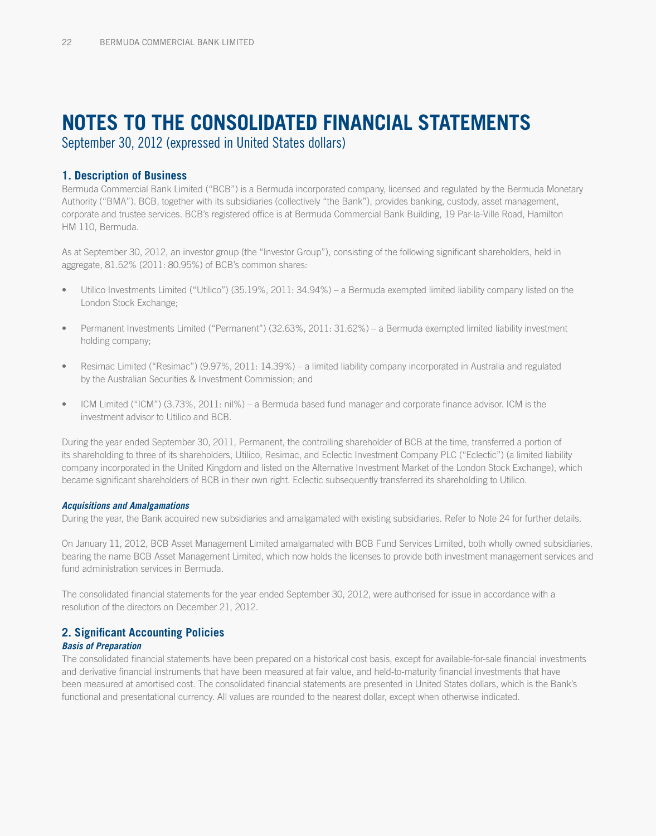# **notes to the consolidated financial statements**

September 30, 2012 (expressed in United States dollars)

### **1. Description of Business**

Bermuda Commercial Bank Limited ("BCB") is a Bermuda incorporated company, licensed and regulated by the Bermuda Monetary Authority ("BMA"). BCB, together with its subsidiaries (collectively "the Bank"), provides banking, custody, asset management, corporate and trustee services. BCB's registered office is at Bermuda Commercial Bank Building, 19 Par-la-Ville Road, Hamilton HM 110, Bermuda.

As at September 30, 2012, an investor group (the "Investor Group"), consisting of the following significant shareholders, held in aggregate, 81.52% (2011: 80.95%) of BCB's common shares:

- Utilico Investments Limited ("Utilico") (35.19%, 2011: 34.94%) a Bermuda exempted limited liability company listed on the London Stock Exchange;
- Permanent Investments Limited ("Permanent") (32.63%, 2011: 31.62%) a Bermuda exempted limited liability investment holding company;
- Resimac Limited ("Resimac") (9.97%, 2011: 14.39%) a limited liability company incorporated in Australia and regulated by the Australian Securities & Investment Commission; and
- ICM Limited ("ICM") (3.73%, 2011: nil%) a Bermuda based fund manager and corporate finance advisor. ICM is the investment advisor to Utilico and BCB.

During the year ended September 30, 2011, Permanent, the controlling shareholder of BCB at the time, transferred a portion of its shareholding to three of its shareholders, Utilico, Resimac, and Eclectic Investment Company PLC ("Eclectic") (a limited liability company incorporated in the United Kingdom and listed on the Alternative Investment Market of the London Stock Exchange), which became significant shareholders of BCB in their own right. Eclectic subsequently transferred its shareholding to Utilico.

#### *Acquisitions and Amalgamations*

During the year, the Bank acquired new subsidiaries and amalgamated with existing subsidiaries. Refer to Note 24 for further details.

On January 11, 2012, BCB Asset Management Limited amalgamated with BCB Fund Services Limited, both wholly owned subsidiaries, bearing the name BCB Asset Management Limited, which now holds the licenses to provide both investment management services and fund administration services in Bermuda.

The consolidated financial statements for the year ended September 30, 2012, were authorised for issue in accordance with a resolution of the directors on December 21, 2012.

## **2. Significant Accounting Policies**

#### *Basis of Preparation*

The consolidated financial statements have been prepared on a historical cost basis, except for available-for-sale financial investments and derivative financial instruments that have been measured at fair value, and held-to-maturity financial investments that have been measured at amortised cost. The consolidated financial statements are presented in United States dollars, which is the Bank's functional and presentational currency. All values are rounded to the nearest dollar, except when otherwise indicated.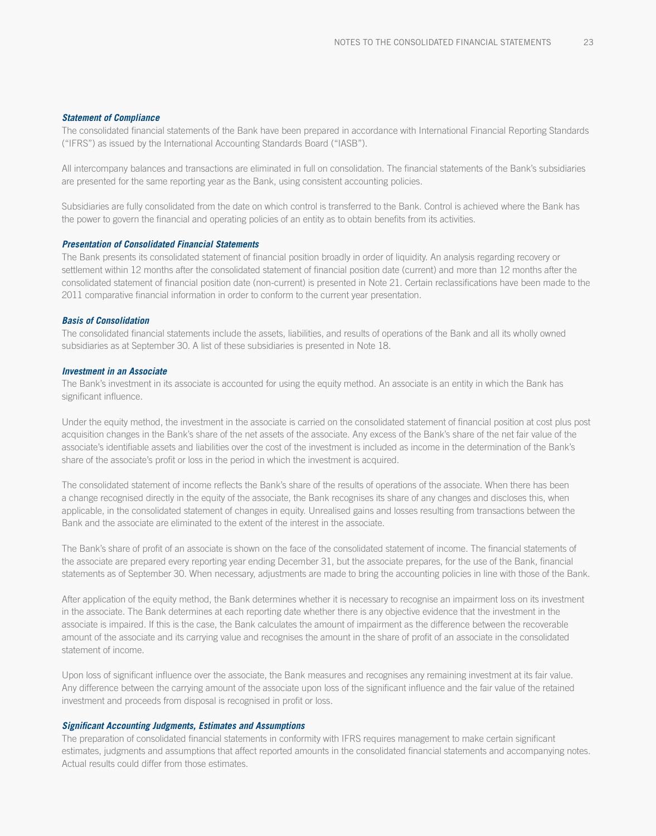#### *Statement of Compliance*

The consolidated financial statements of the Bank have been prepared in accordance with International Financial Reporting Standards ("IFRS") as issued by the International Accounting Standards Board ("IASB").

All intercompany balances and transactions are eliminated in full on consolidation. The financial statements of the Bank's subsidiaries are presented for the same reporting year as the Bank, using consistent accounting policies.

Subsidiaries are fully consolidated from the date on which control is transferred to the Bank. Control is achieved where the Bank has the power to govern the financial and operating policies of an entity as to obtain benefits from its activities.

#### *Presentation of Consolidated Financial Statements*

The Bank presents its consolidated statement of financial position broadly in order of liquidity. An analysis regarding recovery or settlement within 12 months after the consolidated statement of financial position date (current) and more than 12 months after the consolidated statement of financial position date (non-current) is presented in Note 21. Certain reclassifications have been made to the 2011 comparative financial information in order to conform to the current year presentation.

#### *Basis of Consolidation*

The consolidated financial statements include the assets, liabilities, and results of operations of the Bank and all its wholly owned subsidiaries as at September 30. A list of these subsidiaries is presented in Note 18.

#### *Investment in an Associate*

The Bank's investment in its associate is accounted for using the equity method. An associate is an entity in which the Bank has significant influence.

Under the equity method, the investment in the associate is carried on the consolidated statement of financial position at cost plus post acquisition changes in the Bank's share of the net assets of the associate. Any excess of the Bank's share of the net fair value of the associate's identifiable assets and liabilities over the cost of the investment is included as income in the determination of the Bank's share of the associate's profit or loss in the period in which the investment is acquired.

The consolidated statement of income reflects the Bank's share of the results of operations of the associate. When there has been a change recognised directly in the equity of the associate, the Bank recognises its share of any changes and discloses this, when applicable, in the consolidated statement of changes in equity. Unrealised gains and losses resulting from transactions between the Bank and the associate are eliminated to the extent of the interest in the associate.

The Bank's share of profit of an associate is shown on the face of the consolidated statement of income. The financial statements of the associate are prepared every reporting year ending December 31, but the associate prepares, for the use of the Bank, financial statements as of September 30. When necessary, adjustments are made to bring the accounting policies in line with those of the Bank.

After application of the equity method, the Bank determines whether it is necessary to recognise an impairment loss on its investment in the associate. The Bank determines at each reporting date whether there is any objective evidence that the investment in the associate is impaired. If this is the case, the Bank calculates the amount of impairment as the difference between the recoverable amount of the associate and its carrying value and recognises the amount in the share of profit of an associate in the consolidated statement of income.

Upon loss of significant influence over the associate, the Bank measures and recognises any remaining investment at its fair value. Any difference between the carrying amount of the associate upon loss of the significant influence and the fair value of the retained investment and proceeds from disposal is recognised in profit or loss.

#### *Significant Accounting Judgments, Estimates and Assumptions*

The preparation of consolidated financial statements in conformity with IFRS requires management to make certain significant estimates, judgments and assumptions that affect reported amounts in the consolidated financial statements and accompanying notes. Actual results could differ from those estimates.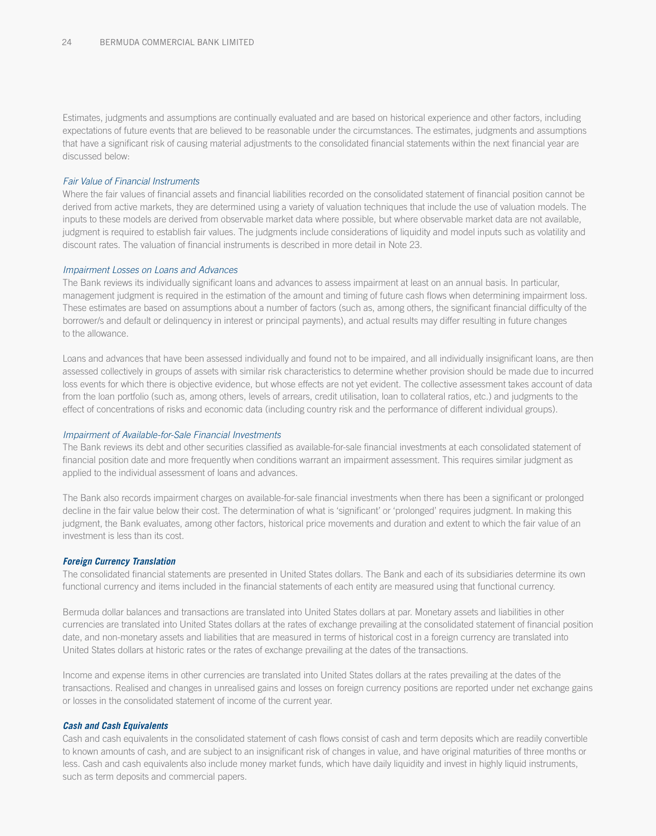Estimates, judgments and assumptions are continually evaluated and are based on historical experience and other factors, including expectations of future events that are believed to be reasonable under the circumstances. The estimates, judgments and assumptions that have a significant risk of causing material adjustments to the consolidated financial statements within the next financial year are discussed below:

#### *Fair Value of Financial Instruments*

Where the fair values of financial assets and financial liabilities recorded on the consolidated statement of financial position cannot be derived from active markets, they are determined using a variety of valuation techniques that include the use of valuation models. The inputs to these models are derived from observable market data where possible, but where observable market data are not available, judgment is required to establish fair values. The judgments include considerations of liquidity and model inputs such as volatility and discount rates. The valuation of financial instruments is described in more detail in Note 23.

#### *Impairment Losses on Loans and Advances*

The Bank reviews its individually significant loans and advances to assess impairment at least on an annual basis. In particular, management judgment is required in the estimation of the amount and timing of future cash flows when determining impairment loss. These estimates are based on assumptions about a number of factors (such as, among others, the significant financial difficulty of the borrower/s and default or delinquency in interest or principal payments), and actual results may differ resulting in future changes to the allowance.

Loans and advances that have been assessed individually and found not to be impaired, and all individually insignificant loans, are then assessed collectively in groups of assets with similar risk characteristics to determine whether provision should be made due to incurred loss events for which there is objective evidence, but whose effects are not yet evident. The collective assessment takes account of data from the loan portfolio (such as, among others, levels of arrears, credit utilisation, loan to collateral ratios, etc.) and judgments to the effect of concentrations of risks and economic data (including country risk and the performance of different individual groups).

#### *Impairment of Available-for-Sale Financial Investments*

The Bank reviews its debt and other securities classified as available-for-sale financial investments at each consolidated statement of financial position date and more frequently when conditions warrant an impairment assessment. This requires similar judgment as applied to the individual assessment of loans and advances.

The Bank also records impairment charges on available-for-sale financial investments when there has been a significant or prolonged decline in the fair value below their cost. The determination of what is 'significant' or 'prolonged' requires judgment. In making this judgment, the Bank evaluates, among other factors, historical price movements and duration and extent to which the fair value of an investment is less than its cost.

#### *Foreign Currency Translation*

The consolidated financial statements are presented in United States dollars. The Bank and each of its subsidiaries determine its own functional currency and items included in the financial statements of each entity are measured using that functional currency.

Bermuda dollar balances and transactions are translated into United States dollars at par. Monetary assets and liabilities in other currencies are translated into United States dollars at the rates of exchange prevailing at the consolidated statement of financial position date, and non-monetary assets and liabilities that are measured in terms of historical cost in a foreign currency are translated into United States dollars at historic rates or the rates of exchange prevailing at the dates of the transactions.

Income and expense items in other currencies are translated into United States dollars at the rates prevailing at the dates of the transactions. Realised and changes in unrealised gains and losses on foreign currency positions are reported under net exchange gains or losses in the consolidated statement of income of the current year.

#### *Cash and Cash Equivalents*

Cash and cash equivalents in the consolidated statement of cash flows consist of cash and term deposits which are readily convertible to known amounts of cash, and are subject to an insignificant risk of changes in value, and have original maturities of three months or less. Cash and cash equivalents also include money market funds, which have daily liquidity and invest in highly liquid instruments, such as term deposits and commercial papers.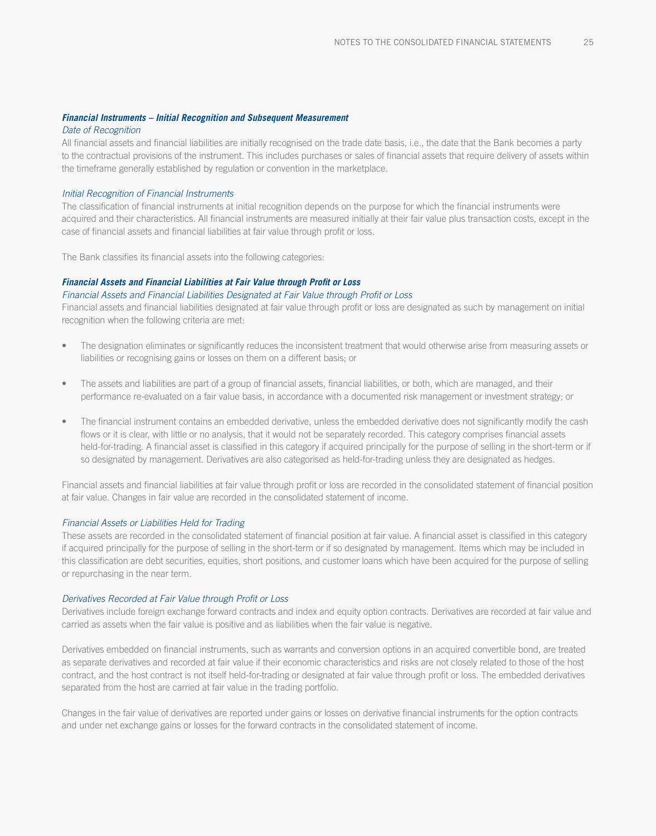#### *Financial Instruments – Initial Recognition and Subsequent Measurement*

#### *Date of Recognition*

All financial assets and financial liabilities are initially recognised on the trade date basis, i.e., the date that the Bank becomes a party to the contractual provisions of the instrument. This includes purchases or sales of financial assets that require delivery of assets within the timeframe generally established by regulation or convention in the marketplace.

#### *Initial Recognition of Financial Instruments*

The classification of financial instruments at initial recognition depends on the purpose for which the financial instruments were acquired and their characteristics. All financial instruments are measured initially at their fair value plus transaction costs, except in the case of financial assets and financial liabilities at fair value through profit or loss.

The Bank classifies its financial assets into the following categories:

#### *Financial Assets and Financial Liabilities at Fair Value through Profit or Loss*

*Financial Assets and Financial Liabilities Designated at Fair Value through Profit or Loss* 

Financial assets and financial liabilities designated at fair value through profit or loss are designated as such by management on initial recognition when the following criteria are met:

- The designation eliminates or significantly reduces the inconsistent treatment that would otherwise arise from measuring assets or liabilities or recognising gains or losses on them on a different basis; or
- The assets and liabilities are part of a group of financial assets, financial liabilities, or both, which are managed, and their performance re-evaluated on a fair value basis, in accordance with a documented risk management or investment strategy; or
- The financial instrument contains an embedded derivative, unless the embedded derivative does not significantly modify the cash flows or it is clear, with little or no analysis, that it would not be separately recorded. This category comprises financial assets held-for-trading. A financial asset is classified in this category if acquired principally for the purpose of selling in the short-term or if so designated by management. Derivatives are also categorised as held-for-trading unless they are designated as hedges.

Financial assets and financial liabilities at fair value through profit or loss are recorded in the consolidated statement of financial position at fair value. Changes in fair value are recorded in the consolidated statement of income.

#### *Financial Assets or Liabilities Held for Trading*

These assets are recorded in the consolidated statement of financial position at fair value. A financial asset is classified in this category if acquired principally for the purpose of selling in the short-term or if so designated by management. Items which may be included in this classification are debt securities, equities, short positions, and customer loans which have been acquired for the purpose of selling or repurchasing in the near term.

#### *Derivatives Recorded at Fair Value through Profit or Loss*

Derivatives include foreign exchange forward contracts and index and equity option contracts. Derivatives are recorded at fair value and carried as assets when the fair value is positive and as liabilities when the fair value is negative.

Derivatives embedded on financial instruments, such as warrants and conversion options in an acquired convertible bond, are treated as separate derivatives and recorded at fair value if their economic characteristics and risks are not closely related to those of the host contract, and the host contract is not itself held-for-trading or designated at fair value through profit or loss. The embedded derivatives separated from the host are carried at fair value in the trading portfolio.

Changes in the fair value of derivatives are reported under gains or losses on derivative financial instruments for the option contracts and under net exchange gains or losses for the forward contracts in the consolidated statement of income.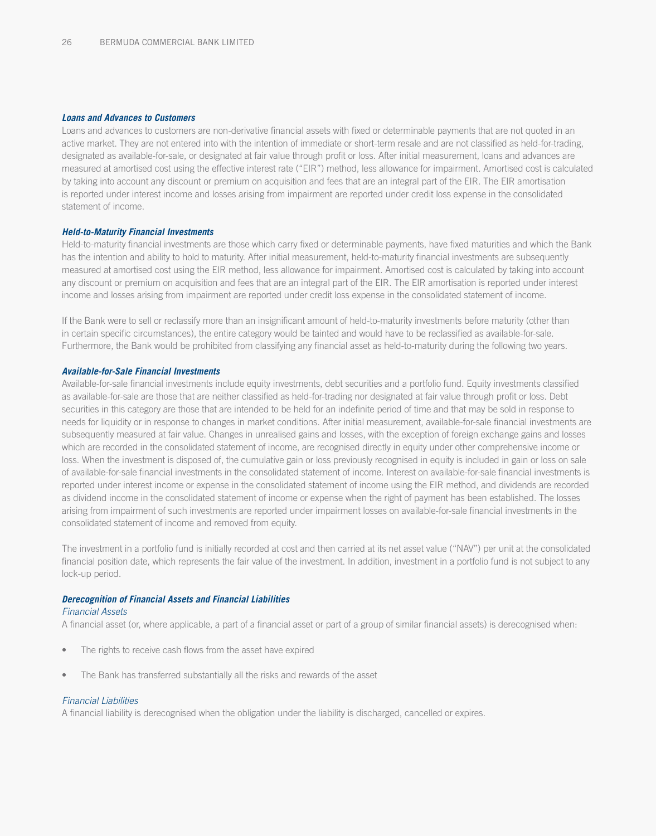#### *Loans and Advances to Customers*

Loans and advances to customers are non-derivative financial assets with fixed or determinable payments that are not quoted in an active market. They are not entered into with the intention of immediate or short-term resale and are not classified as held-for-trading, designated as available-for-sale, or designated at fair value through profit or loss. After initial measurement, loans and advances are measured at amortised cost using the effective interest rate ("EIR") method, less allowance for impairment. Amortised cost is calculated by taking into account any discount or premium on acquisition and fees that are an integral part of the EIR. The EIR amortisation is reported under interest income and losses arising from impairment are reported under credit loss expense in the consolidated statement of income.

#### *Held-to-Maturity Financial Investments*

Held-to-maturity financial investments are those which carry fixed or determinable payments, have fixed maturities and which the Bank has the intention and ability to hold to maturity. After initial measurement, held-to-maturity financial investments are subsequently measured at amortised cost using the EIR method, less allowance for impairment. Amortised cost is calculated by taking into account any discount or premium on acquisition and fees that are an integral part of the EIR. The EIR amortisation is reported under interest income and losses arising from impairment are reported under credit loss expense in the consolidated statement of income.

If the Bank were to sell or reclassify more than an insignificant amount of held-to-maturity investments before maturity (other than in certain specific circumstances), the entire category would be tainted and would have to be reclassified as available-for-sale. Furthermore, the Bank would be prohibited from classifying any financial asset as held-to-maturity during the following two years.

#### *Available-for-Sale Financial Investments*

Available-for-sale financial investments include equity investments, debt securities and a portfolio fund. Equity investments classified as available-for-sale are those that are neither classified as held-for-trading nor designated at fair value through profit or loss. Debt securities in this category are those that are intended to be held for an indefinite period of time and that may be sold in response to needs for liquidity or in response to changes in market conditions. After initial measurement, available-for-sale financial investments are subsequently measured at fair value. Changes in unrealised gains and losses, with the exception of foreign exchange gains and losses which are recorded in the consolidated statement of income, are recognised directly in equity under other comprehensive income or loss. When the investment is disposed of, the cumulative gain or loss previously recognised in equity is included in gain or loss on sale of available-for-sale financial investments in the consolidated statement of income. Interest on available-for-sale financial investments is reported under interest income or expense in the consolidated statement of income using the EIR method, and dividends are recorded as dividend income in the consolidated statement of income or expense when the right of payment has been established. The losses arising from impairment of such investments are reported under impairment losses on available-for-sale financial investments in the consolidated statement of income and removed from equity.

The investment in a portfolio fund is initially recorded at cost and then carried at its net asset value ("NAV") per unit at the consolidated financial position date, which represents the fair value of the investment. In addition, investment in a portfolio fund is not subject to any lock-up period.

#### *Derecognition of Financial Assets and Financial Liabilities*

#### *Financial Assets*

A financial asset (or, where applicable, a part of a financial asset or part of a group of similar financial assets) is derecognised when:

- The rights to receive cash flows from the asset have expired
- The Bank has transferred substantially all the risks and rewards of the asset

#### *Financial Liabilities*

A financial liability is derecognised when the obligation under the liability is discharged, cancelled or expires.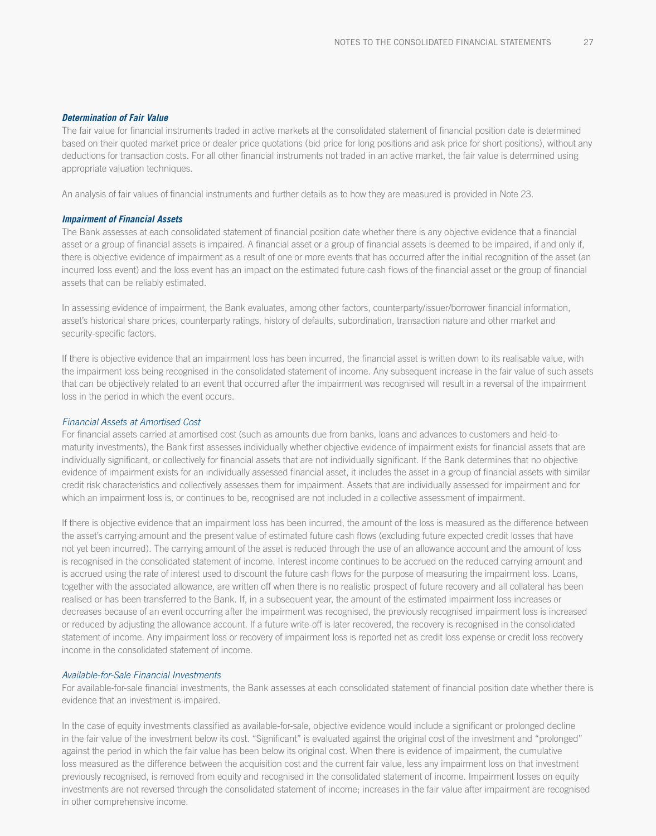#### *Determination of Fair Value*

The fair value for financial instruments traded in active markets at the consolidated statement of financial position date is determined based on their quoted market price or dealer price quotations (bid price for long positions and ask price for short positions), without any deductions for transaction costs. For all other financial instruments not traded in an active market, the fair value is determined using appropriate valuation techniques.

An analysis of fair values of financial instruments and further details as to how they are measured is provided in Note 23.

#### *Impairment of Financial Assets*

The Bank assesses at each consolidated statement of financial position date whether there is any objective evidence that a financial asset or a group of financial assets is impaired. A financial asset or a group of financial assets is deemed to be impaired, if and only if, there is objective evidence of impairment as a result of one or more events that has occurred after the initial recognition of the asset (an incurred loss event) and the loss event has an impact on the estimated future cash flows of the financial asset or the group of financial assets that can be reliably estimated.

In assessing evidence of impairment, the Bank evaluates, among other factors, counterparty/issuer/borrower financial information, asset's historical share prices, counterparty ratings, history of defaults, subordination, transaction nature and other market and security-specific factors.

If there is objective evidence that an impairment loss has been incurred, the financial asset is written down to its realisable value, with the impairment loss being recognised in the consolidated statement of income. Any subsequent increase in the fair value of such assets that can be objectively related to an event that occurred after the impairment was recognised will result in a reversal of the impairment loss in the period in which the event occurs.

#### *Financial Assets at Amortised Cost*

For financial assets carried at amortised cost (such as amounts due from banks, loans and advances to customers and held-tomaturity investments), the Bank first assesses individually whether objective evidence of impairment exists for financial assets that are individually significant, or collectively for financial assets that are not individually significant. If the Bank determines that no objective evidence of impairment exists for an individually assessed financial asset, it includes the asset in a group of financial assets with similar credit risk characteristics and collectively assesses them for impairment. Assets that are individually assessed for impairment and for which an impairment loss is, or continues to be, recognised are not included in a collective assessment of impairment.

If there is objective evidence that an impairment loss has been incurred, the amount of the loss is measured as the difference between the asset's carrying amount and the present value of estimated future cash flows (excluding future expected credit losses that have not yet been incurred). The carrying amount of the asset is reduced through the use of an allowance account and the amount of loss is recognised in the consolidated statement of income. Interest income continues to be accrued on the reduced carrying amount and is accrued using the rate of interest used to discount the future cash flows for the purpose of measuring the impairment loss. Loans, together with the associated allowance, are written off when there is no realistic prospect of future recovery and all collateral has been realised or has been transferred to the Bank. If, in a subsequent year, the amount of the estimated impairment loss increases or decreases because of an event occurring after the impairment was recognised, the previously recognised impairment loss is increased or reduced by adjusting the allowance account. If a future write-off is later recovered, the recovery is recognised in the consolidated statement of income. Any impairment loss or recovery of impairment loss is reported net as credit loss expense or credit loss recovery income in the consolidated statement of income.

#### *Available-for-Sale Financial Investments*

For available-for-sale financial investments, the Bank assesses at each consolidated statement of financial position date whether there is evidence that an investment is impaired.

In the case of equity investments classified as available-for-sale, objective evidence would include a significant or prolonged decline in the fair value of the investment below its cost. "Significant" is evaluated against the original cost of the investment and "prolonged" against the period in which the fair value has been below its original cost. When there is evidence of impairment, the cumulative loss measured as the difference between the acquisition cost and the current fair value, less any impairment loss on that investment previously recognised, is removed from equity and recognised in the consolidated statement of income. Impairment losses on equity investments are not reversed through the consolidated statement of income; increases in the fair value after impairment are recognised in other comprehensive income.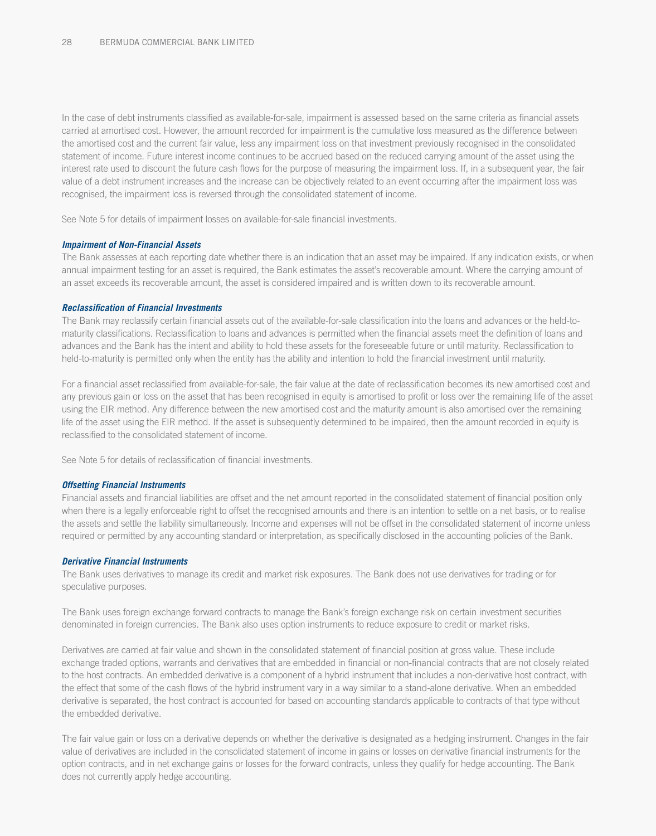In the case of debt instruments classified as available-for-sale, impairment is assessed based on the same criteria as financial assets carried at amortised cost. However, the amount recorded for impairment is the cumulative loss measured as the difference between the amortised cost and the current fair value, less any impairment loss on that investment previously recognised in the consolidated statement of income. Future interest income continues to be accrued based on the reduced carrying amount of the asset using the interest rate used to discount the future cash flows for the purpose of measuring the impairment loss. If, in a subsequent year, the fair value of a debt instrument increases and the increase can be objectively related to an event occurring after the impairment loss was recognised, the impairment loss is reversed through the consolidated statement of income.

See Note 5 for details of impairment losses on available-for-sale financial investments.

#### *Impairment of Non-Financial Assets*

The Bank assesses at each reporting date whether there is an indication that an asset may be impaired. If any indication exists, or when annual impairment testing for an asset is required, the Bank estimates the asset's recoverable amount. Where the carrying amount of an asset exceeds its recoverable amount, the asset is considered impaired and is written down to its recoverable amount.

#### *Reclassification of Financial Investments*

The Bank may reclassify certain financial assets out of the available-for-sale classification into the loans and advances or the held-tomaturity classifications. Reclassification to loans and advances is permitted when the financial assets meet the definition of loans and advances and the Bank has the intent and ability to hold these assets for the foreseeable future or until maturity. Reclassification to held-to-maturity is permitted only when the entity has the ability and intention to hold the financial investment until maturity.

For a financial asset reclassified from available-for-sale, the fair value at the date of reclassification becomes its new amortised cost and any previous gain or loss on the asset that has been recognised in equity is amortised to profit or loss over the remaining life of the asset using the EIR method. Any difference between the new amortised cost and the maturity amount is also amortised over the remaining life of the asset using the EIR method. If the asset is subsequently determined to be impaired, then the amount recorded in equity is reclassified to the consolidated statement of income.

See Note 5 for details of reclassification of financial investments.

#### *Offsetting Financial Instruments*

Financial assets and financial liabilities are offset and the net amount reported in the consolidated statement of financial position only when there is a legally enforceable right to offset the recognised amounts and there is an intention to settle on a net basis, or to realise the assets and settle the liability simultaneously. Income and expenses will not be offset in the consolidated statement of income unless required or permitted by any accounting standard or interpretation, as specifically disclosed in the accounting policies of the Bank.

#### *Derivative Financial Instruments*

The Bank uses derivatives to manage its credit and market risk exposures. The Bank does not use derivatives for trading or for speculative purposes.

The Bank uses foreign exchange forward contracts to manage the Bank's foreign exchange risk on certain investment securities denominated in foreign currencies. The Bank also uses option instruments to reduce exposure to credit or market risks.

Derivatives are carried at fair value and shown in the consolidated statement of financial position at gross value. These include exchange traded options, warrants and derivatives that are embedded in financial or non-financial contracts that are not closely related to the host contracts. An embedded derivative is a component of a hybrid instrument that includes a non-derivative host contract, with the effect that some of the cash flows of the hybrid instrument vary in a way similar to a stand-alone derivative. When an embedded derivative is separated, the host contract is accounted for based on accounting standards applicable to contracts of that type without the embedded derivative.

The fair value gain or loss on a derivative depends on whether the derivative is designated as a hedging instrument. Changes in the fair value of derivatives are included in the consolidated statement of income in gains or losses on derivative financial instruments for the option contracts, and in net exchange gains or losses for the forward contracts, unless they qualify for hedge accounting. The Bank does not currently apply hedge accounting.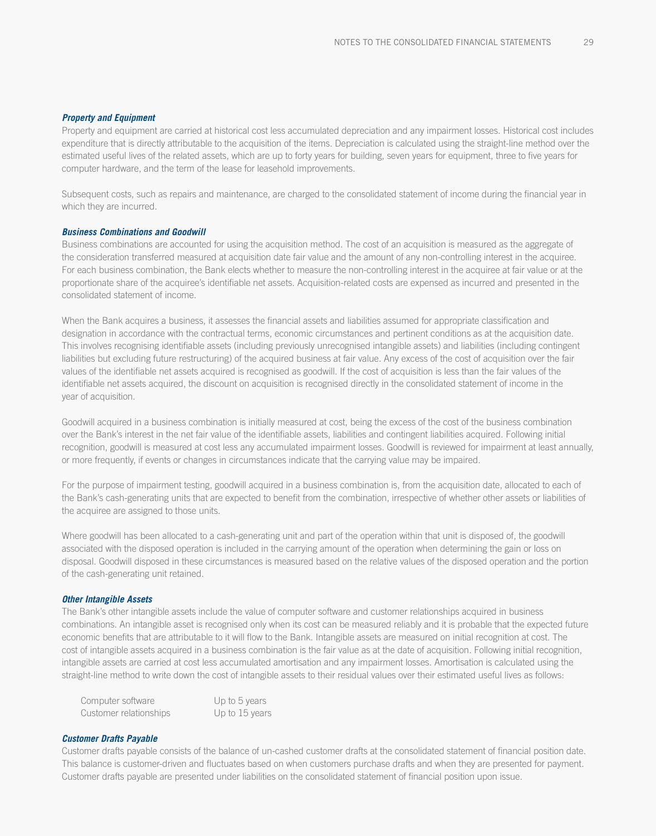#### *Property and Equipment*

Property and equipment are carried at historical cost less accumulated depreciation and any impairment losses. Historical cost includes expenditure that is directly attributable to the acquisition of the items. Depreciation is calculated using the straight-line method over the estimated useful lives of the related assets, which are up to forty years for building, seven years for equipment, three to five years for computer hardware, and the term of the lease for leasehold improvements.

Subsequent costs, such as repairs and maintenance, are charged to the consolidated statement of income during the financial year in which they are incurred.

#### *Business Combinations and Goodwill*

Business combinations are accounted for using the acquisition method. The cost of an acquisition is measured as the aggregate of the consideration transferred measured at acquisition date fair value and the amount of any non-controlling interest in the acquiree. For each business combination, the Bank elects whether to measure the non-controlling interest in the acquiree at fair value or at the proportionate share of the acquiree's identifiable net assets. Acquisition-related costs are expensed as incurred and presented in the consolidated statement of income.

When the Bank acquires a business, it assesses the financial assets and liabilities assumed for appropriate classification and designation in accordance with the contractual terms, economic circumstances and pertinent conditions as at the acquisition date. This involves recognising identifiable assets (including previously unrecognised intangible assets) and liabilities (including contingent liabilities but excluding future restructuring) of the acquired business at fair value. Any excess of the cost of acquisition over the fair values of the identifiable net assets acquired is recognised as goodwill. If the cost of acquisition is less than the fair values of the identifiable net assets acquired, the discount on acquisition is recognised directly in the consolidated statement of income in the year of acquisition.

Goodwill acquired in a business combination is initially measured at cost, being the excess of the cost of the business combination over the Bank's interest in the net fair value of the identifiable assets, liabilities and contingent liabilities acquired. Following initial recognition, goodwill is measured at cost less any accumulated impairment losses. Goodwill is reviewed for impairment at least annually, or more frequently, if events or changes in circumstances indicate that the carrying value may be impaired.

For the purpose of impairment testing, goodwill acquired in a business combination is, from the acquisition date, allocated to each of the Bank's cash-generating units that are expected to benefit from the combination, irrespective of whether other assets or liabilities of the acquiree are assigned to those units.

Where goodwill has been allocated to a cash-generating unit and part of the operation within that unit is disposed of, the goodwill associated with the disposed operation is included in the carrying amount of the operation when determining the gain or loss on disposal. Goodwill disposed in these circumstances is measured based on the relative values of the disposed operation and the portion of the cash-generating unit retained.

#### *Other Intangible Assets*

The Bank's other intangible assets include the value of computer software and customer relationships acquired in business combinations. An intangible asset is recognised only when its cost can be measured reliably and it is probable that the expected future economic benefits that are attributable to it will flow to the Bank. Intangible assets are measured on initial recognition at cost. The cost of intangible assets acquired in a business combination is the fair value as at the date of acquisition. Following initial recognition, intangible assets are carried at cost less accumulated amortisation and any impairment losses. Amortisation is calculated using the straight-line method to write down the cost of intangible assets to their residual values over their estimated useful lives as follows:

| Computer software      | Up to 5 years  |
|------------------------|----------------|
| Customer relationships | Up to 15 years |

#### *Customer Drafts Payable*

Customer drafts payable consists of the balance of un-cashed customer drafts at the consolidated statement of financial position date. This balance is customer-driven and fluctuates based on when customers purchase drafts and when they are presented for payment. Customer drafts payable are presented under liabilities on the consolidated statement of financial position upon issue.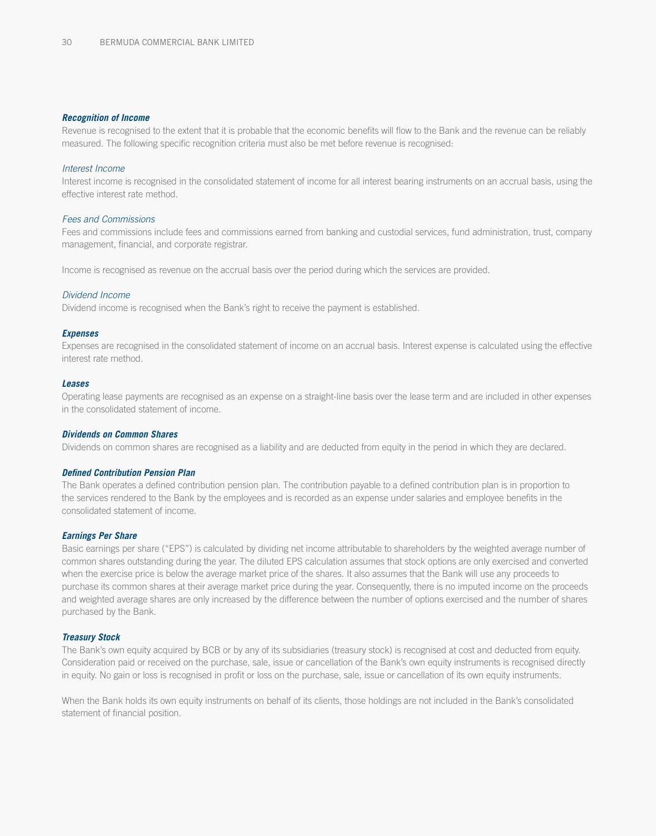#### *Recognition of Income*

Revenue is recognised to the extent that it is probable that the economic benefits will flow to the Bank and the revenue can be reliably measured. The following specific recognition criteria must also be met before revenue is recognised:

#### *Interest Income*

Interest income is recognised in the consolidated statement of income for all interest bearing instruments on an accrual basis, using the effective interest rate method.

#### *Fees and Commissions*

Fees and commissions include fees and commissions earned from banking and custodial services, fund administration, trust, company management, financial, and corporate registrar.

Income is recognised as revenue on the accrual basis over the period during which the services are provided.

#### *Dividend Income*

Dividend income is recognised when the Bank's right to receive the payment is established.

#### *Expenses*

Expenses are recognised in the consolidated statement of income on an accrual basis. Interest expense is calculated using the effective interest rate method.

#### *Leases*

Operating lease payments are recognised as an expense on a straight-line basis over the lease term and are included in other expenses in the consolidated statement of income.

#### *Dividends on Common Shares*

Dividends on common shares are recognised as a liability and are deducted from equity in the period in which they are declared.

#### *Defined Contribution Pension Plan*

The Bank operates a defined contribution pension plan. The contribution payable to a defined contribution plan is in proportion to the services rendered to the Bank by the employees and is recorded as an expense under salaries and employee benefits in the consolidated statement of income.

#### *Earnings Per Share*

Basic earnings per share ("EPS") is calculated by dividing net income attributable to shareholders by the weighted average number of common shares outstanding during the year. The diluted EPS calculation assumes that stock options are only exercised and converted when the exercise price is below the average market price of the shares. It also assumes that the Bank will use any proceeds to purchase its common shares at their average market price during the year. Consequently, there is no imputed income on the proceeds and weighted average shares are only increased by the difference between the number of options exercised and the number of shares purchased by the Bank.

#### *Treasury Stock*

The Bank's own equity acquired by BCB or by any of its subsidiaries (treasury stock) is recognised at cost and deducted from equity. Consideration paid or received on the purchase, sale, issue or cancellation of the Bank's own equity instruments is recognised directly in equity. No gain or loss is recognised in profit or loss on the purchase, sale, issue or cancellation of its own equity instruments.

When the Bank holds its own equity instruments on behalf of its clients, those holdings are not included in the Bank's consolidated statement of financial position.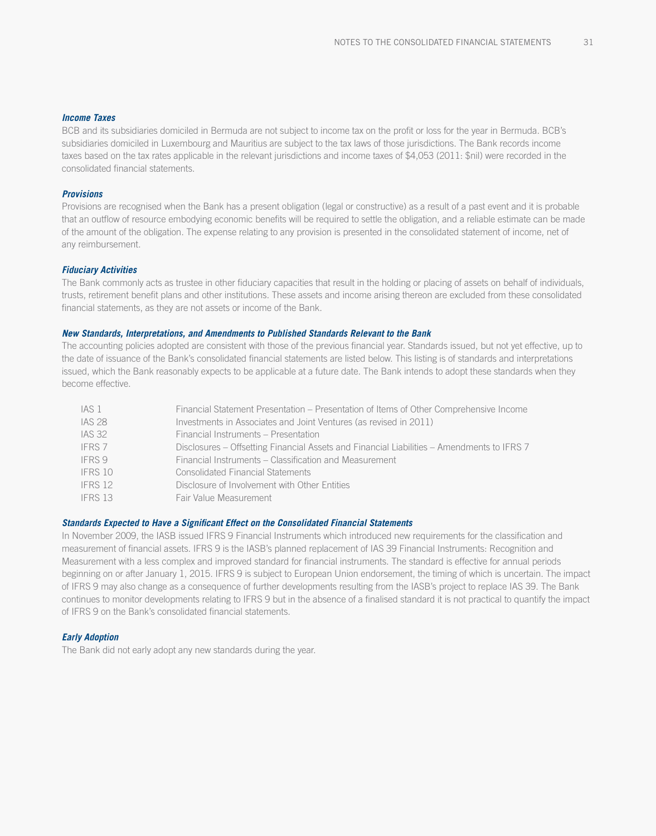#### *Income Taxes*

BCB and its subsidiaries domiciled in Bermuda are not subject to income tax on the profit or loss for the year in Bermuda. BCB's subsidiaries domiciled in Luxembourg and Mauritius are subject to the tax laws of those jurisdictions. The Bank records income taxes based on the tax rates applicable in the relevant jurisdictions and income taxes of \$4,053 (2011: \$nil) were recorded in the consolidated financial statements.

### *Provisions*

Provisions are recognised when the Bank has a present obligation (legal or constructive) as a result of a past event and it is probable that an outflow of resource embodying economic benefits will be required to settle the obligation, and a reliable estimate can be made of the amount of the obligation. The expense relating to any provision is presented in the consolidated statement of income, net of any reimbursement.

#### *Fiduciary Activities*

The Bank commonly acts as trustee in other fiduciary capacities that result in the holding or placing of assets on behalf of individuals, trusts, retirement benefit plans and other institutions. These assets and income arising thereon are excluded from these consolidated financial statements, as they are not assets or income of the Bank.

#### *New Standards, Interpretations, and Amendments to Published Standards Relevant to the Bank*

The accounting policies adopted are consistent with those of the previous financial year. Standards issued, but not yet effective, up to the date of issuance of the Bank's consolidated financial statements are listed below. This listing is of standards and interpretations issued, which the Bank reasonably expects to be applicable at a future date. The Bank intends to adopt these standards when they become effective.

| IAS 1             | Financial Statement Presentation - Presentation of Items of Other Comprehensive Income     |
|-------------------|--------------------------------------------------------------------------------------------|
| <b>IAS 28</b>     | Investments in Associates and Joint Ventures (as revised in 2011)                          |
| <b>IAS 32</b>     | Financial Instruments – Presentation                                                       |
| IFRS <sub>7</sub> | Disclosures – Offsetting Financial Assets and Financial Liabilities – Amendments to IFRS 7 |
| IFRS 9            | Financial Instruments – Classification and Measurement                                     |
| IFRS 10           | <b>Consolidated Financial Statements</b>                                                   |
| IFRS 12           | Disclosure of Involvement with Other Entities                                              |
| IFRS 13           | Fair Value Measurement                                                                     |

#### *Standards Expected to Have a Significant Effect on the Consolidated Financial Statements*

In November 2009, the IASB issued IFRS 9 Financial Instruments which introduced new requirements for the classification and measurement of financial assets. IFRS 9 is the IASB's planned replacement of IAS 39 Financial Instruments: Recognition and Measurement with a less complex and improved standard for financial instruments. The standard is effective for annual periods beginning on or after January 1, 2015. IFRS 9 is subject to European Union endorsement, the timing of which is uncertain. The impact of IFRS 9 may also change as a consequence of further developments resulting from the IASB's project to replace IAS 39. The Bank continues to monitor developments relating to IFRS 9 but in the absence of a finalised standard it is not practical to quantify the impact of IFRS 9 on the Bank's consolidated financial statements.

#### *Early Adoption*

The Bank did not early adopt any new standards during the year.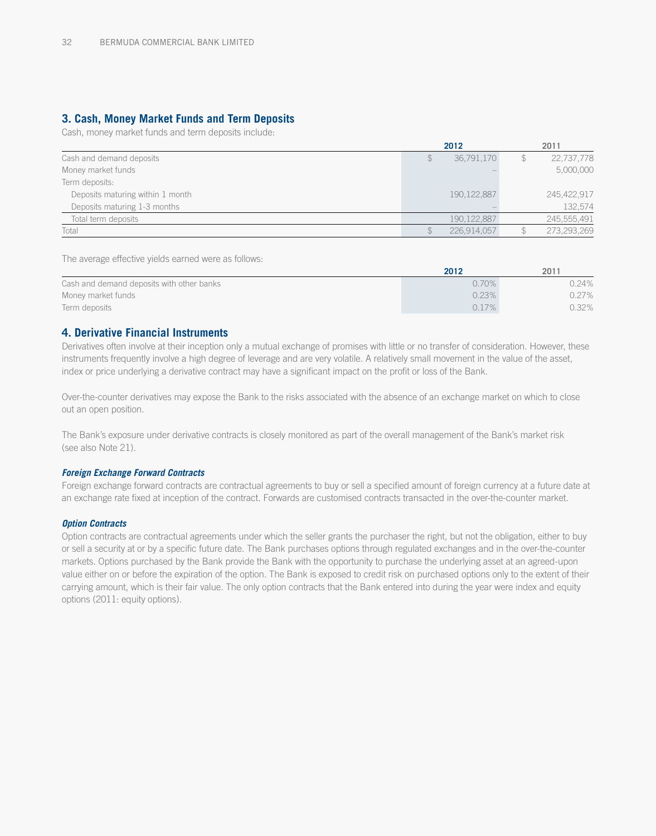# **3. Cash, Money Market Funds and Term Deposits**

Cash, money market funds and term deposits include:

|                                  |    | 2012          | 2011        |
|----------------------------------|----|---------------|-------------|
| Cash and demand deposits         | S. | 36,791,170    | 22,737,778  |
| Money market funds               |    |               | 5,000,000   |
| Term deposits:                   |    |               |             |
| Deposits maturing within 1 month |    | 190, 122, 887 | 245,422,917 |
| Deposits maturing 1-3 months     |    |               | 132,574     |
| Total term deposits              |    | 190, 122, 887 | 245,555,491 |
| Total                            |    | 226.914.057   | 273,293,269 |

The average effective yields earned were as follows:

|                                           | 2012     | 2011     |
|-------------------------------------------|----------|----------|
| Cash and demand deposits with other banks | $0.70\%$ | 0.24%    |
| Money market funds                        | 0.23%    | $0.27\%$ |
| Term deposits                             | 0.17%    | 0.32%    |

### **4. Derivative Financial Instruments**

Derivatives often involve at their inception only a mutual exchange of promises with little or no transfer of consideration. However, these instruments frequently involve a high degree of leverage and are very volatile. A relatively small movement in the value of the asset, index or price underlying a derivative contract may have a significant impact on the profit or loss of the Bank.

Over-the-counter derivatives may expose the Bank to the risks associated with the absence of an exchange market on which to close out an open position.

The Bank's exposure under derivative contracts is closely monitored as part of the overall management of the Bank's market risk (see also Note 21).

#### *Foreign Exchange Forward Contracts*

Foreign exchange forward contracts are contractual agreements to buy or sell a specified amount of foreign currency at a future date at an exchange rate fixed at inception of the contract. Forwards are customised contracts transacted in the over-the-counter market.

#### *Option Contracts*

Option contracts are contractual agreements under which the seller grants the purchaser the right, but not the obligation, either to buy or sell a security at or by a specific future date. The Bank purchases options through regulated exchanges and in the over-the-counter markets. Options purchased by the Bank provide the Bank with the opportunity to purchase the underlying asset at an agreed-upon value either on or before the expiration of the option. The Bank is exposed to credit risk on purchased options only to the extent of their carrying amount, which is their fair value. The only option contracts that the Bank entered into during the year were index and equity options (2011: equity options).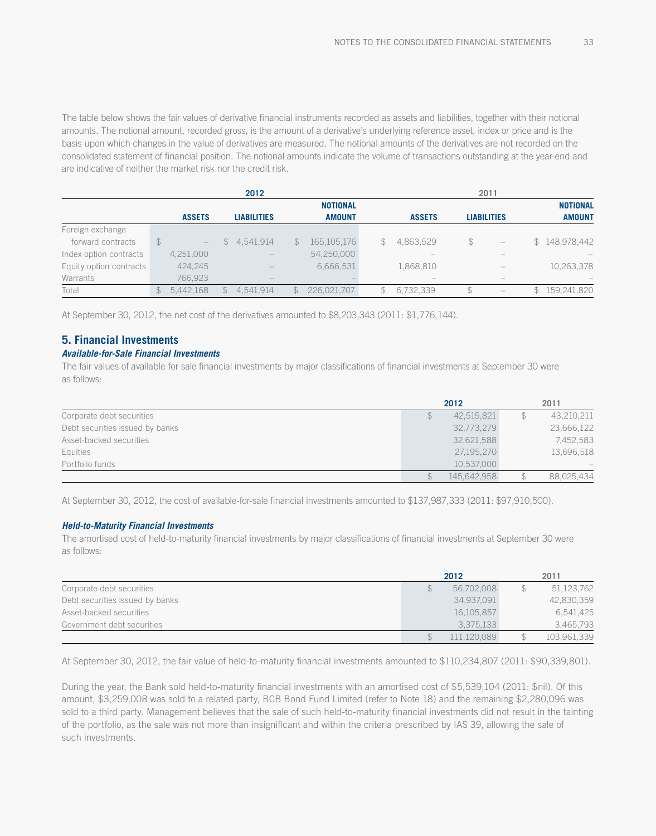The table below shows the fair values of derivative financial instruments recorded as assets and liabilities, together with their notional amounts. The notional amount, recorded gross, is the amount of a derivative's underlying reference asset, index or price and is the basis upon which changes in the value of derivatives are measured. The notional amounts of the derivatives are not recorded on the consolidated statement of financial position. The notional amounts indicate the volume of transactions outstanding at the year-end and are indicative of neither the market risk nor the credit risk.

|                         |                |                   |               | 2012               |              |                 |    | 2011          |    |                                 |             |                 |
|-------------------------|----------------|-------------------|---------------|--------------------|--------------|-----------------|----|---------------|----|---------------------------------|-------------|-----------------|
|                         |                |                   |               |                    |              | <b>NOTIONAL</b> |    |               |    |                                 |             | <b>NOTIONAL</b> |
|                         |                | <b>ASSETS</b>     |               | <b>LIABILITIES</b> |              | <b>AMOUNT</b>   |    | <b>ASSETS</b> |    | <b>LIABILITIES</b>              |             | <b>AMOUNT</b>   |
| Foreign exchange        |                |                   |               |                    |              |                 |    |               |    |                                 |             |                 |
| forward contracts       |                | $\qquad \qquad -$ |               | \$4,541,914        | $\mathbb{S}$ | 165, 105, 176   | S. | 4,863,529     | \$ | $\hspace{0.1mm}-\hspace{0.1mm}$ |             | \$148,978,442   |
| Index option contracts  |                | 4,251,000         |               |                    |              | 54,250,000      |    |               |    |                                 |             |                 |
| Equity option contracts |                | 424.245           |               |                    |              | 6,666,531       |    | 1,868,810     |    |                                 |             | 10,263,378      |
| Warrants                |                | 766,923           |               |                    |              |                 |    |               |    |                                 |             |                 |
| Total                   | $\mathbb{S}^-$ | 5,442,168         | $\mathcal{F}$ | 4,541,914          |              | 226,021,707     |    | 6,732,339     | \$ | $\hspace{0.1mm}-\hspace{0.1mm}$ | $\mathbb S$ | 159,241,820     |

At September 30, 2012, the net cost of the derivatives amounted to \$8,203,343 (2011: \$1,776,144).

## **5. Financial Investments**

### *Available-for-Sale Financial Investments*

The fair values of available-for-sale financial investments by major classifications of financial investments at September 30 were as follows:

|                                 | 2012        | 2011 |            |  |
|---------------------------------|-------------|------|------------|--|
| Corporate debt securities       | 42,515,821  |      | 43,210,211 |  |
| Debt securities issued by banks | 32,773,279  |      | 23,666,122 |  |
| Asset-backed securities         | 32,621,588  |      | 7,452,583  |  |
| Equities                        | 27,195,270  |      | 13,696,518 |  |
| Portfolio funds                 | 10.537.000  |      |            |  |
|                                 | 145,642,958 |      | 88,025,434 |  |

At September 30, 2012, the cost of available-for-sale financial investments amounted to \$137,987,333 (2011: \$97,910,500).

#### *Held-to-Maturity Financial Investments*

The amortised cost of held-to-maturity financial investments by major classifications of financial investments at September 30 were as follows:

|                                 | 2012       | 2011 |             |  |
|---------------------------------|------------|------|-------------|--|
| Corporate debt securities       | 56,702,008 |      | 51,123,762  |  |
| Debt securities issued by banks | 34.937.091 |      | 42,830,359  |  |
| Asset-backed securities         | 16,105,857 |      | 6,541,425   |  |
| Government debt securities      | 3.375.133  |      | 3,465,793   |  |
|                                 | 11.120.089 |      | 103,961,339 |  |

At September 30, 2012, the fair value of held-to-maturity financial investments amounted to \$110,234,807 (2011: \$90,339,801).

During the year, the Bank sold held-to-maturity financial investments with an amortised cost of \$5,539,104 (2011: \$nil). Of this amount, \$3,259,008 was sold to a related party, BCB Bond Fund Limited (refer to Note 18) and the remaining \$2,280,096 was sold to a third party. Management believes that the sale of such held-to-maturity financial investments did not result in the tainting of the portfolio, as the sale was not more than insignificant and within the criteria prescribed by IAS 39, allowing the sale of such investments.

33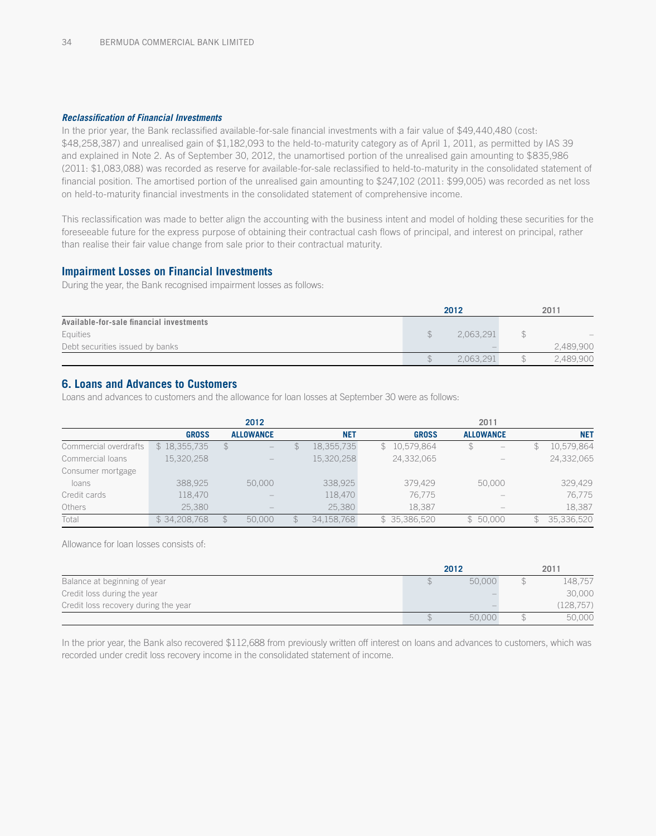#### *Reclassification of Financial Investments*

In the prior year, the Bank reclassified available-for-sale financial investments with a fair value of \$49,440,480 (cost: \$48,258,387) and unrealised gain of \$1,182,093 to the held-to-maturity category as of April 1, 2011, as permitted by IAS 39 and explained in Note 2. As of September 30, 2012, the unamortised portion of the unrealised gain amounting to \$835,986 (2011: \$1,083,088) was recorded as reserve for available-for-sale reclassified to held-to-maturity in the consolidated statement of financial position. The amortised portion of the unrealised gain amounting to \$247,102 (2011: \$99,005) was recorded as net loss on held-to-maturity financial investments in the consolidated statement of comprehensive income.

This reclassification was made to better align the accounting with the business intent and model of holding these securities for the foreseeable future for the express purpose of obtaining their contractual cash flows of principal, and interest on principal, rather than realise their fair value change from sale prior to their contractual maturity.

### **Impairment Losses on Financial Investments**

During the year, the Bank recognised impairment losses as follows:

|                                          | 2012      | 2011 |           |  |
|------------------------------------------|-----------|------|-----------|--|
| Available-for-sale financial investments |           |      |           |  |
| Equities                                 | 2.063.291 |      |           |  |
| Debt securities issued by banks          |           |      | 2.489.900 |  |
|                                          | 2.063.291 |      | 2,489,900 |  |

# **6. Loans and Advances to Customers**

Loans and advances to customers and the allowance for loan losses at September 30 were as follows:

|                       |              | 2012                     |             |            | 2011                       |                  |                  |  |  |  |
|-----------------------|--------------|--------------------------|-------------|------------|----------------------------|------------------|------------------|--|--|--|
|                       | <b>GROSS</b> | <b>ALLOWANCE</b>         |             | <b>NET</b> | <b>GROSS</b>               | <b>ALLOWANCE</b> | <b>NET</b>       |  |  |  |
| Commercial overdrafts | \$18,355,735 | S.                       |             | 18,355,735 | 10,579,864<br>$\mathbb{S}$ | \$               | 10,579,864<br>\$ |  |  |  |
| Commercial loans      | 15,320,258   | $\qquad \qquad - \qquad$ |             | 15,320,258 | 24,332,065                 |                  | 24,332,065       |  |  |  |
| Consumer mortgage     |              |                          |             |            |                            |                  |                  |  |  |  |
| loans                 | 388,925      | 50,000                   |             | 338.925    | 379.429                    | 50,000           | 329,429          |  |  |  |
| Credit cards          | 118,470      |                          |             | 118,470    | 76.775                     |                  | 76,775           |  |  |  |
| Others                | 25.380       |                          |             | 25.380     | 18.387                     |                  | 18,387           |  |  |  |
| Total                 | \$34,208,768 | 50,000                   | $\mathbb S$ | 34.158.768 | \$35,386,520               | \$50.000         | 35,336,520<br>\$ |  |  |  |

Allowance for loan losses consists of:

|                                      | 2012   | 2011      |
|--------------------------------------|--------|-----------|
| Balance at beginning of year         | 50,000 | 148.757   |
| Credit loss during the year          |        | 30,000    |
| Credit loss recovery during the year |        | (128.757) |
|                                      | 50,000 | 50,000    |

In the prior year, the Bank also recovered \$112,688 from previously written off interest on loans and advances to customers, which was recorded under credit loss recovery income in the consolidated statement of income.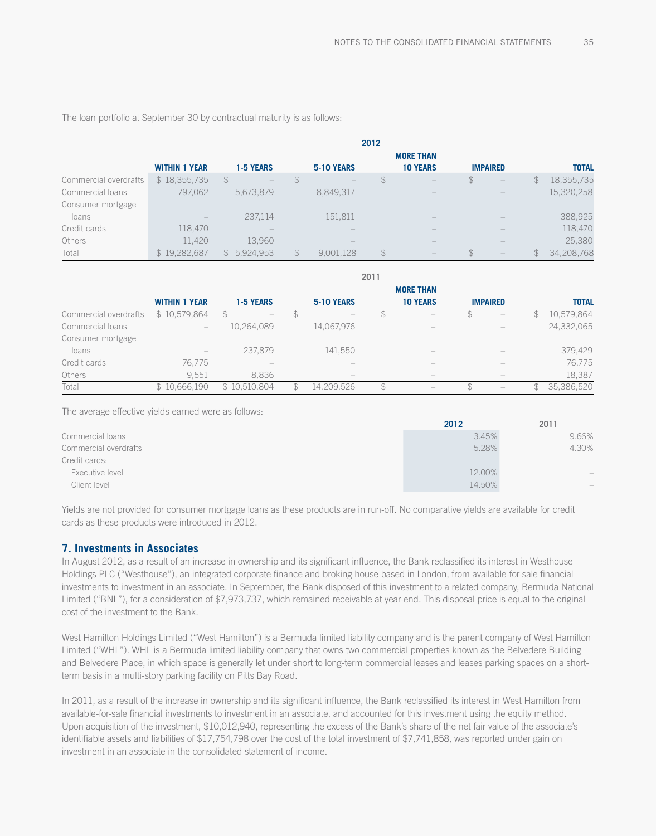The loan portfolio at September 30 by contractual maturity is as follows:

|                       |                      | 2012                     |               |                   |               |                  |              |                                 |               |              |  |
|-----------------------|----------------------|--------------------------|---------------|-------------------|---------------|------------------|--------------|---------------------------------|---------------|--------------|--|
|                       |                      |                          |               |                   |               | <b>MORE THAN</b> |              |                                 |               |              |  |
|                       | <b>WITHIN 1 YEAR</b> | <b>1-5 YEARS</b>         |               | <b>5-10 YEARS</b> |               | <b>10 YEARS</b>  |              | <b>IMPAIRED</b>                 |               | <b>TOTAL</b> |  |
| Commercial overdrafts | \$18,355,735         | S.                       |               |                   | \$            |                  | $\mathbb{S}$ | $\qquad \qquad -$               | $\mathbb S$   | 18,355,735   |  |
| Commercial loans      | 797,062              | 5,673,879                |               | 8,849,317         |               | $\qquad \qquad$  |              | $\qquad \qquad -$               |               | 15,320,258   |  |
| Consumer mortgage     |                      |                          |               |                   |               |                  |              |                                 |               |              |  |
| loans                 |                      | 237,114                  |               | 151,811           |               |                  |              |                                 |               | 388,925      |  |
| Credit cards          | 118,470              | $\overline{\phantom{a}}$ |               |                   |               | -                |              |                                 |               | 118,470      |  |
| Others                | 11,420               | 13,960                   |               |                   |               |                  |              |                                 |               | 25,380       |  |
| Total                 | \$19,282,687         | \$5,924,953              | $\mathcal{F}$ | 9,001,128         | $\mathcal{F}$ |                  | \$           | $\hspace{0.1mm}-\hspace{0.1mm}$ | $\mathcal{F}$ | 34,208,768   |  |

|                       |                                   | 2011                                  |               |                   |    |                          |    |                                       |     |              |  |
|-----------------------|-----------------------------------|---------------------------------------|---------------|-------------------|----|--------------------------|----|---------------------------------------|-----|--------------|--|
|                       | <b>MORE THAN</b>                  |                                       |               |                   |    |                          |    |                                       |     |              |  |
|                       | <b>WITHIN 1 YEAR</b>              | <b>1-5 YEARS</b>                      |               | <b>5-10 YEARS</b> |    | <b>10 YEARS</b>          |    | <b>IMPAIRED</b>                       |     | <b>TOTAL</b> |  |
| Commercial overdrafts | \$10,579,864                      | S<br>$\qquad \qquad =$                | $\mathcal{F}$ |                   | \$ | $\overline{\phantom{a}}$ | \$ | $\hspace{1.0cm} - \hspace{1.0cm}$     | S   | 10,579,864   |  |
| Commercial loans      | $\hspace{1.0cm} - \hspace{1.0cm}$ | 10,264,089                            |               | 14,067,976        |    |                          |    |                                       |     | 24,332,065   |  |
| Consumer mortgage     |                                   |                                       |               |                   |    |                          |    |                                       |     |              |  |
| loans                 | $\hspace{1.0cm} - \hspace{1.0cm}$ | 237,879                               |               | 141,550           |    |                          |    |                                       |     | 379,429      |  |
| Credit cards          | 76,775                            | $\hspace{1.0cm} \rule{1.5cm}{0.15cm}$ |               |                   |    |                          |    |                                       |     | 76,775       |  |
| Others                | 9.551                             | 8.836                                 |               |                   |    |                          |    |                                       |     | 18,387       |  |
| Total                 | \$10,666,190                      | \$10,510,804                          | $\mathbb{S}$  | 14,209,526        | \$ |                          | S  | $\hspace{1.0cm} \rule{1.5cm}{0.15cm}$ | \$. | 35,386,520   |  |

The average effective yields earned were as follows:

|                       | 2012   | 2011              |
|-----------------------|--------|-------------------|
| Commercial loans      | 3.45%  | 9.66%             |
| Commercial overdrafts | 5.28%  | 4.30%             |
| Credit cards:         |        |                   |
| Executive level       | 12.00% | $\qquad \qquad -$ |
| Client level          | 14.50% |                   |

Yields are not provided for consumer mortgage loans as these products are in run-off. No comparative yields are available for credit cards as these products were introduced in 2012.

#### **7. Investments in Associates**

In August 2012, as a result of an increase in ownership and its significant influence, the Bank reclassified its interest in Westhouse Holdings PLC ("Westhouse"), an integrated corporate finance and broking house based in London, from available-for-sale financial investments to investment in an associate. In September, the Bank disposed of this investment to a related company, Bermuda National Limited ("BNL"), for a consideration of \$7,973,737, which remained receivable at year-end. This disposal price is equal to the original cost of the investment to the Bank.

West Hamilton Holdings Limited ("West Hamilton") is a Bermuda limited liability company and is the parent company of West Hamilton Limited ("WHL"). WHL is a Bermuda limited liability company that owns two commercial properties known as the Belvedere Building and Belvedere Place, in which space is generally let under short to long-term commercial leases and leases parking spaces on a shortterm basis in a multi-story parking facility on Pitts Bay Road.

In 2011, as a result of the increase in ownership and its significant influence, the Bank reclassified its interest in West Hamilton from available-for-sale financial investments to investment in an associate, and accounted for this investment using the equity method. Upon acquisition of the investment, \$10,012,940, representing the excess of the Bank's share of the net fair value of the associate's identifiable assets and liabilities of \$17,754,798 over the cost of the total investment of \$7,741,858, was reported under gain on investment in an associate in the consolidated statement of income.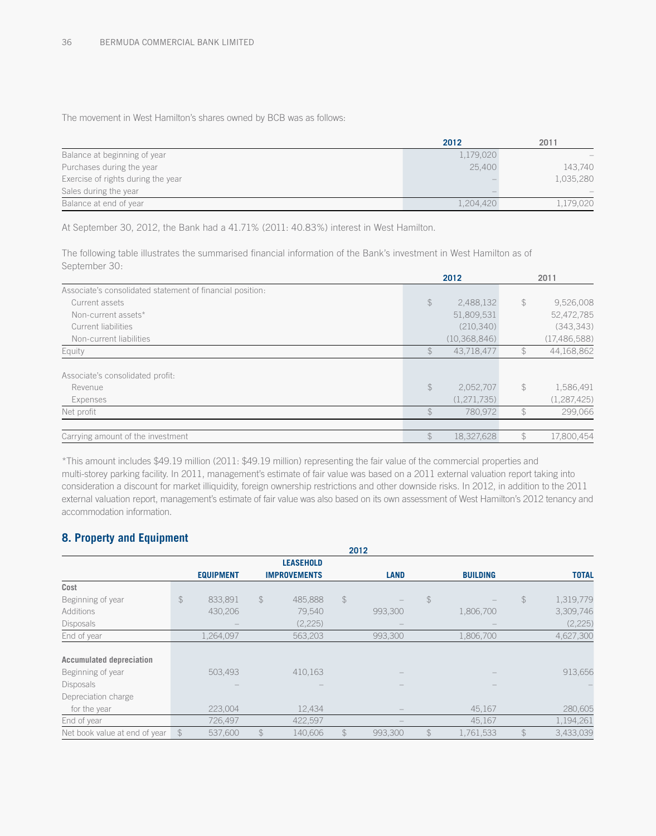The movement in West Hamilton's shares owned by BCB was as follows:

|                                    | 2012      | 2011                     |
|------------------------------------|-----------|--------------------------|
| Balance at beginning of year       | 1,179,020 |                          |
| Purchases during the year          | 25.400    | 143,740                  |
| Exercise of rights during the year |           | 1,035,280                |
| Sales during the year              |           | $\overline{\phantom{0}}$ |
| Balance at end of year             | 1,204,420 | 1,179,020                |

At September 30, 2012, the Bank had a 41.71% (2011: 40.83%) interest in West Hamilton.

The following table illustrates the summarised financial information of the Bank's investment in West Hamilton as of September 30:

|                                                           |                | 2012           | 2011 |                |  |
|-----------------------------------------------------------|----------------|----------------|------|----------------|--|
| Associate's consolidated statement of financial position: |                |                |      |                |  |
| Current assets                                            | $\frac{1}{2}$  | 2,488,132      | \$   | 9,526,008      |  |
| Non-current assets*                                       |                | 51,809,531     |      | 52,472,785     |  |
| Current liabilities                                       |                | (210, 340)     |      | (343, 343)     |  |
| Non-current liabilities                                   |                | (10, 368, 846) |      | (17, 486, 588) |  |
| Equity                                                    | $\mathcal{F}$  | 43,718,477     |      | 44,168,862     |  |
| Associate's consolidated profit:                          |                |                |      |                |  |
| Revenue                                                   | $$\mathbb{S}$$ | 2,052,707      | \$   | 1,586,491      |  |
| Expenses                                                  |                | (1,271,735)    |      | (1, 287, 425)  |  |
| Net profit                                                | $\mathcal{L}$  | 780,972        | \$   | 299,066        |  |
| Carrying amount of the investment                         | $\frac{2}{3}$  | 18,327,628     |      | 17.800.454     |  |

\*This amount includes \$49.19 million (2011: \$49.19 million) representing the fair value of the commercial properties and multi-storey parking facility. In 2011, management's estimate of fair value was based on a 2011 external valuation report taking into consideration a discount for market illiquidity, foreign ownership restrictions and other downside risks. In 2012, in addition to the 2011 external valuation report, management's estimate of fair value was also based on its own assessment of West Hamilton's 2012 tenancy and accommodation information.

# **8. Property and Equipment**

| 2012                            |               |                  |                |                     |               |             |                |                 |               |              |  |
|---------------------------------|---------------|------------------|----------------|---------------------|---------------|-------------|----------------|-----------------|---------------|--------------|--|
|                                 |               |                  |                | <b>LEASEHOLD</b>    |               |             |                |                 |               |              |  |
|                                 |               | <b>EQUIPMENT</b> |                | <b>IMPROVEMENTS</b> |               | <b>LAND</b> |                | <b>BUILDING</b> |               | <b>TOTAL</b> |  |
| Cost                            |               |                  |                |                     |               |             |                |                 |               |              |  |
| Beginning of year               | $\mathcal{L}$ | 833.891          | $$\mathbb{S}$$ | 485.888             | $\frac{1}{2}$ |             | $\frac{1}{2}$  |                 | $\mathcal{L}$ | 1,319,779    |  |
| <b>Additions</b>                |               | 430,206          |                | 79,540              |               | 993,300     |                | 1,806,700       |               | 3,309,746    |  |
| <b>Disposals</b>                |               |                  |                | (2,225)             |               |             |                |                 |               | (2,225)      |  |
| End of year                     |               | 1,264,097        |                | 563,203             |               | 993,300     |                | 1,806,700       |               | 4,627,300    |  |
|                                 |               |                  |                |                     |               |             |                |                 |               |              |  |
| <b>Accumulated depreciation</b> |               |                  |                |                     |               |             |                |                 |               |              |  |
| Beginning of year               |               | 503,493          |                | 410,163             |               |             |                |                 |               | 913,656      |  |
| <b>Disposals</b>                |               |                  |                |                     |               |             |                |                 |               |              |  |
| Depreciation charge             |               |                  |                |                     |               |             |                |                 |               |              |  |
| for the year                    |               | 223,004          |                | 12,434              |               |             |                | 45,167          |               | 280,605      |  |
| End of year                     |               | 726,497          |                | 422,597             |               |             |                | 45,167          |               | 1,194,261    |  |
| Net book value at end of year   | $\mathcal{F}$ | 537.600          | $\mathcal{L}$  | 140.606             | $\mathcal{L}$ | 993.300     | $$\mathbb{S}$$ | 1,761,533       | $\mathcal{F}$ | 3,433,039    |  |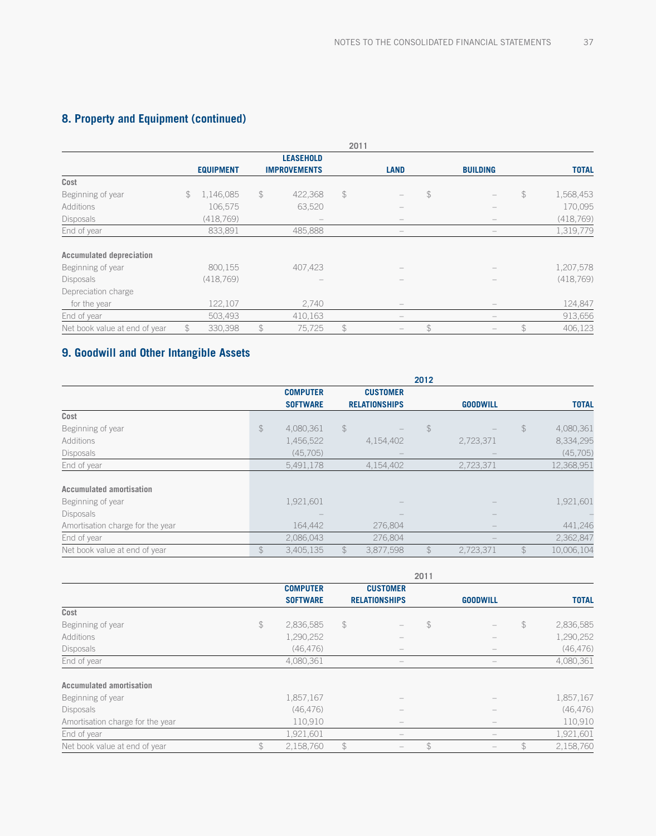# **8. Property and Equipment (continued)**

|                                 |                |                  |                |                                       | 2011           |                                                                           |               |                                 |                |              |
|---------------------------------|----------------|------------------|----------------|---------------------------------------|----------------|---------------------------------------------------------------------------|---------------|---------------------------------|----------------|--------------|
|                                 |                |                  |                | <b>LEASEHOLD</b>                      |                |                                                                           |               |                                 |                |              |
|                                 |                | <b>EQUIPMENT</b> |                | <b>IMPROVEMENTS</b>                   |                | <b>LAND</b>                                                               |               | <b>BUILDING</b>                 |                | <b>TOTAL</b> |
| Cost                            |                |                  |                |                                       |                |                                                                           |               |                                 |                |              |
| Beginning of year               | \$             | 1,146,085        | $$\mathbb{S}$$ | 422,368                               | $$\mathbb{S}$$ |                                                                           | $\mathcal{L}$ |                                 | $$\mathbb{S}$$ | 1,568,453    |
| Additions                       |                | 106,575          |                | 63,520                                |                |                                                                           |               |                                 |                | 170,095      |
| Disposals                       |                | (418, 769)       |                | $\hspace{1.0cm} \rule{1.5cm}{0.15cm}$ |                |                                                                           |               | $\overline{\phantom{a}}$        |                | (418, 769)   |
| End of year                     |                | 833,891          |                | 485.888                               |                | $\overline{\phantom{0}}$                                                  |               |                                 |                | 1,319,779    |
| <b>Accumulated depreciation</b> |                |                  |                |                                       |                |                                                                           |               |                                 |                |              |
| Beginning of year               |                | 800,155          |                | 407,423                               |                |                                                                           |               |                                 |                | 1,207,578    |
| <b>Disposals</b>                |                | (418, 769)       |                |                                       |                |                                                                           |               |                                 |                | (418, 769)   |
| Depreciation charge             |                |                  |                |                                       |                |                                                                           |               |                                 |                |              |
| for the year                    |                | 122,107          |                | 2,740                                 |                |                                                                           |               | $\hspace{0.1mm}-\hspace{0.1mm}$ |                | 124,847      |
| End of year                     |                | 503,493          |                | 410,163                               |                | $\hspace{1.0cm} \rule{1.5cm}{0.15cm} \hspace{1.0cm} \rule{1.5cm}{0.15cm}$ |               | $\hspace{0.1mm}-\hspace{0.1mm}$ |                | 913,656      |
| Net book value at end of year   | $$\mathbb{S}$$ | 330,398          | $\mathcal{L}$  | 75,725                                | $\mathcal{L}$  |                                                                           | $\mathcal{L}$ |                                 | $$\mathbb{S}$$ | 406,123      |

# **9. Goodwill and Other Intangible Assets**

|                                  |                | 2012            |               |                      |                |                 |               |              |  |  |
|----------------------------------|----------------|-----------------|---------------|----------------------|----------------|-----------------|---------------|--------------|--|--|
|                                  |                | <b>COMPUTER</b> |               | <b>CUSTOMER</b>      |                |                 |               |              |  |  |
|                                  |                | <b>SOFTWARE</b> |               | <b>RELATIONSHIPS</b> |                | <b>GOODWILL</b> |               | <b>TOTAL</b> |  |  |
| Cost                             |                |                 |               |                      |                |                 |               |              |  |  |
| Beginning of year                | $\frac{1}{2}$  | 4,080,361       | $\frac{1}{2}$ |                      | $\frac{1}{2}$  |                 | $\frac{1}{2}$ | 4,080,361    |  |  |
| Additions                        |                | 1,456,522       |               | 4,154,402            |                | 2,723,371       |               | 8,334,295    |  |  |
| Disposals                        |                | (45,705)        |               |                      |                |                 |               | (45,705)     |  |  |
| End of year                      |                | 5,491,178       |               | 4,154,402            |                | 2,723,371       |               | 12,368,951   |  |  |
| <b>Accumulated amortisation</b>  |                |                 |               |                      |                |                 |               |              |  |  |
| Beginning of year                |                | 1,921,601       |               |                      |                |                 |               | 1,921,601    |  |  |
| <b>Disposals</b>                 |                |                 |               |                      |                |                 |               |              |  |  |
| Amortisation charge for the year |                | 164,442         |               | 276,804              |                |                 |               | 441,246      |  |  |
| End of year                      |                | 2,086,043       |               | 276,804              |                |                 |               | 2,362,847    |  |  |
| Net book value at end of year    | $$\mathbb{S}$$ | 3,405,135       | $\mathcal{F}$ | 3,877,598            | $$\mathbb{S}$$ | 2,723,371       | $\mathcal{L}$ | 10,006,104   |  |  |

|                                  |                 |               |                          | 2011          |                 |               |              |
|----------------------------------|-----------------|---------------|--------------------------|---------------|-----------------|---------------|--------------|
|                                  | <b>COMPUTER</b> |               | <b>CUSTOMER</b>          |               |                 |               |              |
|                                  | <b>SOFTWARE</b> |               | <b>RELATIONSHIPS</b>     |               | <b>GOODWILL</b> |               | <b>TOTAL</b> |
| Cost                             |                 |               |                          |               |                 |               |              |
| Beginning of year                | \$<br>2,836,585 | $\mathcal{L}$ |                          | $\frac{1}{2}$ |                 | $\mathcal{L}$ | 2,836,585    |
| Additions                        | 1,290,252       |               |                          |               |                 |               | 1,290,252    |
| <b>Disposals</b>                 | (46, 476)       |               |                          |               |                 |               | (46, 476)    |
| End of year                      | 4,080,361       |               |                          |               |                 |               | 4,080,361    |
| <b>Accumulated amortisation</b>  |                 |               |                          |               |                 |               |              |
| Beginning of year                | 1,857,167       |               |                          |               |                 |               | 1,857,167    |
| <b>Disposals</b>                 | (46, 476)       |               |                          |               |                 |               | (46, 476)    |
| Amortisation charge for the year | 110,910         |               |                          |               |                 |               | 110,910      |
| End of year                      | 1,921,601       |               | $\overline{\phantom{a}}$ |               |                 |               | 1,921,601    |
| Net book value at end of year    | \$<br>2,158,760 | $\mathcal{L}$ |                          | \$            |                 |               | 2,158,760    |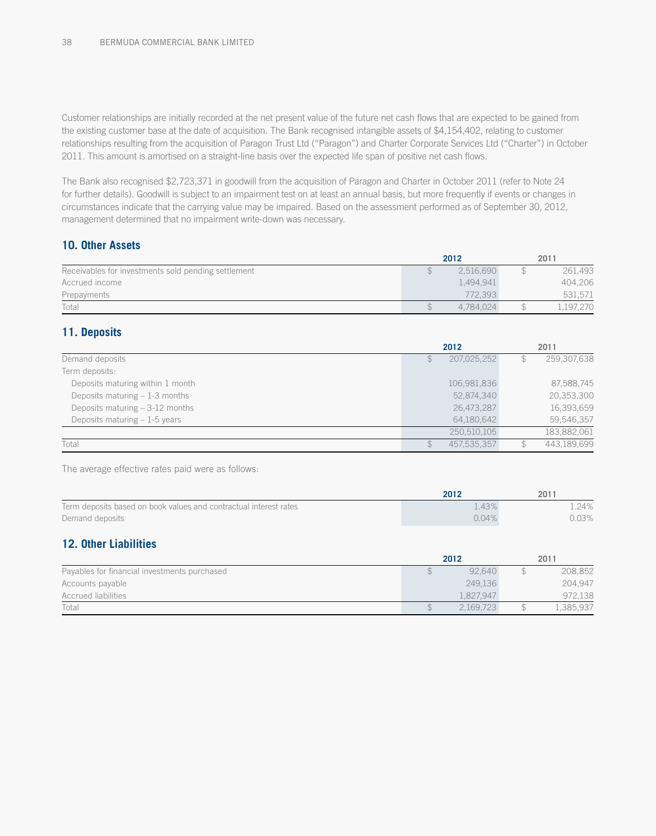Customer relationships are initially recorded at the net present value of the future net cash flows that are expected to be gained from the existing customer base at the date of acquisition. The Bank recognised intangible assets of \$4,154,402, relating to customer relationships resulting from the acquisition of Paragon Trust Ltd ("Paragon") and Charter Corporate Services Ltd ("Charter") in October 2011. This amount is amortised on a straight-line basis over the expected life span of positive net cash flows.

The Bank also recognised \$2,723,371 in goodwill from the acquisition of Paragon and Charter in October 2011 (refer to Note 24 for further details). Goodwill is subject to an impairment test on at least an annual basis, but more frequently if events or changes in circumstances indicate that the carrying value may be impaired. Based on the assessment performed as of September 30, 2012, management determined that no impairment write-down was necessary.

## **10. Other Assets**

|                                                     | 2012      | 2011      |
|-----------------------------------------------------|-----------|-----------|
| Receivables for investments sold pending settlement | 2.516.690 | 261,493   |
| Accrued income                                      | 1.494.941 | 404,206   |
| Prepayments                                         | 772.393   | 531,571   |
| Total                                               | 4.784.024 | 1,197,270 |

## **11. Deposits**

|                                  |   | 2012        |   | 2011        |
|----------------------------------|---|-------------|---|-------------|
| Demand deposits                  | S | 207,025,252 | Ъ | 259,307,638 |
| Term deposits:                   |   |             |   |             |
| Deposits maturing within 1 month |   | 106,981,836 |   | 87,588,745  |
| Deposits maturing $-1-3$ months  |   | 52,874,340  |   | 20,353,300  |
| Deposits maturing $-3-12$ months |   | 26,473,287  |   | 16,393,659  |
| Deposits maturing $-1-5$ years   |   | 64,180,642  |   | 59,546,357  |
|                                  |   | 250.510.105 |   | 183.882.061 |
| Total                            |   | 457.535.357 |   | 443.189.699 |

The average effective rates paid were as follows:

|                                                                   | 2012     | 2011  |
|-------------------------------------------------------------------|----------|-------|
| Term deposits based on book values and contractual interest rates | .43%     | 24%   |
| Demand deposits                                                   | $0.04\%$ | 0.03% |

# **12. Other Liabilities**

|                                              | 2012      | 2011      |
|----------------------------------------------|-----------|-----------|
| Payables for financial investments purchased | 92.640    | 208,852   |
| Accounts payable                             | 249.136   | 204,947   |
| <b>Accrued liabilities</b>                   | 1.827.947 | 972,138   |
| Total                                        | 2.169.723 | l,385,937 |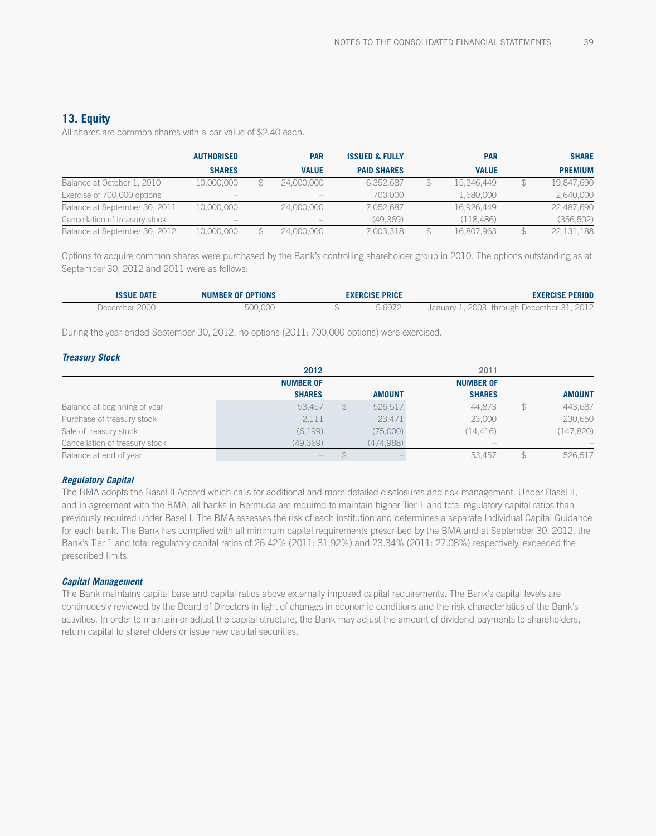### **13. Equity**

All shares are common shares with a par value of \$2.40 each.

|                                | <b>AUTHORISED</b>               | <b>PAR</b>                      | <b>ISSUED &amp; FULLY</b> | <b>PAR</b>   | <b>SHARE</b>   |
|--------------------------------|---------------------------------|---------------------------------|---------------------------|--------------|----------------|
|                                | <b>SHARES</b>                   | <b>VALUE</b>                    | <b>PAID SHARES</b>        | <b>VALUE</b> | <b>PREMIUM</b> |
| Balance at October 1, 2010     | 10.000.000                      | 24,000,000                      | 6.352.687                 | 15.246.449   | 19,847,690     |
| Exercise of 700,000 options    | $\hspace{0.1mm}-\hspace{0.1mm}$ | $\hspace{0.1mm}-\hspace{0.1mm}$ | 700,000                   | 1,680,000    | 2,640,000      |
| Balance at September 30, 2011  | 10.000.000                      | 24,000,000                      | 7.052.687                 | 16,926,449   | 22,487,690     |
| Cancellation of treasury stock | $\hspace{0.1mm}-\hspace{0.1mm}$ |                                 | (49.369)                  | (118.486)    | (356, 502)     |
| Balance at September 30, 2012  | 10.000.000                      | 24,000,000                      | 7,003,318                 | 16,807,963   | 22,131,188     |

Options to acquire common shares were purchased by the Bank's controlling shareholder group in 2010. The options outstanding as at September 30, 2012 and 2011 were as follows:

| <b>ISSUE DATE</b> | <b>NUMBER OF OPTIONS</b> | <b>EXERCISE PRICE</b> | <b>EXERCISE PERIOD</b>                    |
|-------------------|--------------------------|-----------------------|-------------------------------------------|
| December 2000     | 500.000                  | 5.6972                | January 1, 2003 through December 31, 2012 |

During the year ended September 30, 2012, no options (2011: 700,000 options) were exercised.

#### *Treasury Stock*

|                                | 2012                     |             |               | 2011                            |               |
|--------------------------------|--------------------------|-------------|---------------|---------------------------------|---------------|
|                                | <b>NUMBER OF</b>         |             |               | <b>NUMBER OF</b>                |               |
|                                | <b>SHARES</b>            |             | <b>AMOUNT</b> | <b>SHARES</b>                   | <b>AMOUNT</b> |
| Balance at beginning of year   | 53.457                   | $\mathbb S$ | 526,517       | 44,873                          | 443,687       |
| Purchase of treasury stock     | 2,111                    |             | 23,471        | 23,000                          | 230,650       |
| Sale of treasury stock         | (6, 199)                 |             | (75,000)      | (14.416)                        | (147, 820)    |
| Cancellation of treasury stock | (49,369)                 |             | (474,988)     | $\hspace{0.1mm}-\hspace{0.1mm}$ |               |
| Balance at end of year         | $\qquad \qquad - \qquad$ |             |               | 53.457                          | 526,517       |

#### *Regulatory Capital*

The BMA adopts the Basel II Accord which calls for additional and more detailed disclosures and risk management. Under Basel II, and in agreement with the BMA, all banks in Bermuda are required to maintain higher Tier 1 and total regulatory capital ratios than previously required under Basel I. The BMA assesses the risk of each institution and determines a separate Individual Capital Guidance for each bank. The Bank has complied with all minimum capital requirements prescribed by the BMA and at September 30, 2012, the Bank's Tier 1 and total regulatory capital ratios of 26.42% (2011: 31.92%) and 23.34% (2011: 27.08%) respectively, exceeded the prescribed limits.

#### *Capital Management*

The Bank maintains capital base and capital ratios above externally imposed capital requirements. The Bank's capital levels are continuously reviewed by the Board of Directors in light of changes in economic conditions and the risk characteristics of the Bank's activities. In order to maintain or adjust the capital structure, the Bank may adjust the amount of dividend payments to shareholders, return capital to shareholders or issue new capital securities.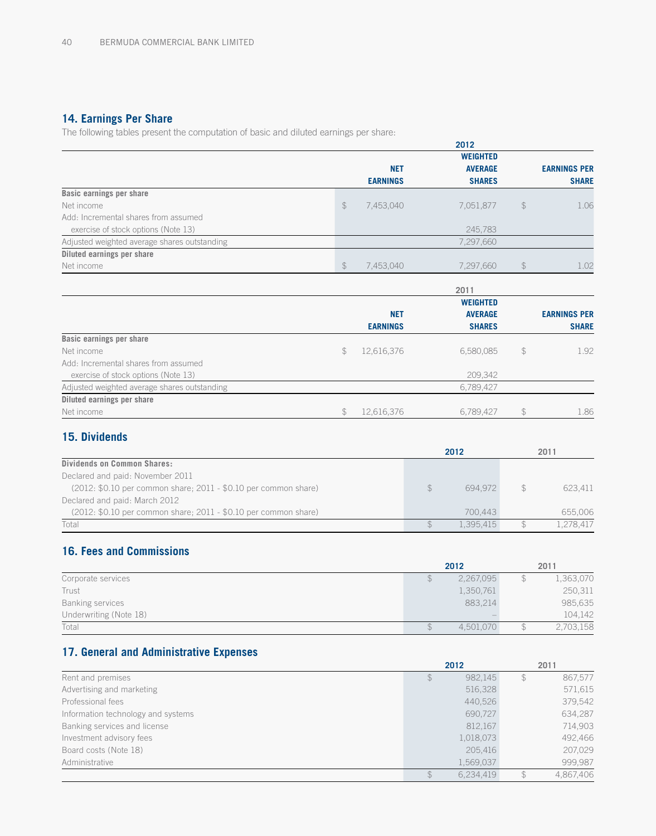# **14. Earnings Per Share**

The following tables present the computation of basic and diluted earnings per share:

|                                              |               |                 | 2012            |                |                     |
|----------------------------------------------|---------------|-----------------|-----------------|----------------|---------------------|
|                                              |               |                 | <b>WEIGHTED</b> |                |                     |
|                                              |               | <b>NET</b>      | <b>AVERAGE</b>  |                | <b>EARNINGS PER</b> |
|                                              |               | <b>EARNINGS</b> | <b>SHARES</b>   |                | <b>SHARE</b>        |
| <b>Basic earnings per share</b>              |               |                 |                 |                |                     |
| Net income                                   | $\frac{1}{2}$ | 7,453,040       | 7,051,877       | $\frac{1}{2}$  | 1.06                |
| Add: Incremental shares from assumed         |               |                 |                 |                |                     |
| exercise of stock options (Note 13)          |               |                 | 245,783         |                |                     |
| Adjusted weighted average shares outstanding |               |                 | 7,297,660       |                |                     |
| Diluted earnings per share                   |               |                 |                 |                |                     |
| Net income                                   | $\frac{1}{2}$ | 7,453,040       | 7,297,660       | $\updownarrow$ | 1.02                |
|                                              |               |                 | 2011            |                |                     |
|                                              |               |                 | <b>WEIGHTED</b> |                |                     |
|                                              |               | <b>NET</b>      | <b>AVERAGE</b>  |                | <b>EARNINGS PER</b> |
|                                              |               | <b>EARNINGS</b> | <b>SHARES</b>   |                | <b>SHARE</b>        |
| Basic earnings per share                     |               |                 |                 |                |                     |
| Net income                                   | \$            | 12,616,376      | 6,580,085       | $\mathcal{L}$  | 1.92                |
| Add: Incremental shares from assumed         |               |                 |                 |                |                     |
| exercise of stock options (Note 13)          |               |                 | 209,342         |                |                     |
| Adjusted weighted average shares outstanding |               |                 | 6,789,427       |                |                     |

# **15. Dividends**

**Diluted earnings per share**

|                                                                 |   | 2012      | 2011      |
|-----------------------------------------------------------------|---|-----------|-----------|
| <b>Dividends on Common Shares:</b>                              |   |           |           |
| Declared and paid: November 2011                                |   |           |           |
| (2012: \$0.10 per common share; 2011 - \$0.10 per common share) | S | 694.972   | 623.411   |
| Declared and paid: March 2012                                   |   |           |           |
| (2012: \$0.10 per common share; 2011 - \$0.10 per common share) |   | 700.443   | 655.006   |
| Total                                                           |   | 1 395 415 | 1.278.417 |

Net income \$ 12,616,376 6,789,427 \$ 1.86

# **16. Fees and Commissions**

|                         | 2012      | 2011      |
|-------------------------|-----------|-----------|
| Corporate services      | 2,267,095 | 1,363,070 |
| Trust                   | 1,350,761 | 250,311   |
| <b>Banking services</b> | 883.214   | 985,635   |
| Underwriting (Note 18)  |           | 104,142   |
| Total                   | 4.501.070 | 2,703,158 |

# **17. General and Administrative Expenses**

|                                    |    | 2012      |   | 2011      |
|------------------------------------|----|-----------|---|-----------|
| Rent and premises                  | £. | 982,145   | S | 867,577   |
| Advertising and marketing          |    | 516,328   |   | 571,615   |
| Professional fees                  |    | 440,526   |   | 379,542   |
| Information technology and systems |    | 690,727   |   | 634,287   |
| Banking services and license       |    | 812,167   |   | 714,903   |
| Investment advisory fees           |    | 1,018,073 |   | 492,466   |
| Board costs (Note 18)              |    | 205.416   |   | 207,029   |
| Administrative                     |    | 1,569,037 |   | 999.987   |
|                                    |    | 6,234,419 |   | 4.867.406 |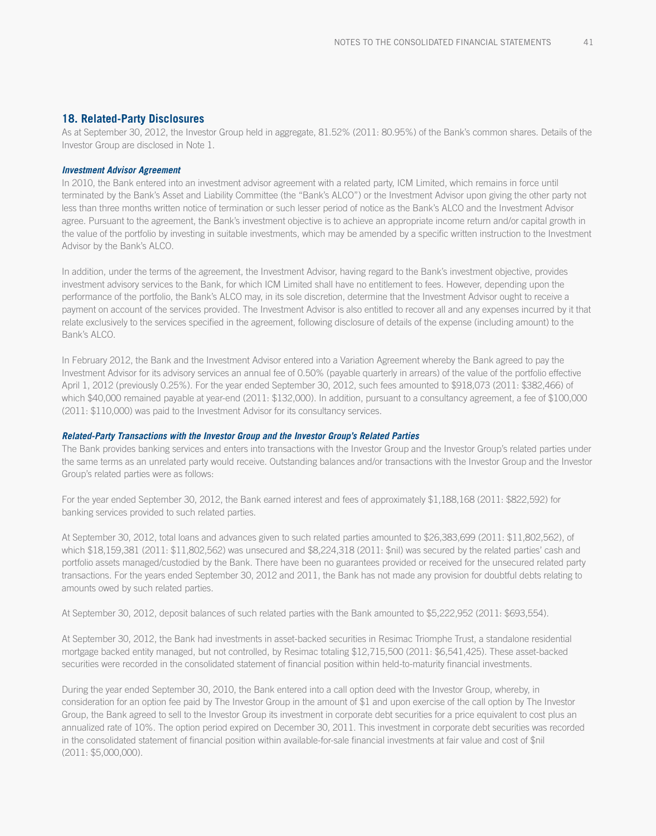### **18. Related-Party Disclosures**

As at September 30, 2012, the Investor Group held in aggregate, 81.52% (2011: 80.95%) of the Bank's common shares. Details of the Investor Group are disclosed in Note 1.

#### *Investment Advisor Agreement*

In 2010, the Bank entered into an investment advisor agreement with a related party, ICM Limited, which remains in force until terminated by the Bank's Asset and Liability Committee (the "Bank's ALCO") or the Investment Advisor upon giving the other party not less than three months written notice of termination or such lesser period of notice as the Bank's ALCO and the Investment Advisor agree. Pursuant to the agreement, the Bank's investment objective is to achieve an appropriate income return and/or capital growth in the value of the portfolio by investing in suitable investments, which may be amended by a specific written instruction to the Investment Advisor by the Bank's ALCO.

In addition, under the terms of the agreement, the Investment Advisor, having regard to the Bank's investment objective, provides investment advisory services to the Bank, for which ICM Limited shall have no entitlement to fees. However, depending upon the performance of the portfolio, the Bank's ALCO may, in its sole discretion, determine that the Investment Advisor ought to receive a payment on account of the services provided. The Investment Advisor is also entitled to recover all and any expenses incurred by it that relate exclusively to the services specified in the agreement, following disclosure of details of the expense (including amount) to the Bank's ALCO.

In February 2012, the Bank and the Investment Advisor entered into a Variation Agreement whereby the Bank agreed to pay the Investment Advisor for its advisory services an annual fee of 0.50% (payable quarterly in arrears) of the value of the portfolio effective April 1, 2012 (previously 0.25%). For the year ended September 30, 2012, such fees amounted to \$918,073 (2011: \$382,466) of which \$40,000 remained payable at year-end (2011: \$132,000). In addition, pursuant to a consultancy agreement, a fee of \$100,000 (2011: \$110,000) was paid to the Investment Advisor for its consultancy services.

#### *Related-Party Transactions with the Investor Group and the Investor Group's Related Parties*

The Bank provides banking services and enters into transactions with the Investor Group and the Investor Group's related parties under the same terms as an unrelated party would receive. Outstanding balances and/or transactions with the Investor Group and the Investor Group's related parties were as follows:

For the year ended September 30, 2012, the Bank earned interest and fees of approximately \$1,188,168 (2011: \$822,592) for banking services provided to such related parties.

At September 30, 2012, total loans and advances given to such related parties amounted to \$26,383,699 (2011: \$11,802,562), of which \$18,159,381 (2011: \$11,802,562) was unsecured and \$8,224,318 (2011: \$nil) was secured by the related parties' cash and portfolio assets managed/custodied by the Bank. There have been no guarantees provided or received for the unsecured related party transactions. For the years ended September 30, 2012 and 2011, the Bank has not made any provision for doubtful debts relating to amounts owed by such related parties.

At September 30, 2012, deposit balances of such related parties with the Bank amounted to \$5,222,952 (2011: \$693,554).

At September 30, 2012, the Bank had investments in asset-backed securities in Resimac Triomphe Trust, a standalone residential mortgage backed entity managed, but not controlled, by Resimac totaling \$12,715,500 (2011: \$6,541,425). These asset-backed securities were recorded in the consolidated statement of financial position within held-to-maturity financial investments.

During the year ended September 30, 2010, the Bank entered into a call option deed with the Investor Group, whereby, in consideration for an option fee paid by The Investor Group in the amount of \$1 and upon exercise of the call option by The Investor Group, the Bank agreed to sell to the Investor Group its investment in corporate debt securities for a price equivalent to cost plus an annualized rate of 10%. The option period expired on December 30, 2011. This investment in corporate debt securities was recorded in the consolidated statement of financial position within available-for-sale financial investments at fair value and cost of \$nil (2011: \$5,000,000).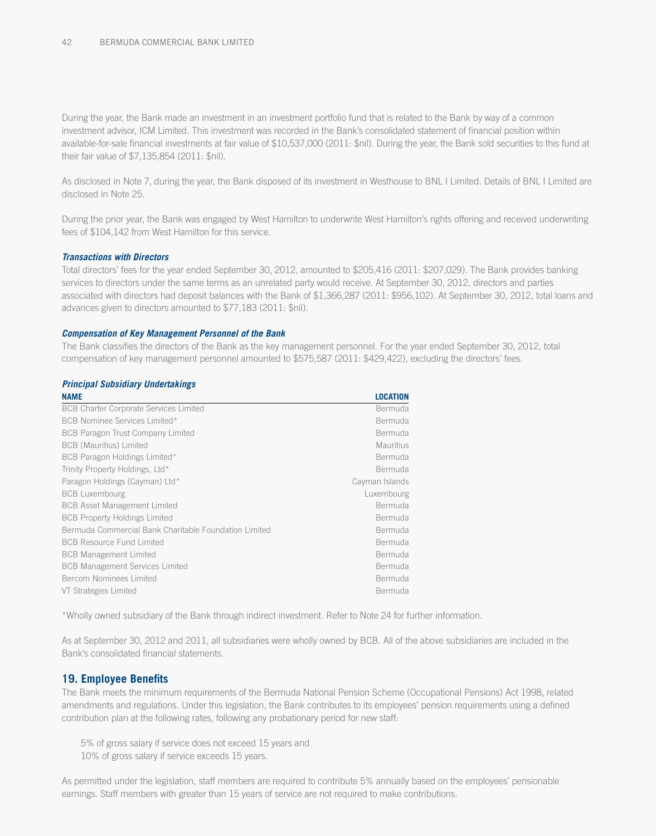During the year, the Bank made an investment in an investment portfolio fund that is related to the Bank by way of a common investment advisor, ICM Limited. This investment was recorded in the Bank's consolidated statement of financial position within available-for-sale financial investments at fair value of \$10,537,000 (2011: \$nil). During the year, the Bank sold securities to this fund at their fair value of \$7,135,854 (2011: \$nil).

As disclosed in Note 7, during the year, the Bank disposed of its investment in Westhouse to BNL I Limited. Details of BNL I Limited are disclosed in Note 25.

During the prior year, the Bank was engaged by West Hamilton to underwrite West Hamilton's rights offering and received underwriting fees of \$104,142 from West Hamilton for this service.

#### *Transactions with Directors*

Total directors' fees for the year ended September 30, 2012, amounted to \$205,416 (2011: \$207,029). The Bank provides banking services to directors under the same terms as an unrelated party would receive. At September 30, 2012, directors and parties associated with directors had deposit balances with the Bank of \$1,366,287 (2011: \$956,102). At September 30, 2012, total loans and advances given to directors amounted to \$77,183 (2011: \$nil).

#### *Compensation of Key Management Personnel of the Bank*

The Bank classifies the directors of the Bank as the key management personnel. For the year ended September 30, 2012, total compensation of key management personnel amounted to \$575,587 (2011: \$429,422), excluding the directors' fees.

#### *Principal Subsidiary Undertakings*

| <b>LOCATION</b>  |
|------------------|
| Bermuda          |
| Bermuda          |
| Bermuda          |
| <b>Mauritius</b> |
| Bermuda          |
| Bermuda          |
| Cayman Islands   |
| Luxembourg       |
| Bermuda          |
| Bermuda          |
| Bermuda          |
| Bermuda          |
| Bermuda          |
| Bermuda          |
| Bermuda          |
| <b>Bermuda</b>   |
|                  |

\*Wholly owned subsidiary of the Bank through indirect investment. Refer to Note 24 for further information.

As at September 30, 2012 and 2011, all subsidiaries were wholly owned by BCB. All of the above subsidiaries are included in the Bank's consolidated financial statements.

### **19. Employee Benefits**

The Bank meets the minimum requirements of the Bermuda National Pension Scheme (Occupational Pensions) Act 1998, related amendments and regulations. Under this legislation, the Bank contributes to its employees' pension requirements using a defined contribution plan at the following rates, following any probationary period for new staff:

5% of gross salary if service does not exceed 15 years and 10% of gross salary if service exceeds 15 years.

As permitted under the legislation, staff members are required to contribute 5% annually based on the employees' pensionable earnings. Staff members with greater than 15 years of service are not required to make contributions.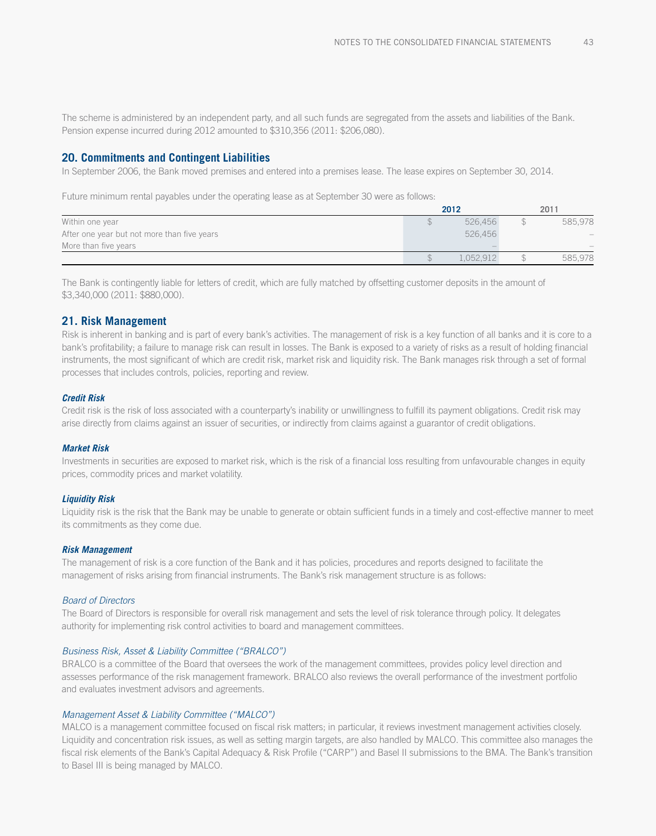The scheme is administered by an independent party, and all such funds are segregated from the assets and liabilities of the Bank. Pension expense incurred during 2012 amounted to \$310,356 (2011: \$206,080).

#### **20. Commitments and Contingent Liabilities**

In September 2006, the Bank moved premises and entered into a premises lease. The lease expires on September 30, 2014.

Future minimum rental payables under the operating lease as at September 30 were as follows:

|                                             | 2012      | 2011                     |
|---------------------------------------------|-----------|--------------------------|
| Within one year                             | 526.456   | 585.978                  |
| After one year but not more than five years | 526.456   | $\overline{\phantom{m}}$ |
| More than five years                        |           |                          |
|                                             | 1.052.912 | 585.978                  |

The Bank is contingently liable for letters of credit, which are fully matched by offsetting customer deposits in the amount of \$3,340,000 (2011: \$880,000).

#### **21. Risk Management**

Risk is inherent in banking and is part of every bank's activities. The management of risk is a key function of all banks and it is core to a bank's profitability; a failure to manage risk can result in losses. The Bank is exposed to a variety of risks as a result of holding financial instruments, the most significant of which are credit risk, market risk and liquidity risk. The Bank manages risk through a set of formal processes that includes controls, policies, reporting and review.

#### *Credit Risk*

Credit risk is the risk of loss associated with a counterparty's inability or unwillingness to fulfill its payment obligations. Credit risk may arise directly from claims against an issuer of securities, or indirectly from claims against a guarantor of credit obligations.

#### *Market Risk*

Investments in securities are exposed to market risk, which is the risk of a financial loss resulting from unfavourable changes in equity prices, commodity prices and market volatility.

#### *Liquidity Risk*

Liquidity risk is the risk that the Bank may be unable to generate or obtain sufficient funds in a timely and cost-effective manner to meet its commitments as they come due.

#### *Risk Management*

The management of risk is a core function of the Bank and it has policies, procedures and reports designed to facilitate the management of risks arising from financial instruments. The Bank's risk management structure is as follows:

#### *Board of Directors*

The Board of Directors is responsible for overall risk management and sets the level of risk tolerance through policy. It delegates authority for implementing risk control activities to board and management committees.

#### *Business Risk, Asset & Liability Committee ("BRALCO")*

BRALCO is a committee of the Board that oversees the work of the management committees, provides policy level direction and assesses performance of the risk management framework. BRALCO also reviews the overall performance of the investment portfolio and evaluates investment advisors and agreements.

#### *Management Asset & Liability Committee ("MALCO")*

MALCO is a management committee focused on fiscal risk matters; in particular, it reviews investment management activities closely. Liquidity and concentration risk issues, as well as setting margin targets, are also handled by MALCO. This committee also manages the fiscal risk elements of the Bank's Capital Adequacy & Risk Profile ("CARP") and Basel II submissions to the BMA. The Bank's transition to Basel III is being managed by MALCO.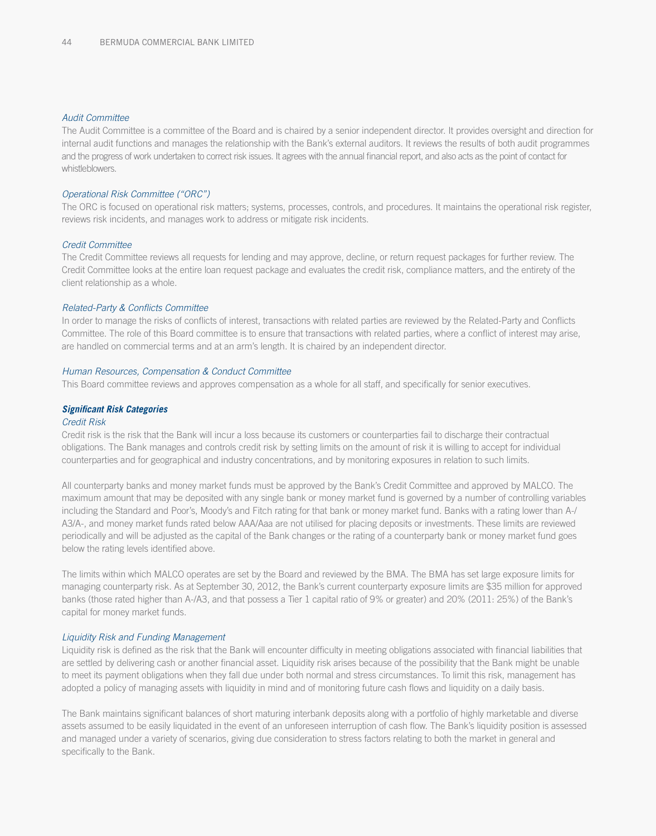#### *Audit Committee*

The Audit Committee is a committee of the Board and is chaired by a senior independent director. It provides oversight and direction for internal audit functions and manages the relationship with the Bank's external auditors. It reviews the results of both audit programmes and the progress of work undertaken to correct risk issues. It agrees with the annual financial report, and also acts as the point of contact for whistleblowers.

#### *Operational Risk Committee ("ORC")*

The ORC is focused on operational risk matters; systems, processes, controls, and procedures. It maintains the operational risk register, reviews risk incidents, and manages work to address or mitigate risk incidents.

#### *Credit Committee*

The Credit Committee reviews all requests for lending and may approve, decline, or return request packages for further review. The Credit Committee looks at the entire loan request package and evaluates the credit risk, compliance matters, and the entirety of the client relationship as a whole.

#### *Related-Party & Conflicts Committee*

In order to manage the risks of conflicts of interest, transactions with related parties are reviewed by the Related-Party and Conflicts Committee. The role of this Board committee is to ensure that transactions with related parties, where a conflict of interest may arise, are handled on commercial terms and at an arm's length. It is chaired by an independent director.

#### *Human Resources, Compensation & Conduct Committee*

This Board committee reviews and approves compensation as a whole for all staff, and specifically for senior executives.

#### *Significant Risk Categories*

#### *Credit Risk*

Credit risk is the risk that the Bank will incur a loss because its customers or counterparties fail to discharge their contractual obligations. The Bank manages and controls credit risk by setting limits on the amount of risk it is willing to accept for individual counterparties and for geographical and industry concentrations, and by monitoring exposures in relation to such limits.

All counterparty banks and money market funds must be approved by the Bank's Credit Committee and approved by MALCO. The maximum amount that may be deposited with any single bank or money market fund is governed by a number of controlling variables including the Standard and Poor's, Moody's and Fitch rating for that bank or money market fund. Banks with a rating lower than A-/ A3/A-, and money market funds rated below AAA/Aaa are not utilised for placing deposits or investments. These limits are reviewed periodically and will be adjusted as the capital of the Bank changes or the rating of a counterparty bank or money market fund goes below the rating levels identified above.

The limits within which MALCO operates are set by the Board and reviewed by the BMA. The BMA has set large exposure limits for managing counterparty risk. As at September 30, 2012, the Bank's current counterparty exposure limits are \$35 million for approved banks (those rated higher than A-/A3, and that possess a Tier 1 capital ratio of 9% or greater) and 20% (2011: 25%) of the Bank's capital for money market funds.

#### *Liquidity Risk and Funding Management*

Liquidity risk is defined as the risk that the Bank will encounter difficulty in meeting obligations associated with financial liabilities that are settled by delivering cash or another financial asset. Liquidity risk arises because of the possibility that the Bank might be unable to meet its payment obligations when they fall due under both normal and stress circumstances. To limit this risk, management has adopted a policy of managing assets with liquidity in mind and of monitoring future cash flows and liquidity on a daily basis.

The Bank maintains significant balances of short maturing interbank deposits along with a portfolio of highly marketable and diverse assets assumed to be easily liquidated in the event of an unforeseen interruption of cash flow. The Bank's liquidity position is assessed and managed under a variety of scenarios, giving due consideration to stress factors relating to both the market in general and specifically to the Bank.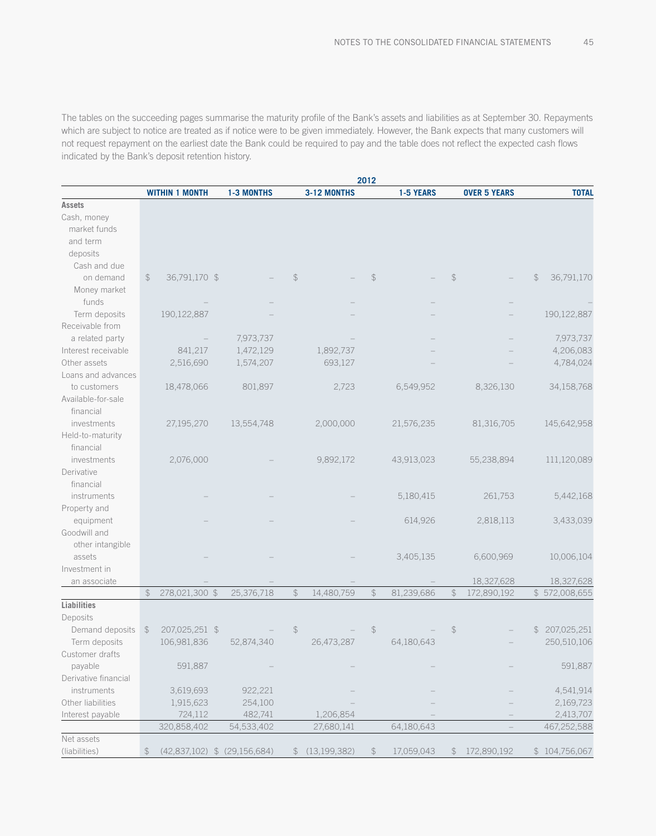The tables on the succeeding pages summarise the maturity profile of the Bank's assets and liabilities as at September 30. Repayments which are subject to notice are treated as if notice were to be given immediately. However, the Bank expects that many customers will not request repayment on the earliest date the Bank could be required to pay and the table does not reflect the expected cash flows indicated by the Bank's deposit retention history.

|                      |                |                              |                   |                |                | 2012           |            |               |                     |               |               |
|----------------------|----------------|------------------------------|-------------------|----------------|----------------|----------------|------------|---------------|---------------------|---------------|---------------|
|                      |                | <b>WITHIN 1 MONTH</b>        | <b>1-3 MONTHS</b> |                | 3-12 MONTHS    |                | 1-5 YEARS  |               | <b>OVER 5 YEARS</b> |               | <b>TOTAL</b>  |
| <b>Assets</b>        |                |                              |                   |                |                |                |            |               |                     |               |               |
| Cash, money          |                |                              |                   |                |                |                |            |               |                     |               |               |
| market funds         |                |                              |                   |                |                |                |            |               |                     |               |               |
| and term             |                |                              |                   |                |                |                |            |               |                     |               |               |
| deposits             |                |                              |                   |                |                |                |            |               |                     |               |               |
| Cash and due         |                |                              |                   |                |                |                |            |               |                     |               |               |
| on demand            | $\frac{1}{2}$  | 36,791,170 \$                |                   | $\mathcal{L}$  |                | $\frac{1}{2}$  |            | $\frac{1}{2}$ |                     | $\frac{2}{3}$ | 36,791,170    |
| Money market         |                |                              |                   |                |                |                |            |               |                     |               |               |
| funds                |                |                              |                   |                |                |                |            |               |                     |               |               |
| Term deposits        |                | 190,122,887                  |                   |                |                |                |            |               |                     |               | 190,122,887   |
| Receivable from      |                |                              |                   |                |                |                |            |               |                     |               |               |
| a related party      |                |                              | 7,973,737         |                |                |                |            |               |                     |               | 7,973,737     |
| Interest receivable  |                | 841,217                      | 1,472,129         |                | 1,892,737      |                |            |               |                     |               | 4,206,083     |
| Other assets         |                | 2,516,690                    | 1,574,207         |                | 693,127        |                |            |               |                     |               | 4,784,024     |
| Loans and advances   |                |                              |                   |                |                |                |            |               |                     |               |               |
| to customers         |                | 18,478,066                   | 801,897           |                | 2,723          |                | 6,549,952  |               | 8,326,130           |               | 34,158,768    |
| Available-for-sale   |                |                              |                   |                |                |                |            |               |                     |               |               |
| financial            |                |                              |                   |                |                |                |            |               |                     |               |               |
| investments          |                | 27,195,270                   | 13,554,748        |                | 2,000,000      |                | 21,576,235 |               | 81,316,705          |               | 145,642,958   |
| Held-to-maturity     |                |                              |                   |                |                |                |            |               |                     |               |               |
| financial            |                |                              |                   |                |                |                |            |               |                     |               |               |
| investments          |                | 2,076,000                    |                   |                | 9,892,172      |                | 43,913,023 |               | 55,238,894          |               | 111,120,089   |
| Derivative           |                |                              |                   |                |                |                |            |               |                     |               |               |
| financial            |                |                              |                   |                |                |                |            |               |                     |               |               |
| instruments          |                |                              |                   |                |                |                | 5,180,415  |               | 261,753             |               | 5,442,168     |
| Property and         |                |                              |                   |                |                |                |            |               |                     |               |               |
| equipment            |                |                              |                   |                |                |                | 614,926    |               | 2,818,113           |               | 3,433,039     |
| Goodwill and         |                |                              |                   |                |                |                |            |               |                     |               |               |
| other intangible     |                |                              |                   |                |                |                |            |               |                     |               |               |
| assets               |                |                              |                   |                |                |                | 3,405,135  |               | 6,600,969           |               | 10,006,104    |
| Investment in        |                |                              |                   |                |                |                |            |               |                     |               |               |
| an associate         |                |                              |                   |                |                |                |            |               | 18,327,628          |               | 18,327,628    |
|                      | $\updownarrow$ | 278,021,300 \$               | 25,376,718        | $\updownarrow$ | 14,480,759     | $\updownarrow$ | 81,239,686 | $\mathcal{L}$ | 172,890,192         |               | \$572,008,655 |
| Liabilities          |                |                              |                   |                |                |                |            |               |                     |               |               |
| Deposits             |                |                              |                   |                |                |                |            |               |                     |               |               |
| Demand deposits      | $\frac{1}{2}$  | 207,025,251 \$               |                   | $\frac{1}{2}$  |                | $\frac{1}{2}$  |            | $\frac{1}{2}$ |                     | $\mathbb S$   | 207,025,251   |
| Term deposits        |                | 106,981,836                  | 52,874,340        |                | 26,473,287     |                | 64,180,643 |               |                     |               | 250,510,106   |
| Customer drafts      |                |                              |                   |                |                |                |            |               |                     |               |               |
| payable              |                | 591,887                      |                   |                |                |                |            |               |                     |               | 591,887       |
| Derivative financial |                |                              |                   |                |                |                |            |               |                     |               |               |
| instruments          |                | 3,619,693                    | 922,221           |                |                |                |            |               |                     |               | 4,541,914     |
| Other liabilities    |                | 1,915,623                    | 254,100           |                |                |                |            |               |                     |               | 2,169,723     |
| Interest payable     |                | 724,112                      | 482,741           |                | 1,206,854      |                |            |               |                     |               | 2,413,707     |
|                      |                | 320,858,402                  | 54,533,402        |                | 27,680,141     |                | 64,180,643 |               |                     |               | 467,252,588   |
| Net assets           |                |                              |                   |                |                |                |            |               |                     |               |               |
| (liabilities)        | \$             | (42,837,102) \$ (29,156,684) |                   |                | \$(13,199,382) | $\frac{1}{2}$  | 17,059,043 |               | \$172,890,192       |               | \$104,756,067 |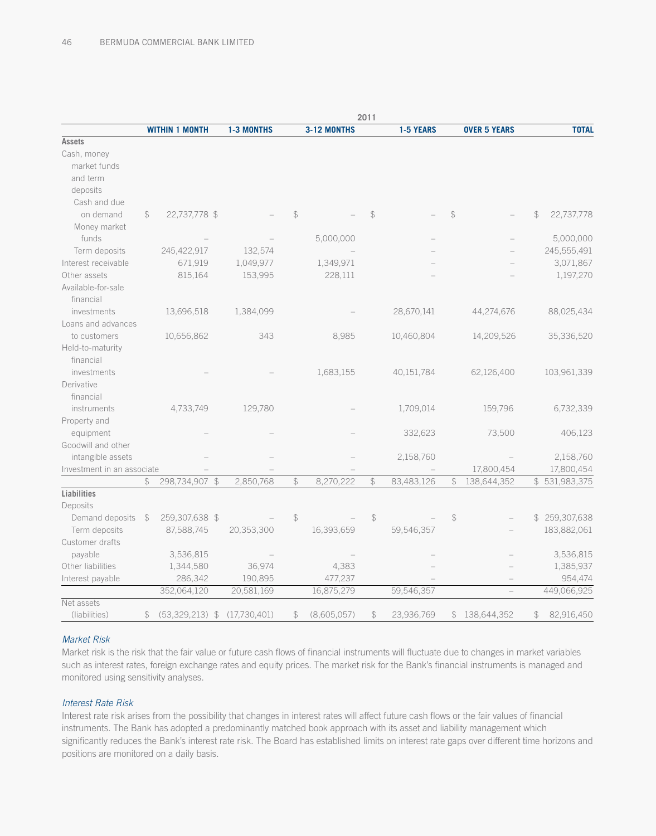|                            |               |                       |                   |                |             | 2011          |            |               |                     |               |               |
|----------------------------|---------------|-----------------------|-------------------|----------------|-------------|---------------|------------|---------------|---------------------|---------------|---------------|
|                            |               | <b>WITHIN 1 MONTH</b> | <b>1-3 MONTHS</b> |                | 3-12 MONTHS |               | 1-5 YEARS  |               | <b>OVER 5 YEARS</b> |               | <b>TOTAL</b>  |
| <b>Assets</b>              |               |                       |                   |                |             |               |            |               |                     |               |               |
| Cash, money                |               |                       |                   |                |             |               |            |               |                     |               |               |
| market funds               |               |                       |                   |                |             |               |            |               |                     |               |               |
| and term                   |               |                       |                   |                |             |               |            |               |                     |               |               |
| deposits                   |               |                       |                   |                |             |               |            |               |                     |               |               |
| Cash and due               |               |                       |                   |                |             |               |            |               |                     |               |               |
| on demand                  | \$            | 22,737,778 \$         |                   | $\mathcal{L}$  |             | $\mathcal{L}$ |            | $\mathcal{L}$ |                     | $\mathcal{L}$ | 22,737,778    |
| Money market               |               |                       |                   |                |             |               |            |               |                     |               |               |
| funds                      |               |                       |                   |                | 5,000,000   |               |            |               |                     |               | 5,000,000     |
| Term deposits              |               | 245,422,917           | 132,574           |                |             |               |            |               |                     |               | 245,555,491   |
| Interest receivable        |               | 671,919               | 1,049,977         |                | 1,349,971   |               |            |               |                     |               | 3,071,867     |
| Other assets               |               | 815,164               | 153,995           |                | 228,111     |               |            |               |                     |               | 1,197,270     |
| Available-for-sale         |               |                       |                   |                |             |               |            |               |                     |               |               |
| financial                  |               |                       |                   |                |             |               |            |               |                     |               |               |
| investments                |               | 13,696,518            | 1,384,099         |                |             |               | 28,670,141 |               | 44,274,676          |               | 88,025,434    |
| Loans and advances         |               |                       |                   |                |             |               |            |               |                     |               |               |
| to customers               |               | 10,656,862            | 343               |                | 8,985       |               | 10,460,804 |               | 14,209,526          |               | 35,336,520    |
| Held-to-maturity           |               |                       |                   |                |             |               |            |               |                     |               |               |
| financial                  |               |                       |                   |                |             |               |            |               |                     |               |               |
| investments                |               |                       |                   |                | 1,683,155   |               | 40,151,784 |               | 62,126,400          |               | 103,961,339   |
| Derivative                 |               |                       |                   |                |             |               |            |               |                     |               |               |
| financial                  |               |                       |                   |                |             |               |            |               |                     |               |               |
| instruments                |               | 4,733,749             | 129,780           |                |             |               | 1,709,014  |               | 159,796             |               | 6,732,339     |
| Property and               |               |                       |                   |                |             |               |            |               |                     |               |               |
| equipment                  |               |                       |                   |                |             |               | 332,623    |               | 73,500              |               | 406,123       |
| Goodwill and other         |               |                       |                   |                |             |               |            |               |                     |               |               |
| intangible assets          |               |                       |                   |                |             |               | 2,158,760  |               |                     |               | 2,158,760     |
| Investment in an associate |               |                       |                   |                |             |               |            |               | 17,800,454          |               | 17,800,454    |
|                            | $\mathcal{L}$ | 298,734,907 \$        | 2,850,768         | $\frac{1}{2}$  | 8,270,222   | $\frac{1}{2}$ | 83,483,126 | $\mathcal{L}$ | 138,644,352         |               | \$531,983,375 |
| Liabilities                |               |                       |                   |                |             |               |            |               |                     |               |               |
| Deposits                   |               |                       |                   |                |             |               |            |               |                     |               |               |
| Demand deposits            | $\mathcal{F}$ | 259,307,638 \$        |                   | $\updownarrow$ |             | $\frac{1}{2}$ |            | \$            |                     |               | \$259,307,638 |
| Term deposits              |               | 87,588,745            | 20,353,300        |                | 16,393,659  |               | 59,546,357 |               |                     |               | 183,882,061   |
| Customer drafts            |               |                       |                   |                |             |               |            |               |                     |               |               |
| payable                    |               | 3,536,815             |                   |                |             |               |            |               |                     |               | 3,536,815     |
| Other liabilities          |               | 1,344,580             | 36,974            |                | 4,383       |               |            |               |                     |               | 1,385,937     |
| Interest payable           |               | 286,342               | 190,895           |                | 477,237     |               |            |               |                     |               | 954,474       |
|                            |               | 352,064,120           | 20,581,169        |                | 16,875,279  |               | 59,546,357 |               |                     |               | 449,066,925   |
| Net assets                 |               |                       |                   |                |             |               |            |               |                     |               |               |
| (liabilities)              | \$            | $(53,329,213)$ \$     | (17,730,401)      | \$             | (8,605,057) | $\mathcal{Z}$ | 23,936,769 | \$            | 138,644,352         | \$            | 82,916,450    |

### *Market Risk*

Market risk is the risk that the fair value or future cash flows of financial instruments will fluctuate due to changes in market variables such as interest rates, foreign exchange rates and equity prices. The market risk for the Bank's financial instruments is managed and monitored using sensitivity analyses.

#### *Interest Rate Risk*

Interest rate risk arises from the possibility that changes in interest rates will affect future cash flows or the fair values of financial instruments. The Bank has adopted a predominantly matched book approach with its asset and liability management which significantly reduces the Bank's interest rate risk. The Board has established limits on interest rate gaps over different time horizons and positions are monitored on a daily basis.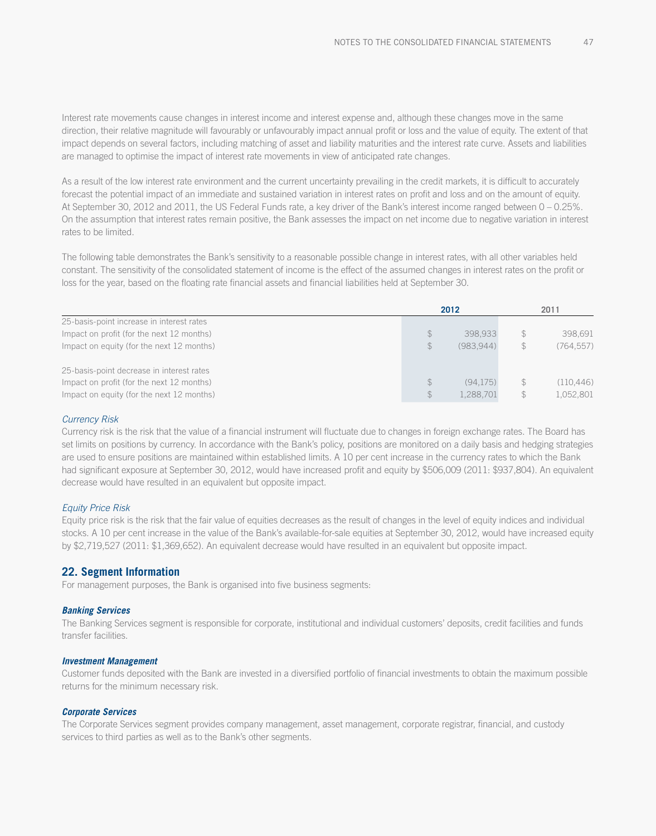Interest rate movements cause changes in interest income and interest expense and, although these changes move in the same direction, their relative magnitude will favourably or unfavourably impact annual profit or loss and the value of equity. The extent of that impact depends on several factors, including matching of asset and liability maturities and the interest rate curve. Assets and liabilities are managed to optimise the impact of interest rate movements in view of anticipated rate changes.

As a result of the low interest rate environment and the current uncertainty prevailing in the credit markets, it is difficult to accurately forecast the potential impact of an immediate and sustained variation in interest rates on profit and loss and on the amount of equity. At September 30, 2012 and 2011, the US Federal Funds rate, a key driver of the Bank's interest income ranged between 0 – 0.25%. On the assumption that interest rates remain positive, the Bank assesses the impact on net income due to negative variation in interest rates to be limited.

The following table demonstrates the Bank's sensitivity to a reasonable possible change in interest rates, with all other variables held constant. The sensitivity of the consolidated statement of income is the effect of the assumed changes in interest rates on the profit or loss for the year, based on the floating rate financial assets and financial liabilities held at September 30.

|                                                                                        |                                | 2012                  |               | 2011                    |
|----------------------------------------------------------------------------------------|--------------------------------|-----------------------|---------------|-------------------------|
| 25-basis-point increase in interest rates<br>Impact on profit (for the next 12 months) | $\mathcal{L}$                  | 398.933               | \$            | 398,691                 |
| Impact on equity (for the next 12 months)                                              | $\mathcal{L}$                  | (983.944)             | $\mathcal{F}$ | (764, 557)              |
| 25-basis-point decrease in interest rates                                              |                                |                       |               |                         |
| Impact on profit (for the next 12 months)<br>Impact on equity (for the next 12 months) | $\mathcal{F}$<br>$\mathcal{L}$ | (94.175)<br>1,288,701 | $\mathcal{F}$ | (110, 446)<br>1,052,801 |

#### *Currency Risk*

Currency risk is the risk that the value of a financial instrument will fluctuate due to changes in foreign exchange rates. The Board has set limits on positions by currency. In accordance with the Bank's policy, positions are monitored on a daily basis and hedging strategies are used to ensure positions are maintained within established limits. A 10 per cent increase in the currency rates to which the Bank had significant exposure at September 30, 2012, would have increased profit and equity by \$506,009 (2011: \$937,804). An equivalent decrease would have resulted in an equivalent but opposite impact.

#### *Equity Price Risk*

Equity price risk is the risk that the fair value of equities decreases as the result of changes in the level of equity indices and individual stocks. A 10 per cent increase in the value of the Bank's available-for-sale equities at September 30, 2012, would have increased equity by \$2,719,527 (2011: \$1,369,652). An equivalent decrease would have resulted in an equivalent but opposite impact.

#### **22. Segment Information**

For management purposes, the Bank is organised into five business segments:

#### *Banking Services*

The Banking Services segment is responsible for corporate, institutional and individual customers' deposits, credit facilities and funds transfer facilities.

#### *Investment Management*

Customer funds deposited with the Bank are invested in a diversified portfolio of financial investments to obtain the maximum possible returns for the minimum necessary risk.

#### *Corporate Services*

The Corporate Services segment provides company management, asset management, corporate registrar, financial, and custody services to third parties as well as to the Bank's other segments.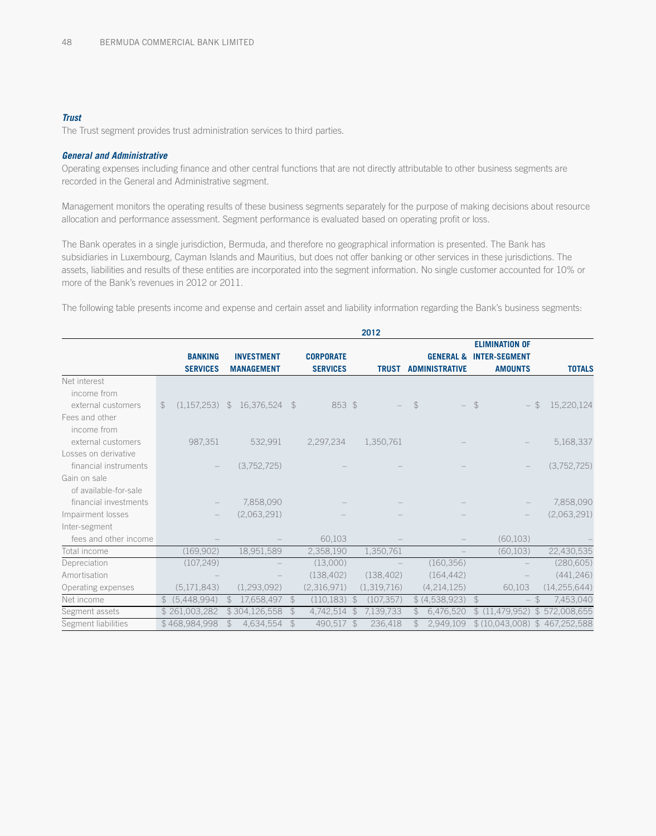#### *Trust*

The Trust segment provides trust administration services to third parties.

#### *General and Administrative*

Operating expenses including finance and other central functions that are not directly attributable to other business segments are recorded in the General and Administrative segment.

Management monitors the operating results of these business segments separately for the purpose of making decisions about resource allocation and performance assessment. Segment performance is evaluated based on operating profit or loss.

The Bank operates in a single jurisdiction, Bermuda, and therefore no geographical information is presented. The Bank has subsidiaries in Luxembourg, Cayman Islands and Mauritius, but does not offer banking or other services in these jurisdictions. The assets, liabilities and results of these entities are incorporated into the segment information. No single customer accounted for 10% or more of the Bank's revenues in 2012 or 2011.

The following table presents income and expense and certain asset and liability information regarding the Bank's business segments:

|                       |               |                                   |                                        |               |                                     |               | 2012         |               |                                               |               |                                                                 |               |                |
|-----------------------|---------------|-----------------------------------|----------------------------------------|---------------|-------------------------------------|---------------|--------------|---------------|-----------------------------------------------|---------------|-----------------------------------------------------------------|---------------|----------------|
|                       |               | <b>BANKING</b><br><b>SERVICES</b> | <b>INVESTMENT</b><br><b>MANAGEMENT</b> |               | <b>CORPORATE</b><br><b>SERVICES</b> |               | <b>TRUST</b> |               | <b>GENERAL &amp;</b><br><b>ADMINISTRATIVE</b> |               | <b>ELIMINATION OF</b><br><b>INTER-SEGMENT</b><br><b>AMOUNTS</b> |               | <b>TOTALS</b>  |
| Net interest          |               |                                   |                                        |               |                                     |               |              |               |                                               |               |                                                                 |               |                |
| income from           |               |                                   |                                        |               |                                     |               |              |               |                                               |               |                                                                 |               |                |
| external customers    | $\mathcal{F}$ | $(1,157,253)$ \$                  | 16,376,524                             | $\mathcal{F}$ | 853 \$                              |               |              | $\mathcal{F}$ | $\overline{\phantom{0}}$                      | $\mathcal{F}$ | $\overline{\phantom{0}}$                                        | $\mathcal{F}$ | 15,220,124     |
| Fees and other        |               |                                   |                                        |               |                                     |               |              |               |                                               |               |                                                                 |               |                |
| income from           |               |                                   |                                        |               |                                     |               |              |               |                                               |               |                                                                 |               |                |
| external customers    |               | 987,351                           | 532,991                                |               | 2,297,234                           |               | 1,350,761    |               |                                               |               |                                                                 |               | 5,168,337      |
| Losses on derivative  |               |                                   |                                        |               |                                     |               |              |               |                                               |               |                                                                 |               |                |
| financial instruments |               |                                   | (3,752,725)                            |               |                                     |               |              |               |                                               |               |                                                                 |               | (3,752,725)    |
| Gain on sale          |               |                                   |                                        |               |                                     |               |              |               |                                               |               |                                                                 |               |                |
| of available-for-sale |               |                                   |                                        |               |                                     |               |              |               |                                               |               |                                                                 |               |                |
| financial investments |               |                                   | 7,858,090                              |               |                                     |               |              |               |                                               |               |                                                                 |               | 7,858,090      |
| Impairment losses     |               |                                   | (2,063,291)                            |               |                                     |               |              |               |                                               |               |                                                                 |               | (2,063,291)    |
| Inter-segment         |               |                                   |                                        |               |                                     |               |              |               |                                               |               |                                                                 |               |                |
| fees and other income |               |                                   |                                        |               | 60,103                              |               |              |               |                                               |               | (60, 103)                                                       |               |                |
| Total income          |               | (169, 902)                        | 18,951,589                             |               | 2,358,190                           |               | 1,350,761    |               |                                               |               | (60, 103)                                                       |               | 22,430,535     |
| Depreciation          |               | (107, 249)                        |                                        |               | (13,000)                            |               |              |               | (160, 356)                                    |               |                                                                 |               | (280, 605)     |
| Amortisation          |               |                                   |                                        |               | (138, 402)                          |               | (138, 402)   |               | (164, 442)                                    |               |                                                                 |               | (441, 246)     |
| Operating expenses    |               | (5, 171, 843)                     | (1, 293, 092)                          |               | (2,316,971)                         |               | (1,319,716)  |               | (4, 214, 125)                                 |               | 60,103                                                          |               | (14, 255, 644) |
| Net income            | $\mathbb{S}$  | (5,448,994)                       | 17,658,497<br>$\mathcal{F}$            | $\mathcal{L}$ | (110, 183)                          | $\mathcal{F}$ | (107, 357)   |               | \$ (4,538,923)                                | $\mathcal{L}$ | $\overline{\phantom{0}}$                                        | $\mathcal{F}$ | 7,453,040      |
| Segment assets        |               | \$261,003,282                     | \$304,126,558                          | $\mathcal{Z}$ | 4,742,514                           | \$            | 7,139,733    | $\mathcal{S}$ | 6,476,520                                     | \$            | (11, 479, 952)                                                  | $\mathcal{F}$ | 572,008,655    |
| Segment liabilities   |               | \$468,984,998                     | 4,634,554                              | $\mathcal{L}$ | 490,517                             | $\mathcal{F}$ | 236,418      |               | 2,949,109                                     |               | \$(10,043,008)                                                  |               | \$467,252,588  |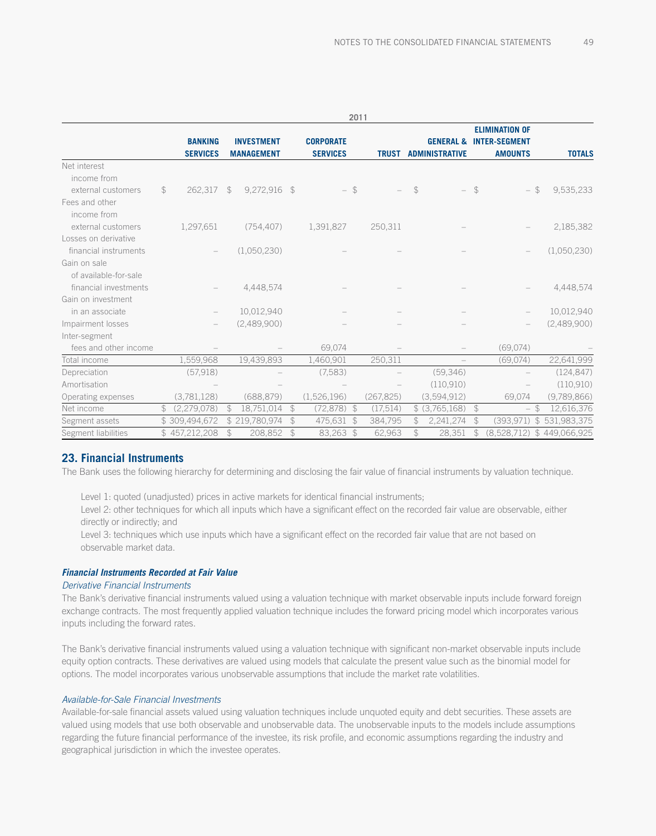|                       |                |                 |               |                   |               |                  | 2011          |              |               |                          |               |                                            |               |
|-----------------------|----------------|-----------------|---------------|-------------------|---------------|------------------|---------------|--------------|---------------|--------------------------|---------------|--------------------------------------------|---------------|
|                       |                |                 |               |                   |               |                  |               |              |               |                          |               | <b>ELIMINATION OF</b>                      |               |
|                       |                | <b>BANKING</b>  |               | <b>INVESTMENT</b> |               | <b>CORPORATE</b> |               |              |               | <b>GENERAL &amp;</b>     |               | <b>INTER-SEGMENT</b>                       |               |
|                       |                | <b>SERVICES</b> |               | <b>MANAGEMENT</b> |               | <b>SERVICES</b>  |               | <b>TRUST</b> |               | <b>ADMINISTRATIVE</b>    |               | <b>AMOUNTS</b>                             | <b>TOTALS</b> |
| Net interest          |                |                 |               |                   |               |                  |               |              |               |                          |               |                                            |               |
| income from           |                |                 |               |                   |               |                  |               |              |               |                          |               |                                            |               |
| external customers    | $$\mathbb{S}$$ | 262,317         | \$            | 9,272,916 \$      |               |                  | $-$ \$        |              | $\mathcal{L}$ | $\overline{\phantom{0}}$ | $\mathcal{L}$ | $$\mathbb{S}$$<br>$\overline{\phantom{0}}$ | 9,535,233     |
| Fees and other        |                |                 |               |                   |               |                  |               |              |               |                          |               |                                            |               |
| income from           |                |                 |               |                   |               |                  |               |              |               |                          |               |                                            |               |
| external customers    |                | 1,297,651       |               | (754, 407)        |               | 1,391,827        |               | 250,311      |               |                          |               |                                            | 2,185,382     |
| Losses on derivative  |                |                 |               |                   |               |                  |               |              |               |                          |               |                                            |               |
| financial instruments |                |                 |               | (1,050,230)       |               |                  |               |              |               |                          |               |                                            | (1,050,230)   |
| Gain on sale          |                |                 |               |                   |               |                  |               |              |               |                          |               |                                            |               |
| of available-for-sale |                |                 |               |                   |               |                  |               |              |               |                          |               |                                            |               |
| financial investments |                |                 |               | 4,448,574         |               |                  |               |              |               |                          |               |                                            | 4,448,574     |
| Gain on investment    |                |                 |               |                   |               |                  |               |              |               |                          |               |                                            |               |
| in an associate       |                |                 |               | 10,012,940        |               |                  |               |              |               |                          |               |                                            | 10,012,940    |
| Impairment losses     |                |                 |               | (2,489,900)       |               |                  |               |              |               |                          |               |                                            | (2,489,900)   |
| Inter-segment         |                |                 |               |                   |               |                  |               |              |               |                          |               |                                            |               |
| fees and other income |                |                 |               |                   |               | 69,074           |               |              |               |                          |               | (69,074)                                   |               |
| Total income          |                | 1,559,968       |               | 19,439,893        |               | 1,460,901        |               | 250,311      |               |                          |               | (69,074)                                   | 22,641,999    |
| Depreciation          |                | (57,918)        |               |                   |               | (7, 583)         |               |              |               | (59, 346)                |               |                                            | (124, 847)    |
| Amortisation          |                |                 |               |                   |               |                  |               |              |               | (110,910)                |               |                                            | (110, 910)    |
| Operating expenses    |                | (3,781,128)     |               | (688, 879)        |               | (1,526,196)      |               | (267, 825)   |               | (3,594,912)              |               | 69,074                                     | (9,789,866)   |
| Net income            | \$             | (2,279,078)     | $\mathcal{F}$ | 18,751,014        | $\mathcal{F}$ | $(72,878)$ \$    |               | (17, 514)    |               | \$ (3,765,168)           | $\frac{1}{2}$ | $-$ \$                                     | 12,616,376    |
| Segment assets        |                | \$309,494,672   |               | \$219,780,974     | $\mathcal{L}$ | 475,631 \$       |               | 384,795      | $\mathcal{F}$ | 2,241,274                | $\mathcal{L}$ | $\mathcal{Z}$<br>(393, 971)                | 531,983,375   |
| Segment liabilities   |                | \$457,212,208   | \$            | 208,852           | $\mathcal{Z}$ | 83,263           | $\mathcal{L}$ | 62,963       | \$            | 28,351                   | \$            | (8,528,712)                                | \$449,066,925 |

### **23. Financial Instruments**

The Bank uses the following hierarchy for determining and disclosing the fair value of financial instruments by valuation technique.

Level 1: quoted (unadjusted) prices in active markets for identical financial instruments;

Level 2: other techniques for which all inputs which have a significant effect on the recorded fair value are observable, either directly or indirectly; and

Level 3: techniques which use inputs which have a significant effect on the recorded fair value that are not based on observable market data.

### *Financial Instruments Recorded at Fair Value*

#### *Derivative Financial Instruments*

The Bank's derivative financial instruments valued using a valuation technique with market observable inputs include forward foreign exchange contracts. The most frequently applied valuation technique includes the forward pricing model which incorporates various inputs including the forward rates.

The Bank's derivative financial instruments valued using a valuation technique with significant non-market observable inputs include equity option contracts. These derivatives are valued using models that calculate the present value such as the binomial model for options. The model incorporates various unobservable assumptions that include the market rate volatilities.

#### *Available-for-Sale Financial Investments*

Available-for-sale financial assets valued using valuation techniques include unquoted equity and debt securities. These assets are valued using models that use both observable and unobservable data. The unobservable inputs to the models include assumptions regarding the future financial performance of the investee, its risk profile, and economic assumptions regarding the industry and geographical jurisdiction in which the investee operates.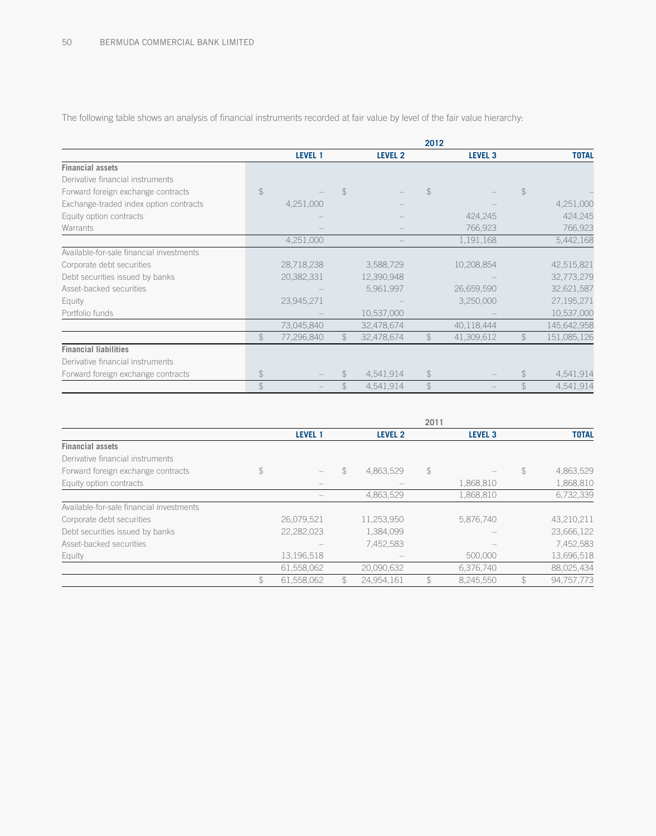|                                          |                |            |                |            | 2012          |                |                |              |
|------------------------------------------|----------------|------------|----------------|------------|---------------|----------------|----------------|--------------|
|                                          |                | LEVEL 1    |                | LEVEL 2    |               | <b>LEVEL 3</b> |                | <b>TOTAL</b> |
| <b>Financial assets</b>                  |                |            |                |            |               |                |                |              |
| Derivative financial instruments         |                |            |                |            |               |                |                |              |
| Forward foreign exchange contracts       | $\mathcal{L}$  |            | \$             |            | $\mathcal{L}$ |                | $\mathcal{L}$  |              |
| Exchange-traded index option contracts   |                | 4,251,000  |                |            |               |                |                | 4,251,000    |
| Equity option contracts                  |                |            |                |            |               | 424,245        |                | 424,245      |
| Warrants                                 |                |            |                |            |               | 766,923        |                | 766,923      |
|                                          |                | 4,251,000  |                |            |               | 1,191,168      |                | 5,442,168    |
| Available-for-sale financial investments |                |            |                |            |               |                |                |              |
| Corporate debt securities                |                | 28,718,238 |                | 3,588,729  |               | 10,208,854     |                | 42,515,821   |
| Debt securities issued by banks          |                | 20,382,331 |                | 12,390,948 |               |                |                | 32,773,279   |
| Asset-backed securities                  |                |            |                | 5,961,997  |               | 26,659,590     |                | 32,621,587   |
| Equity                                   |                | 23,945,271 |                |            |               | 3,250,000      |                | 27, 195, 271 |
| Portfolio funds                          |                |            |                | 10,537,000 |               |                |                | 10,537,000   |
|                                          |                | 73,045,840 |                | 32,478,674 |               | 40,118,444     |                | 145,642,958  |
|                                          | $$\mathbb{S}$$ | 77,296,840 | $\mathfrak{P}$ | 32,478,674 | $\mathcal{L}$ | 41,309,612     | $$\mathbb{S}$$ | 151,085,126  |
| <b>Financial liabilities</b>             |                |            |                |            |               |                |                |              |
| Derivative financial instruments         |                |            |                |            |               |                |                |              |
| Forward foreign exchange contracts       | $\frac{4}{5}$  |            |                | 4,541,914  | $\frac{1}{2}$ |                | $\mathcal{S}$  | 4,541,914    |
|                                          | $\frac{1}{2}$  |            |                | 4,541,914  | $\mathcal{L}$ |                | $\mathcal{F}$  | 4,541,914    |

The following table shows an analysis of financial instruments recorded at fair value by level of the fair value hierarchy:

|                                          |                                             |               |                | 2011          |                |               |              |
|------------------------------------------|---------------------------------------------|---------------|----------------|---------------|----------------|---------------|--------------|
|                                          | <b>LEVEL 1</b>                              |               | <b>LEVEL 2</b> |               | <b>LEVEL 3</b> |               | <b>TOTAL</b> |
| <b>Financial assets</b>                  |                                             |               |                |               |                |               |              |
| Derivative financial instruments         |                                             |               |                |               |                |               |              |
| Forward foreign exchange contracts       | \$<br>$\hspace{1.0cm} \rule{1.5cm}{0.15cm}$ | \$            | 4,863,529      | $\frac{1}{2}$ |                | $\mathcal{P}$ | 4,863,529    |
| Equity option contracts                  |                                             |               |                |               | 1,868,810      |               | 1,868,810    |
|                                          |                                             |               | 4,863,529      |               | 1.868.810      |               | 6,732,339    |
| Available-for-sale financial investments |                                             |               |                |               |                |               |              |
| Corporate debt securities                | 26,079,521                                  |               | 11,253,950     |               | 5,876,740      |               | 43,210,211   |
| Debt securities issued by banks          | 22,282,023                                  |               | 1,384,099      |               |                |               | 23,666,122   |
| Asset-backed securities                  |                                             |               | 7,452,583      |               |                |               | 7,452,583    |
| Equity                                   | 13,196,518                                  |               |                |               | 500,000        |               | 13,696,518   |
|                                          | 61,558,062                                  |               | 20,090,632     |               | 6,376,740      |               | 88,025,434   |
|                                          | \$<br>61,558,062                            | $\mathcal{L}$ | 24,954,161     | $\mathcal{L}$ | 8,245,550      | $\mathcal{L}$ | 94,757,773   |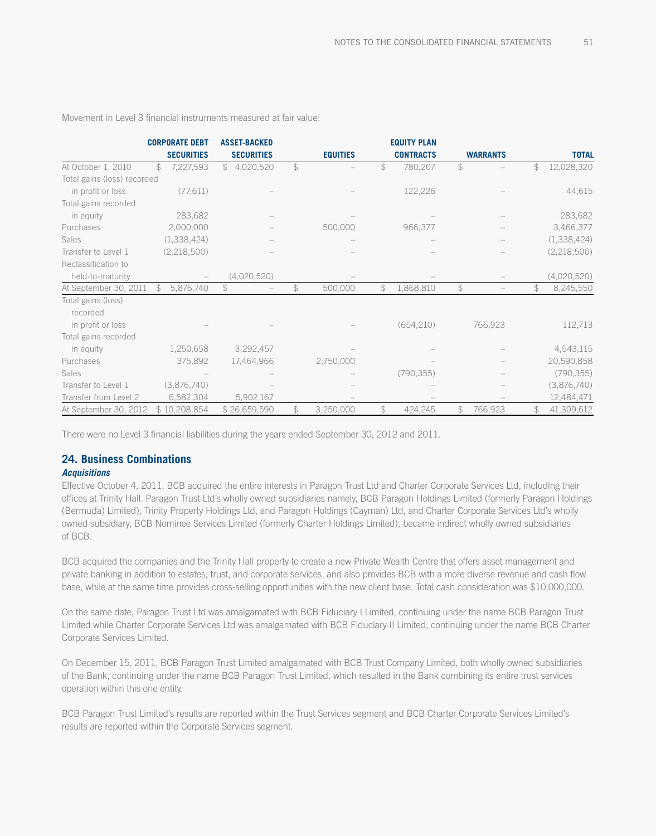|                             | <b>CORPORATE DEBT</b>      | <b>ASSET-BACKED</b> |               |                 |               | <b>EQUITY PLAN</b> |                |                 |               |               |
|-----------------------------|----------------------------|---------------------|---------------|-----------------|---------------|--------------------|----------------|-----------------|---------------|---------------|
|                             | <b>SECURITIES</b>          | <b>SECURITIES</b>   |               | <b>EQUITIES</b> |               | <b>CONTRACTS</b>   |                | <b>WARRANTS</b> |               | <b>TOTAL</b>  |
| At October 1, 2010          | \$<br>7,227,593            | \$4,020,520         | $\mathcal{P}$ |                 | \$            | 780,207            | $\mathcal{L}$  |                 | \$            | 12,028,320    |
| Total gains (loss) recorded |                            |                     |               |                 |               |                    |                |                 |               |               |
| in profit or loss           | (77, 611)                  |                     |               |                 |               | 122,226            |                |                 |               | 44,615        |
| Total gains recorded        |                            |                     |               |                 |               |                    |                |                 |               |               |
| in equity                   | 283,682                    |                     |               |                 |               |                    |                |                 |               | 283,682       |
| Purchases                   | 2,000,000                  |                     |               | 500,000         |               | 966,377            |                |                 |               | 3,466,377     |
| Sales                       | (1,338,424)                |                     |               |                 |               |                    |                |                 |               | (1,338,424)   |
| Transfer to Level 1         | (2,218,500)                |                     |               |                 |               |                    |                |                 |               | (2, 218, 500) |
| Reclassification to         |                            |                     |               |                 |               |                    |                |                 |               |               |
| held-to-maturity            |                            | (4,020,520)         |               |                 |               |                    |                |                 |               | (4,020,520)   |
| At September 30, 2011       | $\mathcal{L}$<br>5,876,740 | \$                  | $\mathcal{L}$ | 500,000         | $\mathcal{L}$ | 1,868,810          | \$             |                 | \$            | 8,245,550     |
| Total gains (loss)          |                            |                     |               |                 |               |                    |                |                 |               |               |
| recorded                    |                            |                     |               |                 |               |                    |                |                 |               |               |
| in profit or loss           |                            |                     |               |                 |               | (654, 210)         |                | 766,923         |               | 112,713       |
| Total gains recorded        |                            |                     |               |                 |               |                    |                |                 |               |               |
| in equity                   | 1,250,658                  | 3,292,457           |               |                 |               |                    |                |                 |               | 4,543,115     |
| Purchases                   | 375,892                    | 17,464,966          |               | 2,750,000       |               |                    |                |                 |               | 20,590,858    |
| Sales                       |                            |                     |               |                 |               | (790, 355)         |                |                 |               | (790, 355)    |
| Transfer to Level 1         | (3,876,740)                |                     |               |                 |               |                    |                |                 |               | (3,876,740)   |
| Transfer from Level 2       | 6,582,304                  | 5,902,167           |               |                 |               |                    |                |                 |               | 12,484,471    |
| At September 30, 2012       | \$10,208,854               | \$26,659,590        | $\mathcal{L}$ | 3,250,000       | \$            | 424,245            | $$\mathbb{S}$$ | 766,923         | $\mathcal{L}$ | 41,309,612    |

Movement in Level 3 financial instruments measured at fair value:

There were no Level 3 financial liabilities during the years ended September 30, 2012 and 2011.

# **24. Business Combinations**

#### *Acquisitions*

Effective October 4, 2011, BCB acquired the entire interests in Paragon Trust Ltd and Charter Corporate Services Ltd, including their offices at Trinity Hall. Paragon Trust Ltd's wholly owned subsidiaries namely, BCB Paragon Holdings Limited (formerly Paragon Holdings (Bermuda) Limited), Trinity Property Holdings Ltd, and Paragon Holdings (Cayman) Ltd, and Charter Corporate Services Ltd's wholly owned subsidiary, BCB Nominee Services Limited (formerly Charter Holdings Limited), became indirect wholly owned subsidiaries of BCB.

BCB acquired the companies and the Trinity Hall property to create a new Private Wealth Centre that offers asset management and private banking in addition to estates, trust, and corporate services, and also provides BCB with a more diverse revenue and cash flow base, while at the same time provides cross-selling opportunities with the new client base. Total cash consideration was \$10,000,000.

On the same date, Paragon Trust Ltd was amalgamated with BCB Fiduciary I Limited, continuing under the name BCB Paragon Trust Limited while Charter Corporate Services Ltd was amalgamated with BCB Fiduciary II Limited, continuing under the name BCB Charter Corporate Services Limited.

On December 15, 2011, BCB Paragon Trust Limited amalgamated with BCB Trust Company Limited, both wholly owned subsidiaries of the Bank, continuing under the name BCB Paragon Trust Limited, which resulted in the Bank combining its entire trust services operation within this one entity.

BCB Paragon Trust Limited's results are reported within the Trust Services segment and BCB Charter Corporate Services Limited's results are reported within the Corporate Services segment.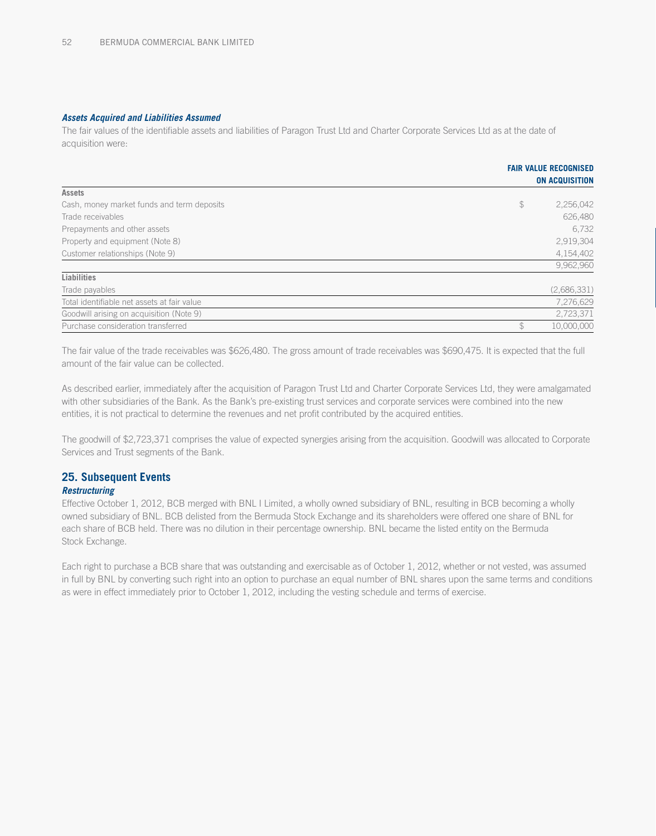#### *Assets Acquired and Liabilities Assumed*

The fair values of the identifiable assets and liabilities of Paragon Trust Ltd and Charter Corporate Services Ltd as at the date of acquisition were:

|                                             |               | <b>FAIR VALUE RECOGNISED</b> |
|---------------------------------------------|---------------|------------------------------|
|                                             |               | <b>ON ACQUISITION</b>        |
| <b>Assets</b>                               |               |                              |
| Cash, money market funds and term deposits  | $\frac{1}{2}$ | 2,256,042                    |
| Trade receivables                           |               | 626,480                      |
| Prepayments and other assets                |               | 6,732                        |
| Property and equipment (Note 8)             |               | 2,919,304                    |
| Customer relationships (Note 9)             |               | 4,154,402                    |
|                                             |               | 9,962,960                    |
| <b>Liabilities</b>                          |               |                              |
| Trade payables                              |               | (2,686,331)                  |
| Total identifiable net assets at fair value |               | 7,276,629                    |
| Goodwill arising on acquisition (Note 9)    |               | 2,723,371                    |
| Purchase consideration transferred          | \$            | 10,000,000                   |

The fair value of the trade receivables was \$626,480. The gross amount of trade receivables was \$690,475. It is expected that the full amount of the fair value can be collected.

As described earlier, immediately after the acquisition of Paragon Trust Ltd and Charter Corporate Services Ltd, they were amalgamated with other subsidiaries of the Bank. As the Bank's pre-existing trust services and corporate services were combined into the new entities, it is not practical to determine the revenues and net profit contributed by the acquired entities.

The goodwill of \$2,723,371 comprises the value of expected synergies arising from the acquisition. Goodwill was allocated to Corporate Services and Trust segments of the Bank.

### **25. Subsequent Events**

#### *Restructuring*

Effective October 1, 2012, BCB merged with BNL I Limited, a wholly owned subsidiary of BNL, resulting in BCB becoming a wholly owned subsidiary of BNL. BCB delisted from the Bermuda Stock Exchange and its shareholders were offered one share of BNL for each share of BCB held. There was no dilution in their percentage ownership. BNL became the listed entity on the Bermuda Stock Exchange.

Each right to purchase a BCB share that was outstanding and exercisable as of October 1, 2012, whether or not vested, was assumed in full by BNL by converting such right into an option to purchase an equal number of BNL shares upon the same terms and conditions as were in effect immediately prior to October 1, 2012, including the vesting schedule and terms of exercise.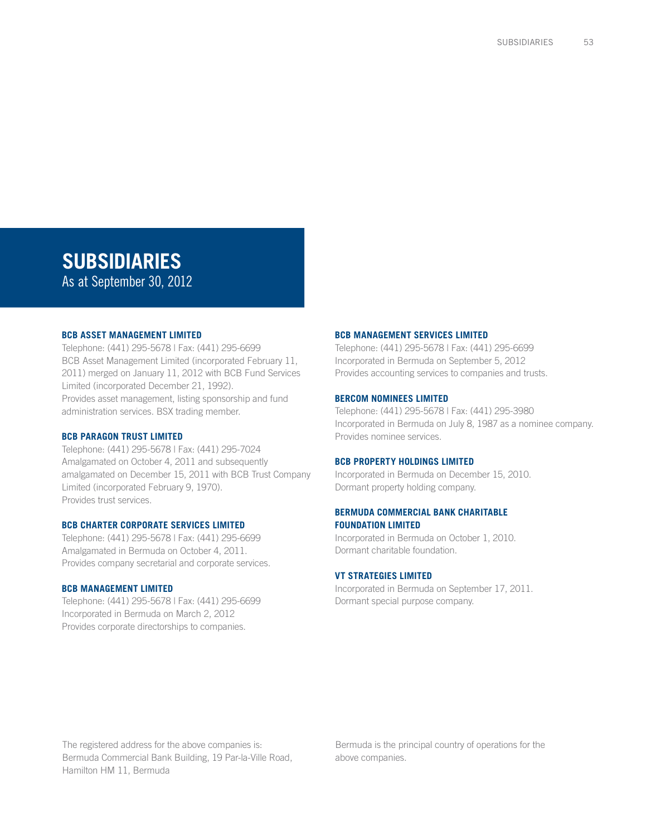# **SUBSIDIARIES**

As at September 30, 2012

#### **BCB Asset Management Limited**

Telephone: (441) 295-5678 | Fax: (441) 295-6699 BCB Asset Management Limited (incorporated February 11, 2011) merged on January 11, 2012 with BCB Fund Services Limited (incorporated December 21, 1992). Provides asset management, listing sponsorship and fund administration services. BSX trading member.

#### **BCB Paragon Trust Limited**

Telephone: (441) 295-5678 | Fax: (441) 295-7024 Amalgamated on October 4, 2011 and subsequently amalgamated on December 15, 2011 with BCB Trust Company Limited (incorporated February 9, 1970). Provides trust services.

#### **BCB Charter Corporate Services Limited**

Telephone: (441) 295-5678 | Fax: (441) 295-6699 Amalgamated in Bermuda on October 4, 2011. Provides company secretarial and corporate services.

#### **BCB Management Limited**

Telephone: (441) 295-5678 | Fax: (441) 295-6699 Incorporated in Bermuda on March 2, 2012 Provides corporate directorships to companies.

#### **BCB Management Services Limited**

Telephone: (441) 295-5678 | Fax: (441) 295-6699 Incorporated in Bermuda on September 5, 2012 Provides accounting services to companies and trusts.

#### **Bercom Nominees Limited**

Telephone: (441) 295-5678 | Fax: (441) 295-3980 Incorporated in Bermuda on July 8, 1987 as a nominee company. Provides nominee services.

#### **BCB Property Holdings Limited**

Incorporated in Bermuda on December 15, 2010. Dormant property holding company.

#### **Bermuda Commercial Bank Charitable Foundation Limited**

Incorporated in Bermuda on October 1, 2010. Dormant charitable foundation.

#### **VT Strategies Limited**

Incorporated in Bermuda on September 17, 2011. Dormant special purpose company.

The registered address for the above companies is: Bermuda Commercial Bank Building, 19 Par-la-Ville Road, Hamilton HM 11, Bermuda

Bermuda is the principal country of operations for the above companies.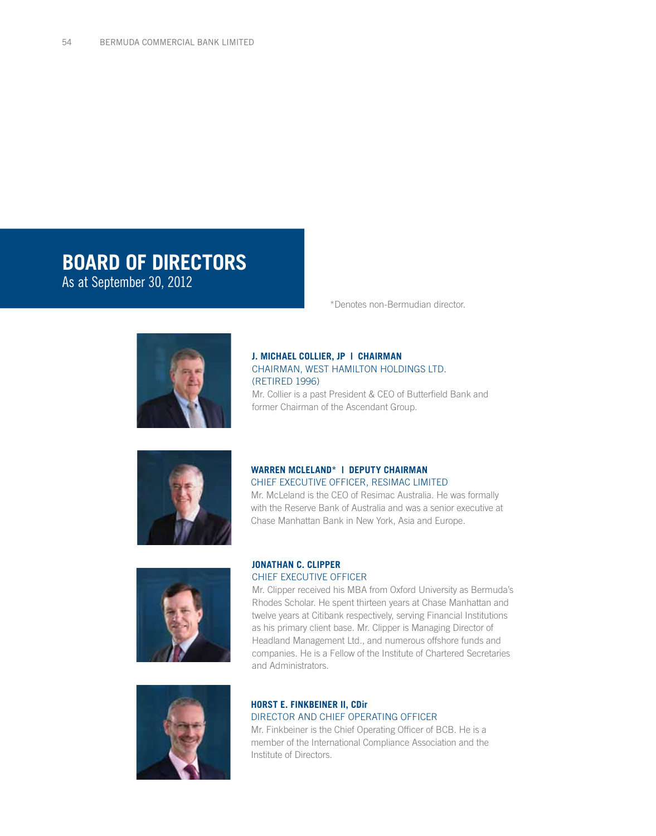# **BOARD OF DIRECTORS**

As at September 30, 2012



# **J. Michael Collier, JP | Chairman** CHAIRMAN, WEST HAMILTON HOLDINGS LTD. (RETIRED 1996)

Mr. Collier is a past President & CEO of Butterfield Bank and former Chairman of the Ascendant Group.

\*Denotes non-Bermudian director.



# **Warren McLeland\* | Deputy Chairman**

CHIEF EXECUTIVE OFFICER, RESIMAC LIMITED Mr. McLeland is the CEO of Resimac Australia. He was formally with the Reserve Bank of Australia and was a senior executive at Chase Manhattan Bank in New York, Asia and Europe.





# **Jonathan c. Clipper** chief executive officer

Mr. Clipper received his MBA from Oxford University as Bermuda's Rhodes Scholar. He spent thirteen years at Chase Manhattan and twelve years at Citibank respectively, serving Financial Institutions as his primary client base. Mr. Clipper is Managing Director of Headland Management Ltd., and numerous offshore funds and companies. He is a Fellow of the Institute of Chartered Secretaries and Administrators.

## **Horst E. Finkbeiner II, CDir** DIRECTOR AND CHIEF OPERATING OFFICER

Mr. Finkbeiner is the Chief Operating Officer of BCB. He is a member of the International Compliance Association and the Institute of Directors.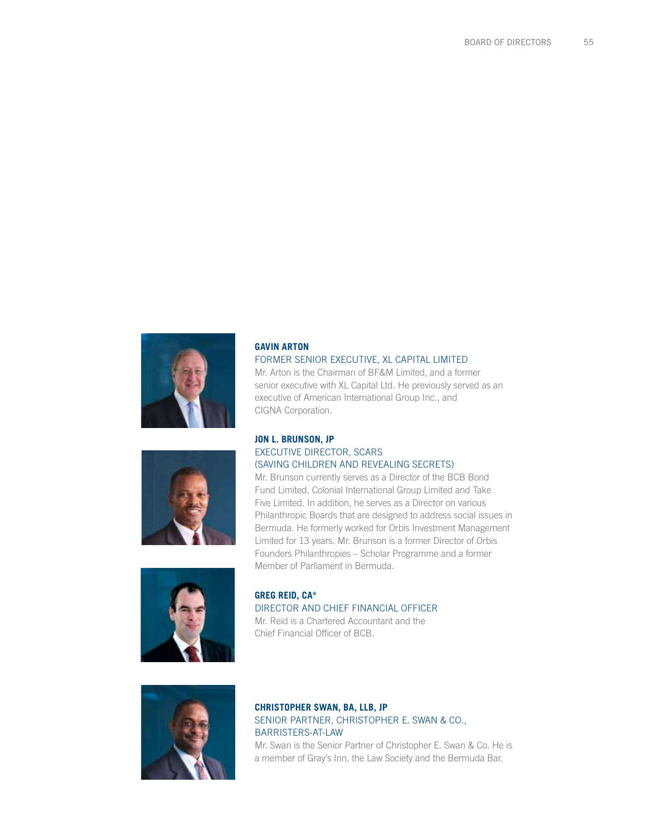

# **Gavin Arton** FORMER SENIOR EXECUTIVE, XL CAPITAL LIMITED

Mr. Arton is the Chairman of BF&M Limited, and a former senior executive with XL Capital Ltd. He previously served as an executive of American International Group Inc., and CIGNA Corporation.



### **Jon L. Brunson, JP** EXECUTIVE DIRECTOR, SCARS (SAVING CHILDREN AND REVEALING SECRETS)

Mr. Brunson currently serves as a Director of the BCB Bond Fund Limited, Colonial International Group Limited and Take Five Limited. In addition, he serves as a Director on various Philanthropic Boards that are designed to address social issues in Bermuda. He formerly worked for Orbis Investment Management Limited for 13 years. Mr. Brunson is a former Director of Orbis Founders Philanthropies – Scholar Programme and a former Member of Parliament in Bermuda.



**Greg Reid, CA\*** DIRECTOR AND CHIEF FINANCIAL OFFICER Mr. Reid is a Chartered Accountant and the Chief Financial Officer of BCB.



# **Christopher Swan, BA, LLB, JP** SENIOR PARTNER, CHRISTOPHER E. SWAN & CO., BARRISTERS-AT-LAW

Mr. Swan is the Senior Partner of Christopher E. Swan & Co. He is a member of Gray's Inn, the Law Society and the Bermuda Bar.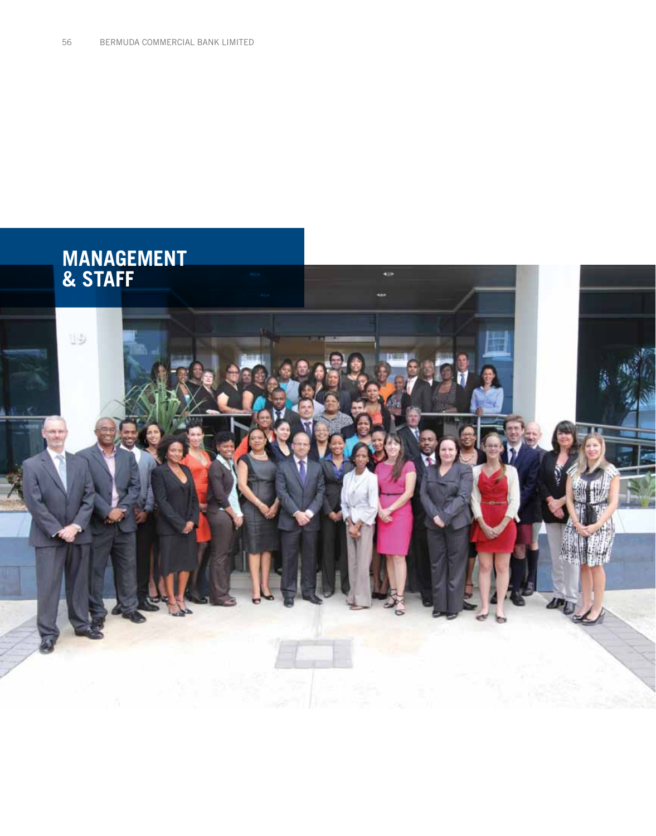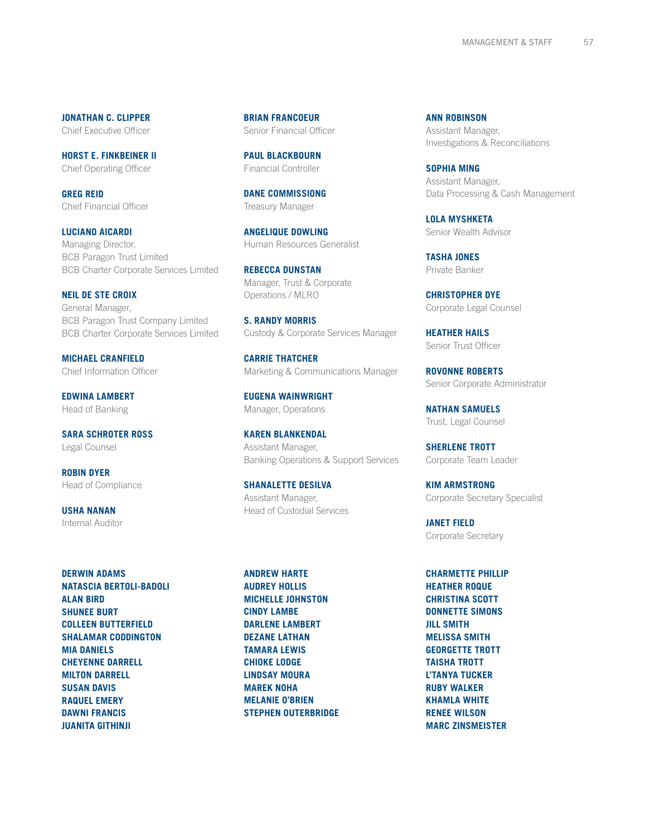**Jonathan c. Clipper** Chief Executive Officer

**Horst E. Finkbeiner II** Chief Operating Officer

**Greg Reid** Chief Financial Officer

**Luciano Aicardi** Managing Director, BCB Paragon Trust Limited BCB Charter Corporate Services Limited

**Neil de ste Croix** General Manager, BCB Paragon Trust Company Limited BCB Charter Corporate Services Limited

**Michael Cranfield** Chief Information Officer

**Edwina Lambert** Head of Banking

**Sara Schroter Ross** Legal Counsel

**Robin Dyer** Head of Compliance

**Usha Nanan** Internal Auditor

**Derwin Adams Natascia Bertoli-Badoli Alan Bird SHUNEE BURT Colleen Butterfield SHALAMAR CODDINGTON Mia Daniels Cheyenne Darrell Milton Darrell Susan Davis Raquel Emery Dawni Francis Juanita Githinji**

**Brian Francoeur** Senior Financial Officer

**Paul Blackbourn** Financial Controller

**Dane Commissiong** Treasury Manager

**Angelique Dowling** Human Resources Generalist

**Rebecca Dunstan** Manager, Trust & Corporate Operations / MLRO

**S. Randy Morris** Custody & Corporate Services Manager

**Carrie Thatcher** Marketing & Communications Manager

**Eugena Wainwright** Manager, Operations

**Karen Blankendal** Assistant Manager, Banking Operations & Support Services

**Shanalette DeSilva** Assistant Manager, Head of Custodial Services

**Andrew Harte AUDREY HOLLIS Michelle Johnston Cindy Lambe Darlene Lambert Dezane Lathan Tamara Lewis Chioke Lodge Lindsay Moura Marek Noha Melanie O'Brien Stephen Outerbridge** **Ann Robinson** Assistant Manager, Investigations & Reconciliations

**Sophia Ming** Assistant Manager, Data Processing & Cash Management

**Lola Myshketa** Senior Wealth Advisor

**Tasha Jones** Private Banker

**Christopher Dye** Corporate Legal Counsel

**Heather Hails** Senior Trust Officer

**Rovonne Roberts** Senior Corporate Administrator

**Nathan Samuels** Trust, Legal Counsel

**Sherlene Trott** Corporate Team Leader

**Kim Armstrong** Corporate Secretary Specialist

**Janet Field** Corporate Secretary

**Charmette Phillip Heather Roque CHRISTINA SCOTT Donnette Simons Jill Smith Melissa Smith Georgette Trott TAISHA TROTT L'Tanya Tucker Ruby Walker Khamla White Renee Wilson Marc Zinsmeister**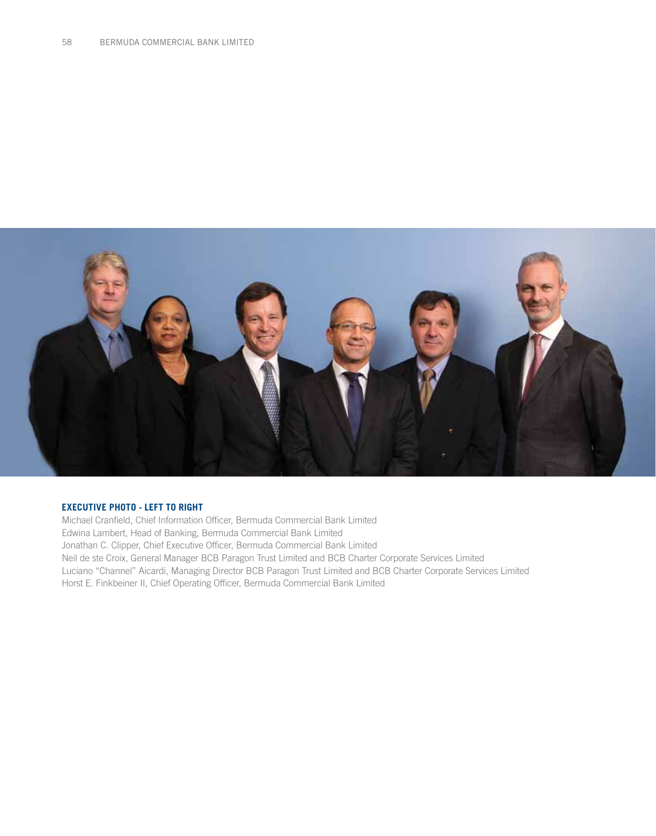

#### **EXECUTIVE PHOTO - LEFT TO RIGHT**

Michael Cranfield, Chief Information Officer, Bermuda Commercial Bank Limited Edwina Lambert, Head of Banking, Bermuda Commercial Bank Limited Jonathan C. Clipper, Chief Executive Officer, Bermuda Commercial Bank Limited Neil de ste Croix, General Manager BCB Paragon Trust Limited and BCB Charter Corporate Services Limited Luciano "Channel" Aicardi, Managing Director BCB Paragon Trust Limited and BCB Charter Corporate Services Limited Horst E. Finkbeiner II, Chief Operating Officer, Bermuda Commercial Bank Limited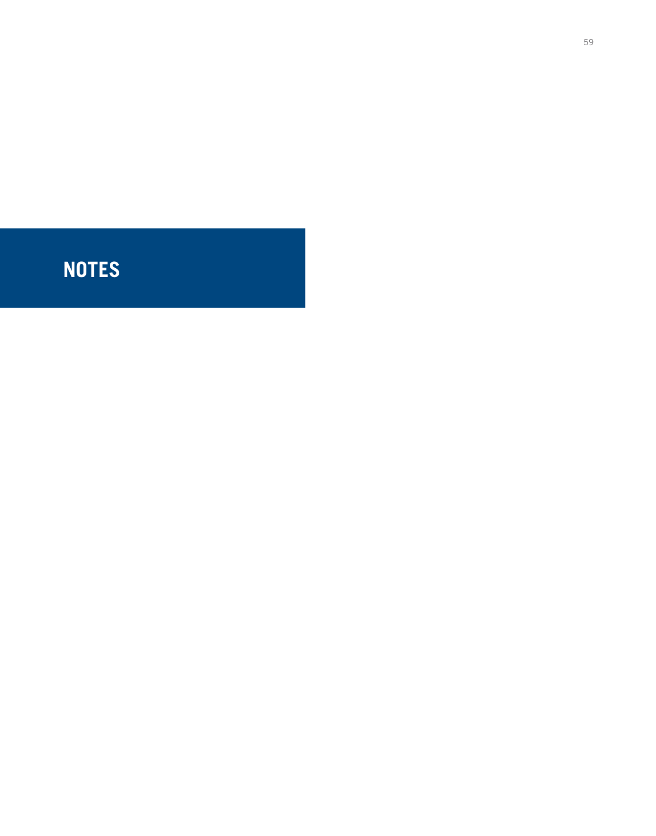# **NOTES**